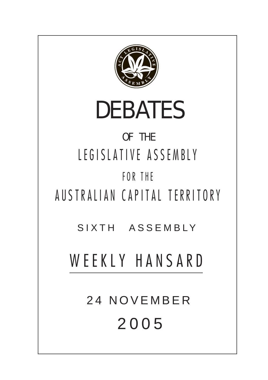

# DEBATES

# OF THE LEGISLATIVE ASSEMBLY FOR THE

AUSTRALIAN CAPITAL TERRITORY

SIXTH ASSEMBLY

WEEKLY HANSARD

24 NOVEMBER 200 5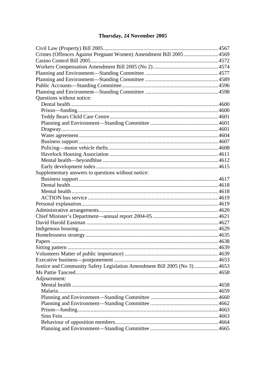# Thursday, 24 November 2005

| Crimes (Offences Against Pregnant Women) Amendment Bill 2005  4569       |  |
|--------------------------------------------------------------------------|--|
|                                                                          |  |
|                                                                          |  |
|                                                                          |  |
|                                                                          |  |
|                                                                          |  |
|                                                                          |  |
| Questions without notice:                                                |  |
|                                                                          |  |
|                                                                          |  |
|                                                                          |  |
|                                                                          |  |
|                                                                          |  |
|                                                                          |  |
|                                                                          |  |
|                                                                          |  |
|                                                                          |  |
|                                                                          |  |
|                                                                          |  |
| Supplementary answers to questions without notice:                       |  |
|                                                                          |  |
|                                                                          |  |
|                                                                          |  |
|                                                                          |  |
|                                                                          |  |
|                                                                          |  |
|                                                                          |  |
|                                                                          |  |
|                                                                          |  |
|                                                                          |  |
|                                                                          |  |
|                                                                          |  |
|                                                                          |  |
|                                                                          |  |
| Justice and Community Safety Legislation Amendment Bill 2005 (No 3) 4653 |  |
|                                                                          |  |
| Adjournment:                                                             |  |
|                                                                          |  |
|                                                                          |  |
|                                                                          |  |
|                                                                          |  |
|                                                                          |  |
|                                                                          |  |
|                                                                          |  |
|                                                                          |  |
|                                                                          |  |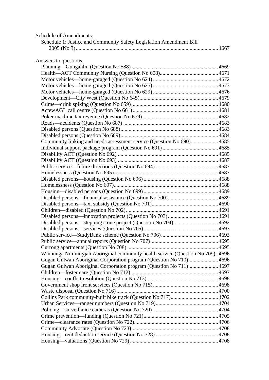| <b>Schedule of Amendments:</b><br>Schedule 1: Justice and Community Safety Legislation Amendment Bill |  |
|-------------------------------------------------------------------------------------------------------|--|
|                                                                                                       |  |
| Answers to questions:                                                                                 |  |
|                                                                                                       |  |
|                                                                                                       |  |
|                                                                                                       |  |
|                                                                                                       |  |
|                                                                                                       |  |
|                                                                                                       |  |
|                                                                                                       |  |
|                                                                                                       |  |
|                                                                                                       |  |
|                                                                                                       |  |
|                                                                                                       |  |
|                                                                                                       |  |
| Community linking and needs assessment service (Question No 690) 4685                                 |  |
|                                                                                                       |  |
|                                                                                                       |  |
|                                                                                                       |  |
|                                                                                                       |  |
|                                                                                                       |  |
|                                                                                                       |  |
|                                                                                                       |  |
|                                                                                                       |  |
|                                                                                                       |  |
|                                                                                                       |  |
|                                                                                                       |  |
|                                                                                                       |  |
|                                                                                                       |  |
|                                                                                                       |  |
|                                                                                                       |  |
|                                                                                                       |  |
|                                                                                                       |  |
| Winnunga Nimmityjah Aboriginal community health service (Question No 709)4696                         |  |
| Gugan Gulwan Aboriginal Corporation program (Question No 710) 4696                                    |  |
| Gugan Gulwan Aboriginal Corporation program (Question No 711) 4697                                    |  |
|                                                                                                       |  |
|                                                                                                       |  |
|                                                                                                       |  |
|                                                                                                       |  |
|                                                                                                       |  |
|                                                                                                       |  |
|                                                                                                       |  |
|                                                                                                       |  |
|                                                                                                       |  |
|                                                                                                       |  |
|                                                                                                       |  |
|                                                                                                       |  |
|                                                                                                       |  |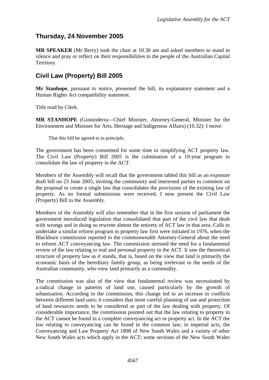# <span id="page-4-0"></span>**Thursday, 24 November 2005**

**MR SPEAKER** (Mr Berry) took the chair at 10.30 am and asked members to stand in silence and pray or reflect on their responsibilities to the people of the Australian Capital Territory.

# **Civil Law (Property) Bill 2005**

**Mr Stanhope**, pursuant to notice, presented the bill, its explanatory statement and a Human Rights Act compatibility statement.

Title read by Clerk.

**MR STANHOPE** (Ginninderra—Chief Minister, Attorney-General, Minister for the Environment and Minister for Arts, Heritage and Indigenous Affairs) (10.32): I move:

That this bill be agreed to in principle.

The government has been committed for some time to simplifying ACT property law. The Civil Law (Property) Bill 2005 is the culmination of a 10-year program to consolidate the law of property in the ACT.

Members of the Assembly will recall that the government tabled this bill as an exposure draft bill on 23 June 2005, inviting the community and interested parties to comment on the proposal to create a single law that consolidates the provisions of the existing law of property. As no formal submissions were received, I now present the Civil Law (Property) Bill to the Assembly.

Members of the Assembly will also remember that in the first session of parliament the government introduced legislation that consolidated that part of the civil law that dealt with wrongs and in doing so rewrote almost the entirety of ACT law in that area. Calls to undertake a similar reform program in property law first were initiated in 1976, when the Blackburn commission reported to the commonwealth Attorney-General about the need to reform ACT conveyancing law. The commission stressed the need for a fundamental review of the law relating to real and personal property in the ACT. It saw the theoretical structure of property law as it stands, that is, based on the view that land is primarily the economic basis of the hereditary family group, as being irrelevant to the needs of the Australian community, who view land primarily as a commodity.

The commission was also of the view that fundamental review was necessitated by a radical change in patterns of land use, caused particularly by the growth of urbanisation. According to the commission, this change led to an increase in conflicts between different land uses; it considers that more careful planning of use and protection of land resources needs to be considered as part of the law dealing with property. Of considerable importance, the commission pointed out that the law relating to property in the ACT cannot be found in a complete conveyancing act or property act. In the ACT the law relating to conveyancing can be found in the common law; in imperial acts; the Conveyancing and Law Property Act 1898 of New South Wales and a variety of other New South Wales acts which apply in the ACT; some sections of the New South Wales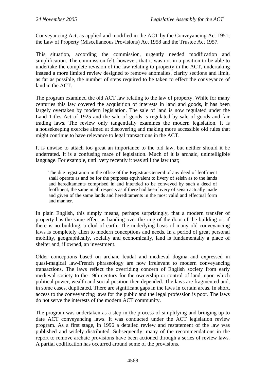Conveyancing Act, as applied and modified in the ACT by the Conveyancing Act 1951; the Law of Property (Miscellaneous Provisions) Act 1958 and the Trustee Act 1957.

This situation, according the commission, urgently needed modification and simplification. The commission felt, however, that it was not in a position to be able to undertake the complete revision of the law relating to property in the ACT, undertaking instead a more limited review designed to remove anomalies, clarify sections and limit, as far as possible, the number of steps required to be taken to effect the conveyance of land in the ACT.

The program examined the old ACT law relating to the law of property. While for many centuries this law covered the acquisition of interests in land and goods, it has been largely overtaken by modern legislation. The sale of land is now regulated under the Land Titles Act of 1925 and the sale of goods is regulated by sale of goods and fair trading laws. The review only tangentially examines the modern legislation. It is a housekeeping exercise aimed at discovering and making more accessible old rules that might continue to have relevance to legal transactions in the ACT.

It is unwise to attach too great an importance to the old law, but neither should it be underrated. It is a confusing maze of legislation. Much of it is archaic, unintelligible language. For example, until very recently it was still the law that;

The due registration in the office of the Registrar-General of any deed of feoffment shall operate as and be for the purposes equivalent to livery of seisin as to the lands and hereditaments comprised in and intended to be conveyed by such a deed of feoffment, the same in all respects as if there had been livery of seisin actually made and given of the same lands and hereditaments in the most valid and effectual form and manner.

In plain English, this simply means, perhaps surprisingly, that a modern transfer of property has the same effect as handing over the ring of the door of the building or, if there is no building, a clod of earth. The underlying basis of many old conveyancing laws is completely alien to modern conceptions and needs. In a period of great personal mobility, geographically, socially and economically, land is fundamentally a place of shelter and, if owned, an investment.

Older conceptions based on archaic feudal and medieval dogma and expressed in quasi-magical law-French phraseology are now irrelevant to modern conveyancing transactions. The laws reflect the overriding concern of English society from early medieval society to the 19th century for the ownership or control of land, upon which political power, wealth and social position then depended. The laws are fragmented and, in some cases, duplicated. There are significant gaps in the laws in certain areas. In short, access to the conveyancing laws for the public and the legal profession is poor. The laws do not serve the interests of the modern ACT community.

The program was undertaken as a step in the process of simplifying and bringing up to date ACT conveyancing laws. It was conducted under the ACT legislation review program. As a first stage, in 1996 a detailed review and restatement of the law was published and widely distributed. Subsequently, many of the recommendations in the report to remove archaic provisions have been actioned through a series of review laws. A partial codification has occurred around some of the provisions.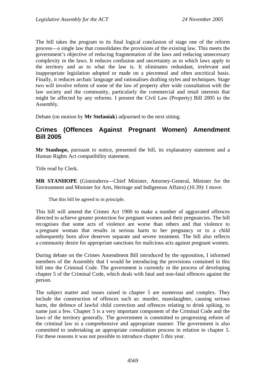<span id="page-6-0"></span>The bill takes the program to its final logical conclusion of stage one of the reform process—a single law that consolidates the provisions of the existing law. This meets the government's objective of reducing fragmentation of the laws and reducing unnecessary complexity in the laws. It reduces confusion and uncertainty as to which laws apply in the territory and as to what the law is. It eliminates redundant, irrelevant and inappropriate legislation adopted or made on a piecemeal and often uncritical basis. Finally, it reduces archaic language and rationalises drafting styles and techniques. Stage two will involve reform of some of the law of property after wide consultation with the law society and the community, particularly the commercial and retail interests that might be affected by any reforms. I present the Civil Law (Property) Bill 2005 to the Assembly.

Debate (on motion by **Mr Stefaniak**) adjourned to the next sitting.

### **Crimes (Offences Against Pregnant Women) Amendment Bill 2005**

**Mr Stanhope,** pursuant to notice, presented the bill, its explanatory statement and a Human Rights Act compatibility statement.

Title read by Clerk.

**MR STANHOPE** (Ginninderra—Chief Minister, Attorney-General, Minister for the Environment and Minister for Arts, Heritage and Indigenous Affairs) (10.39): I move:

That this bill be agreed to in principle.

This bill will amend the Crimes Act 1900 to make a number of aggravated offences directed to achieve greater protection for pregnant women and their pregnancies. The bill recognises that some acts of violence are worse than others and that violence to a pregnant woman that results in serious harm to her pregnancy or to a child subsequently born alive deserves separate and severe treatment. The bill also reflects a community desire for appropriate sanctions for malicious acts against pregnant women.

During debate on the Crimes Amendment Bill introduced by the opposition, I informed members of the Assembly that I would be introducing the provisions contained in this bill into the Criminal Code. The government is currently in the process of developing chapter 5 of the Criminal Code, which deals with fatal and non-fatal offences against the person.

The subject matter and issues raised in chapter 5 are numerous and complex. They include the construction of offences such as: murder, manslaughter, causing serious harm, the defence of lawful child correction and offences relating to drink spiking, to name just a few. Chapter 5 is a very important component of the Criminal Code and the laws of the territory generally. The government is committed to progressing reform of the criminal law in a comprehensive and appropriate manner. The government is also committed to undertaking an appropriate consultation process in relation to chapter 5. For these reasons it was not possible to introduce chapter 5 this year.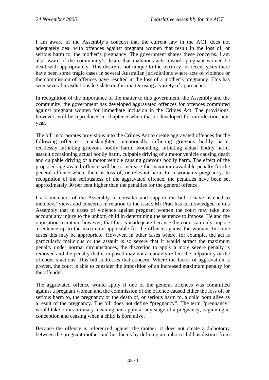I am aware of the Assembly's concern that the current law in the ACT does not adequately deal with offences against pregnant women that result in the loss of, or serious harm to, the mother's pregnancy. The government shares these concerns. I am also aware of the community's desire that malicious acts towards pregnant women be dealt with appropriately. This desire is not unique to the territory. In recent years there have been some tragic cases in several Australian jurisdictions where acts of violence or the commission of offences have resulted in the loss of a mother's pregnancy. This has seen several jurisdictions legislate on this matter using a variety of approaches.

In recognition of the importance of the matter to this government, the Assembly and the community, the government has developed aggravated offences for offences committed against pregnant women for immediate inclusion in the Crimes Act. The provisions, however, will be reproduced in chapter 5 when that is developed for introduction next year.

The bill incorporates provisions into the Crimes Act to create aggravated offences for the following offences: manslaughter, intentionally inflicting grievous bodily harm, recklessly inflicting grievous bodily harm, wounding, inflicting actual bodily harm, assault occasioning actual bodily harm, culpable driving of a motor vehicle causing death and culpable driving of a motor vehicle causing grievous bodily harm. The effect of the proposed aggravated offence will be to increase the maximum available penalty for the general offence where there is loss of, or relevant harm to, a woman's pregnancy. In recognition of the seriousness of the aggravated offence, the penalties have been set approximately 30 per cent higher than the penalties for the general offence.

I ask members of the Assembly to consider and support the bill. I have listened to members' views and concerns in relation to the issue. Mr Pratt has acknowledged in this Assembly that in cases of violence against pregnant women the court may take into account any injury to the unborn child in determining the sentence to impose. He and the opposition maintain, however, that this is inadequate because the court can only impose a sentence up to the maximum applicable for the offence against the woman. In some cases this may be appropriate. However, in other cases where, for example, the act is particularly malicious or the assault is so severe that it would attract the maximum penalty under normal circumstances, the discretion to apply a more severe penalty is removed and the penalty that is imposed may not accurately reflect the culpability of the offender's actions. This bill addresses that concern. Where the factor of aggravation is proven, the court is able to consider the imposition of an increased maximum penalty for the offender.

The aggravated offence would apply if one of the general offences was committed against a pregnant woman and the commission of the offence caused either the loss of, or serious harm to, the pregnancy or the death of, or serious harm to, a child born alive as a result of the pregnancy. The bill does not define "pregnancy". The term "pregnancy" would take on its ordinary meaning and apply at any stage of a pregnancy, beginning at conception and ceasing when a child is born alive.

Because the offence is referenced against the mother, it does not create a dichotomy between the pregnant mother and her foetus by defining an unborn child as distinct from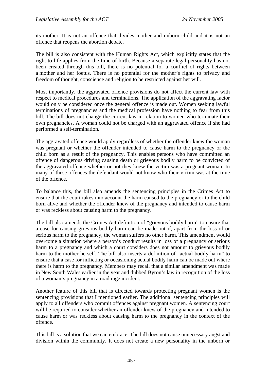its mother. It is not an offence that divides mother and unborn child and it is not an offence that reopens the abortion debate.

The bill is also consistent with the Human Rights Act, which explicitly states that the right to life applies from the time of birth. Because a separate legal personality has not been created through this bill, there is no potential for a conflict of rights between a mother and her foetus. There is no potential for the mother's rights to privacy and freedom of thought, conscience and religion to be restricted against her will.

Most importantly, the aggravated offence provisions do not affect the current law with respect to medical procedures and terminations. The application of the aggravating factor would only be considered once the general offence is made out. Women seeking lawful terminations of pregnancies and the medical profession have nothing to fear from this bill. The bill does not change the current law in relation to women who terminate their own pregnancies. A woman could not be charged with an aggravated offence if she had performed a self-termination.

The aggravated offence would apply regardless of whether the offender knew the woman was pregnant or whether the offender intended to cause harm to the pregnancy or the child born as a result of the pregnancy. This enables persons who have committed an offence of dangerous driving causing death or grievous bodily harm to be convicted of the aggravated offence whether or not they knew the victim was a pregnant woman. In many of these offences the defendant would not know who their victim was at the time of the offence.

To balance this, the bill also amends the sentencing principles in the Crimes Act to ensure that the court takes into account the harm caused to the pregnancy or to the child born alive and whether the offender knew of the pregnancy and intended to cause harm or was reckless about causing harm to the pregnancy.

The bill also amends the Crimes Act definition of "grievous bodily harm" to ensure that a case for causing grievous bodily harm can be made out if, apart from the loss of or serious harm to the pregnancy, the woman suffers no other harm. This amendment would overcome a situation where a person's conduct results in loss of a pregnancy or serious harm to a pregnancy and which a court considers does not amount to grievous bodily harm to the mother herself. The bill also inserts a definition of "actual bodily harm" to ensure that a case for inflicting or occasioning actual bodily harm can be made out where there is harm to the pregnancy. Members may recall that a similar amendment was made in New South Wales earlier in the year and dubbed Byron's law in recognition of the loss of a woman's pregnancy in a road rage incident.

Another feature of this bill that is directed towards protecting pregnant women is the sentencing provisions that I mentioned earlier. The additional sentencing principles will apply to all offenders who commit offences against pregnant women. A sentencing court will be required to consider whether an offender knew of the pregnancy and intended to cause harm or was reckless about causing harm to the pregnancy in the context of the offence.

This bill is a solution that we can embrace. The bill does not cause unnecessary angst and division within the community. It does not create a new personality in the unborn or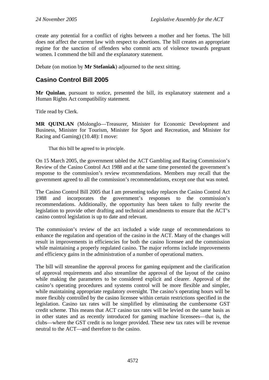<span id="page-9-0"></span>create any potential for a conflict of rights between a mother and her foetus. The bill does not affect the current law with respect to abortions. The bill creates an appropriate regime for the sanction of offenders who commit acts of violence towards pregnant women. I commend the bill and the explanatory statement.

Debate (on motion by **Mr Stefaniak**) adjourned to the next sitting.

# **Casino Control Bill 2005**

**Mr Quinlan**, pursuant to notice, presented the bill, its explanatory statement and a Human Rights Act compatibility statement.

Title read by Clerk.

**MR QUINLAN** (Molonglo—Treasurer, Minister for Economic Development and Business, Minister for Tourism, Minister for Sport and Recreation, and Minister for Racing and Gaming) (10.48): I move:

That this bill be agreed to in principle.

On 15 March 2005, the government tabled the ACT Gambling and Racing Commission's Review of the Casino Control Act 1988 and at the same time presented the government's response to the commission's review recommendations. Members may recall that the government agreed to all the commission's recommendations, except one that was noted.

The Casino Control Bill 2005 that I am presenting today replaces the Casino Control Act 1988 and incorporates the government's responses to the commission's recommendations. Additionally, the opportunity has been taken to fully rewrite the legislation to provide other drafting and technical amendments to ensure that the ACT's casino control legislation is up to date and relevant.

The commission's review of the act included a wide range of recommendations to enhance the regulation and operation of the casino in the ACT. Many of the changes will result in improvements in efficiencies for both the casino licensee and the commission while maintaining a properly regulated casino. The major reforms include improvements and efficiency gains in the administration of a number of operational matters.

The bill will streamline the approval process for gaming equipment and the clarification of approval requirements and also streamline the approval of the layout of the casino while making the parameters to be considered explicit and clearer. Approval of the casino's operating procedures and systems control will be more flexible and simpler, while maintaining appropriate regulatory oversight. The casino's operating hours will be more flexibly controlled by the casino licensee within certain restrictions specified in the legislation. Casino tax rates will be simplified by eliminating the cumbersome GST credit scheme. This means that ACT casino tax rates will be levied on the same basis as in other states and as recently introduced for gaming machine licensees—that is, the clubs—where the GST credit is no longer provided. These new tax rates will be revenue neutral to the ACT—and therefore to the casino.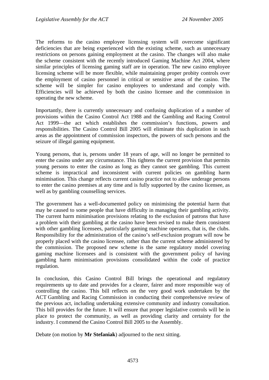The reforms to the casino employee licensing system will overcome significant deficiencies that are being experienced with the existing scheme, such as unnecessary restrictions on persons gaining employment at the casino. The changes will also make the scheme consistent with the recently introduced Gaming Machine Act 2004, where similar principles of licensing gaming staff are in operation. The new casino employee licensing scheme will be more flexible, while maintaining proper probity controls over the employment of casino personnel in critical or sensitive areas of the casino. The scheme will be simpler for casino employees to understand and comply with. Efficiencies will be achieved by both the casino licensee and the commission in operating the new scheme.

Importantly, there is currently unnecessary and confusing duplication of a number of provisions within the Casino Control Act 1988 and the Gambling and Racing Control Act 1999—the act which establishes the commission's functions, powers and responsibilities. The Casino Control Bill 2005 will eliminate this duplication in such areas as the appointment of commission inspectors, the powers of such persons and the seizure of illegal gaming equipment.

Young persons, that is, persons under 18 years of age, will no longer be permitted to enter the casino under any circumstance. This tightens the current provision that permits young persons to enter the casino as long as they cannot see gambling. This current scheme is impractical and inconsistent with current policies on gambling harm minimisation. This change reflects current casino practice not to allow underage persons to enter the casino premises at any time and is fully supported by the casino licensee, as well as by gambling counselling services.

The government has a well-documented policy on minimising the potential harm that may be caused to some people that have difficulty in managing their gambling activity. The current harm minimisation provisions relating to the exclusion of patrons that have a problem with their gambling at the casino have been revised to make them consistent with other gambling licensees, particularly gaming machine operators, that is, the clubs. Responsibility for the administration of the casino's self-exclusion program will now be properly placed with the casino licensee, rather than the current scheme administered by the commission. The proposed new scheme is the same regulatory model covering gaming machine licensees and is consistent with the government policy of having gambling harm minimisation provisions consolidated within the code of practice regulation.

In conclusion, this Casino Control Bill brings the operational and regulatory requirements up to date and provides for a clearer, fairer and more responsible way of controlling the casino. This bill reflects on the very good work undertaken by the ACT Gambling and Racing Commission in conducting their comprehensive review of the previous act, including undertaking extensive community and industry consultation. This bill provides for the future. It will ensure that proper legislative controls will be in place to protect the community, as well as providing clarity and certainty for the industry. I commend the Casino Control Bill 2005 to the Assembly.

Debate (on motion by **Mr Stefaniak**) adjourned to the next sitting.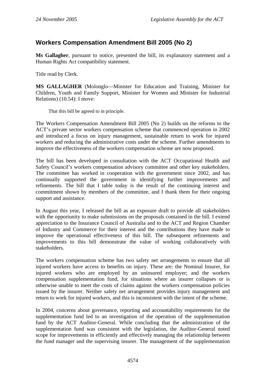# <span id="page-11-0"></span>**Workers Compensation Amendment Bill 2005 (No 2)**

**Ms Gallagher**, pursuant to notice, presented the bill, its explanatory statement and a Human Rights Act compatibility statement.

Title read by Clerk.

**MS GALLAGHER** (Molonglo—Minister for Education and Training, Minister for Children, Youth and Family Support, Minister for Women and Minister for Industrial Relations) (10.54): I move:

That this bill be agreed to in principle.

The Workers Compensation Amendment Bill 2005 (No 2) builds on the reforms to the ACT's private sector workers compensation scheme that commenced operation in 2002 and introduced a focus on injury management, sustainable return to work for injured workers and reducing the administrative costs under the scheme. Further amendments to improve the effectiveness of the workers compensation scheme are now proposed.

The bill has been developed in consultation with the ACT Occupational Health and Safety Council's workers compensation advisory committee and other key stakeholders. The committee has worked in cooperation with the government since 2002, and has continually supported the government in identifying further improvements and refinements. The bill that I table today is the result of the continuing interest and commitment shown by members of the committee, and I thank them for their ongoing support and assistance.

In August this year, I released the bill as an exposure draft to provide all stakeholders with the opportunity to make submissions on the proposals contained in the bill. I extend appreciation to the Insurance Council of Australia and to the ACT and Region Chamber of Industry and Commerce for their interest and the contributions they have made to improve the operational effectiveness of this bill. The subsequent refinements and improvements to this bill demonstrate the value of working collaboratively with stakeholders.

The workers compensation scheme has two safety net arrangements to ensure that all injured workers have access to benefits on injury. These are: the Nominal Insurer, for injured workers who are employed by an uninsured employer; and the workers compensation supplementation fund, for situations where an insurer collapses or is otherwise unable to meet the costs of claims against the workers compensation policies issued by the insurer. Neither safety net arrangement provides injury management and return to work for injured workers, and this is inconsistent with the intent of the scheme.

In 2004, concerns about governance, reporting and accountability requirements for the supplementation fund led to an investigation of the operation of the supplementation fund by the ACT Auditor-General. While concluding that the administration of the supplementation fund was consistent with the legislation, the Auditor-General noted scope for improvements in efficiently and effectively managing the relationship between the fund manager and the supervising insurer. The management of the supplementation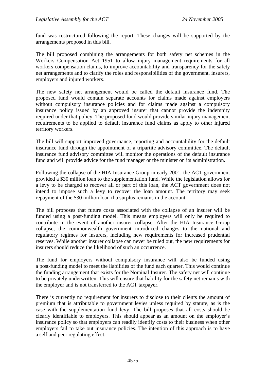fund was restructured following the report. These changes will be supported by the arrangements proposed in this bill.

The bill proposed combining the arrangements for both safety net schemes in the Workers Compensation Act 1951 to allow injury management requirements for all workers compensation claims, to improve accountability and transparency for the safety net arrangements and to clarify the roles and responsibilities of the government, insurers, employers and injured workers.

The new safety net arrangement would be called the default insurance fund. The proposed fund would contain separate accounts for claims made against employers without compulsory insurance policies and for claims made against a compulsory insurance policy issued by an approved insurer that cannot provide the indemnity required under that policy. The proposed fund would provide similar injury management requirements to be applied to default insurance fund claims as apply to other injured territory workers.

The bill will support improved governance, reporting and accountability for the default insurance fund through the appointment of a tripartite advisory committee. The default insurance fund advisory committee will monitor the operations of the default insurance fund and will provide advice for the fund manager or the minister on its administration.

Following the collapse of the HIA Insurance Group in early 2001, the ACT government provided a \$30 million loan to the supplementation fund. While the legislation allows for a levy to be charged to recover all or part of this loan, the ACT government does not intend to impose such a levy to recover the loan amount. The territory may seek repayment of the \$30 million loan if a surplus remains in the account.

The bill proposes that future costs associated with the collapse of an insurer will be funded using a post-funding model. This means employers will only be required to contribute in the event of another insurer collapse. After the HIA Insurance Group collapse, the commonwealth government introduced changes to the national and regulatory regimes for insurers, including new requirements for increased prudential reserves. While another insurer collapse can never be ruled out, the new requirements for insurers should reduce the likelihood of such an occurrence.

The fund for employers without compulsory insurance will also be funded using a post-funding model to meet the liabilities of the fund each quarter. This would continue the funding arrangement that exists for the Nominal Insurer. The safety net will continue to be privately underwritten. This will ensure that liability for the safety net remains with the employer and is not transferred to the ACT taxpayer.

There is currently no requirement for insurers to disclose to their clients the amount of premium that is attributable to government levies unless required by statute, as is the case with the supplementation fund levy. The bill proposes that all costs should be clearly identifiable to employers. This should appear as an amount on the employer's insurance policy so that employers can readily identify costs to their business when other employers fail to take out insurance policies. The intention of this approach is to have a self and peer regulating effect.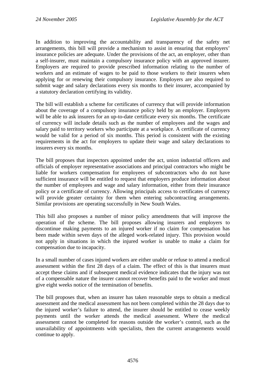In addition to improving the accountability and transparency of the safety net arrangements, this bill will provide a mechanism to assist in ensuring that employers' insurance policies are adequate. Under the provisions of the act, an employer, other than a self-insurer, must maintain a compulsory insurance policy with an approved insurer. Employers are required to provide prescribed information relating to the number of workers and an estimate of wages to be paid to those workers to their insurers when applying for or renewing their compulsory insurance. Employers are also required to submit wage and salary declarations every six months to their insurer, accompanied by a statutory declaration certifying its validity.

The bill will establish a scheme for certificates of currency that will provide information about the coverage of a compulsory insurance policy held by an employer. Employers will be able to ask insurers for an up-to-date certificate every six months. The certificate of currency will include details such as the number of employees and the wages and salary paid to territory workers who participate at a workplace. A certificate of currency would be valid for a period of six months. This period is consistent with the existing requirements in the act for employers to update their wage and salary declarations to insurers every six months.

The bill proposes that inspectors appointed under the act, union industrial officers and officials of employer representative associations and principal contractors who might be liable for workers compensation for employees of subcontractors who do not have sufficient insurance will be entitled to request that employers produce information about the number of employees and wage and salary information, either from their insurance policy or a certificate of currency. Allowing principals access to certificates of currency will provide greater certainty for them when entering subcontracting arrangements. Similar provisions are operating successfully in New South Wales.

This bill also proposes a number of minor policy amendments that will improve the operation of the scheme. The bill proposes allowing insurers and employers to discontinue making payments to an injured worker if no claim for compensation has been made within seven days of the alleged work-related injury. This provision would not apply in situations in which the injured worker is unable to make a claim for compensation due to incapacity.

In a small number of cases injured workers are either unable or refuse to attend a medical assessment within the first 28 days of a claim. The effect of this is that insurers must accept these claims and if subsequent medical evidence indicates that the injury was not of a compensable nature the insurer cannot recover benefits paid to the worker and must give eight weeks notice of the termination of benefits.

The bill proposes that, when an insurer has taken reasonable steps to obtain a medical assessment and the medical assessment has not been completed within the 28 days due to the injured worker's failure to attend, the insurer should be entitled to cease weekly payments until the worker attends the medical assessment. Where the medical assessment cannot be completed for reasons outside the worker's control, such as the unavailability of appointments with specialists, then the current arrangements would continue to apply.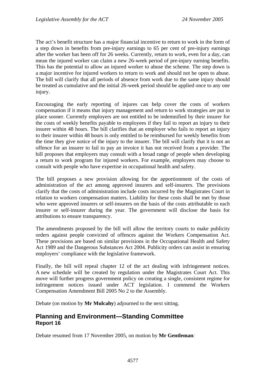<span id="page-14-0"></span>The act's benefit structure has a major financial incentive to return to work in the form of a step down in benefits from pre-injury earnings to 65 per cent of pre-injury earnings after the worker has been off for 26 weeks. Currently, return to work, even for a day, can mean the injured worker can claim a new 26-week period of pre-injury earning benefits. This has the potential to allow an injured worker to abuse the scheme. The step down is a major incentive for injured workers to return to work and should not be open to abuse. The bill will clarify that all periods of absence from work due to the same injury should be treated as cumulative and the initial 26-week period should be applied once to any one injury.

Encouraging the early reporting of injures can help cover the costs of workers compensation if it means that injury management and return to work strategies are put in place sooner. Currently employers are not entitled to be indemnified by their insurer for the costs of weekly benefits payable to employees if they fail to report an injury to their insurer within 48 hours. The bill clarifies that an employer who fails to report an injury to their insurer within 48 hours is only entitled to be reimbursed for weekly benefits from the time they give notice of the injury to the insurer. The bill will clarify that it is not an offence for an insurer to fail to pay an invoice it has not received from a provider. The bill proposes that employers may consult with a broad range of people when developing a return to work program for injured workers. For example, employers may choose to consult with people who have expertise in occupational health and safety.

The bill proposes a new provision allowing for the apportionment of the costs of administration of the act among approved insurers and self-insurers. The provisions clarify that the costs of administration include costs incurred by the Magistrates Court in relation to workers compensation matters. Liability for these costs shall be met by those who were approved insurers or self-insurers on the basis of the costs attributable to each insurer or self-insurer during the year. The government will disclose the basis for attributions to ensure transparency.

The amendments proposed by the bill will allow the territory courts to make publicity orders against people convicted of offences against the Workers Compensation Act. These provisions are based on similar provisions in the Occupational Health and Safety Act 1989 and the Dangerous Substances Act 2004. Publicity orders can assist in ensuring employers' compliance with the legislative framework.

Finally, the bill will repeal chapter 12 of the act dealing with infringement notices. A new schedule will be created by regulation under the Magistrates Court Act. This move will further progress government policy on creating a single, consistent regime for infringement notices issued under ACT legislation. I commend the Workers Compensation Amendment Bill 2005 No 2 to the Assembly.

Debate (on motion by **Mr Mulcahy**) adjourned to the next sitting.

#### **Planning and Environment—Standing Committee Report 16**

Debate resumed from 17 November 2005, on motion by **Mr Gentleman**: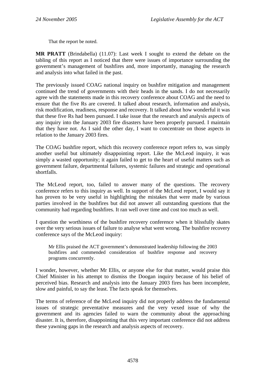That the report be noted.

**MR PRATT** (Brindabella) (11.07): Last week I sought to extend the debate on the tabling of this report as I noticed that there were issues of importance surrounding the government's management of bushfires and, more importantly, managing the research and analysis into what failed in the past.

The previously issued COAG national inquiry on bushfire mitigation and management continued the trend of governments with their heads in the sands. I do not necessarily agree with the statements made in this recovery conference about COAG and the need to ensure that the five Rs are covered. It talked about research, information and analysis, risk modification, readiness, response and recovery. It talked about how wonderful it was that these five Rs had been pursued. I take issue that the research and analysis aspects of any inquiry into the January 2003 fire disasters have been properly pursued. I maintain that they have not. As I said the other day, I want to concentrate on those aspects in relation to the January 2003 fires.

The COAG bushfire report, which this recovery conference report refers to, was simply another useful but ultimately disappointing report. Like the McLeod inquiry, it was simply a wasted opportunity; it again failed to get to the heart of useful matters such as government failure, departmental failures, systemic failures and strategic and operational shortfalls.

The McLeod report, too, failed to answer many of the questions. The recovery conference refers to this inquiry as well. In support of the McLeod report, I would say it has proven to be very useful in highlighting the mistakes that were made by various parties involved in the bushfires but did not answer all outstanding questions that the community had regarding bushfires. It ran well over time and cost too much as well.

I question the worthiness of the bushfire recovery conference when it blissfully skates over the very serious issues of failure to analyse what went wrong. The bushfire recovery conference says of the McLeod inquiry:

Mr Ellis praised the ACT government's demonstrated leadership following the 2003 bushfires and commended consideration of bushfire response and recovery programs concurrently.

I wonder, however, whether Mr Ellis, or anyone else for that matter, would praise this Chief Minister in his attempt to dismiss the Doogan inquiry because of his belief of perceived bias. Research and analysis into the January 2003 fires has been incomplete, slow and painful, to say the least. The facts speak for themselves.

The terms of reference of the McLeod inquiry did not properly address the fundamental issues of strategic preventative measures and the very vexed issue of why the government and its agencies failed to warn the community about the approaching disaster. It is, therefore, disappointing that this very important conference did not address these yawning gaps in the research and analysis aspects of recovery.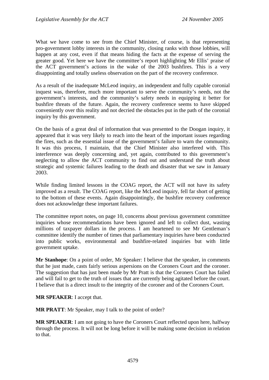What we have come to see from the Chief Minister, of course, is that representing pro-government lobby interests in the community, closing ranks with those lobbies, will happen at any cost, even if that means hiding the facts at the expense of serving the greater good. Yet here we have the committee's report highlighting Mr Ellis' praise of the ACT government's actions in the wake of the 2003 bushfires. This is a very disappointing and totally useless observation on the part of the recovery conference.

As a result of the inadequate McLeod inquiry, an independent and fully capable coronial inquest was, therefore, much more important to serve the community's needs, not the government's interests, and the community's safety needs in equipping it better for bushfire threats of the future. Again, the recovery conference seems to have skipped conveniently over this reality and not decried the obstacles put in the path of the coronial inquiry by this government.

On the basis of a great deal of information that was presented to the Doogan inquiry, it appeared that it was very likely to reach into the heart of the important issues regarding the fires, such as the essential issue of the government's failure to warn the community. It was this process, I maintain, that the Chief Minister also interfered with. This interference was deeply concerning and, yet again, contributed to this government's neglecting to allow the ACT community to find out and understand the truth about strategic and systemic failures leading to the death and disaster that we saw in January 2003.

While finding limited lessons in the COAG report, the ACT will not have its safety improved as a result. The COAG report, like the McLeod inquiry, fell far short of getting to the bottom of these events. Again disappointingly, the bushfire recovery conference does not acknowledge these important failures.

The committee report notes, on page 10, concerns about previous government committee inquiries whose recommendations have been ignored and left to collect dust, wasting millions of taxpayer dollars in the process. I am heartened to see Mr Gentleman's committee identify the number of times that parliamentary inquiries have been conducted into public works, environmental and bushfire-related inquiries but with little government uptake.

**Mr Stanhope**: On a point of order, Mr Speaker: I believe that the speaker, in comments that he just made, casts fairly serious aspersions on the Coroners Court and the coroner. The suggestion that has just been made by Mr Pratt is that the Coroners Court has failed and will fail to get to the truth of issues that are currently being agitated before the court. I believe that is a direct insult to the integrity of the coroner and of the Coroners Court.

**MR SPEAKER**: I accept that.

**MR PRATT**: Mr Speaker, may I talk to the point of order?

**MR SPEAKER**: I am not going to have the Coroners Court reflected upon here, halfway through the process. It will not be long before it will be making some decision in relation to that.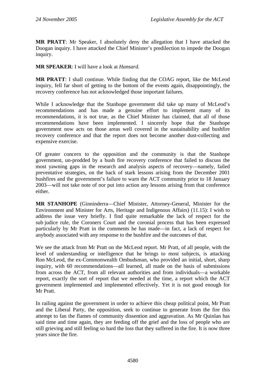**MR PRATT**: Mr Speaker, I absolutely deny the allegation that I have attacked the Doogan inquiry. I have attacked the Chief Minister's predilection to impede the Doogan inquiry.

**MR SPEAKER**: I will have a look at *Hansard*.

**MR PRATT**: I shall continue. While finding that the COAG report, like the McLeod inquiry, fell far short of getting to the bottom of the events again, disappointingly, the recovery conference has not acknowledged those important failures.

While I acknowledge that the Stanhope government did take up many of McLeod's recommendations and has made a genuine effort to implement many of its recommendations, it is not true, as the Chief Minister has claimed, that all of those recommendations have been implemented. I sincerely hope that the Stanhope government now acts on those areas well covered in the sustainability and bushfire recovery conference and that the report does not become another dust-collecting and expensive exercise.

Of greater concern to the opposition and the community is that the Stanhope government, un-prodded by a bush fire recovery conference that failed to discuss the most yawning gaps in the research and analysis aspects of recovery—namely, failed preventative strategies, on the back of stark lessons arising from the December 2001 bushfires and the government's failure to warn the ACT community prior to 18 January 2003—will not take note of nor put into action any lessons arising from that conference either.

**MR STANHOPE** (Ginninderra—Chief Minister, Attorney-General, Minister for the Environment and Minister for Arts, Heritage and Indigenous Affairs) (11.15): I wish to address the issue very briefly. I find quite remarkable the lack of respect for the sub judice rule, the Coroners Court and the coronial process that has been expressed particularly by Mr Pratt in the comments he has made—in fact, a lack of respect for anybody associated with any response to the bushfire and the outcomes of that.

We see the attack from Mr Pratt on the McLeod report. Mr Pratt, of all people, with the level of understanding or intelligence that he brings to most subjects, is attacking Ron McLeod, the ex-Commonwealth Ombudsman, who provided an initial, short, sharp inquiry, with 60 recommendations—all learned, all made on the basis of submissions from across the ACT, from all relevant authorities and from individuals—a workable report, exactly the sort of report that we needed at the time, a report which the ACT government implemented and implemented effectively. Yet it is not good enough for Mr Pratt.

In railing against the government in order to achieve this cheap political point, Mr Pratt and the Liberal Party, the opposition, seek to continue to generate from the fire this attempt to fan the flames of community dissention and aggravation. As Mr Quinlan has said time and time again, they are feeding off the grief and the loss of people who are still grieving and still feeling so hard the loss that they suffered in the fire. It is now three years since the fire.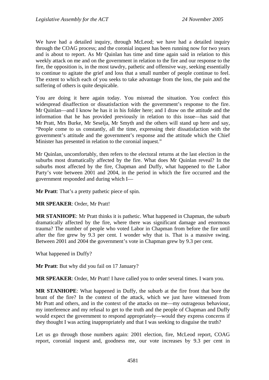We have had a detailed inquiry, through McLeod; we have had a detailed inquiry through the COAG process; and the coronial inquest has been running now for two years and is about to report. As Mr Quinlan has time and time again said in relation to this weekly attack on me and on the government in relation to the fire and our response to the fire, the opposition is, in the most tawdry, pathetic and offensive way, seeking essentially to continue to agitate the grief and loss that a small number of people continue to feel. The extent to which each of you seeks to take advantage from the loss, the pain and the suffering of others is quite despicable.

You are doing it here again today. You misread the situation. You confect this widespread disaffection or dissatisfaction with the government's response to the fire. Mr Quinlan—and I know he has it in his folder here; and I draw on the attitude and the information that he has provided previously in relation to this issue—has said that Mr Pratt, Mrs Burke, Mr Seselja, Mr Smyth and the others will stand up here and say, "People come to us constantly, all the time, expressing their dissatisfaction with the government's attitude and the government's response and the attitude which the Chief Minister has presented in relation to the coronial inquest."

Mr Quinlan, uncomfortably, then refers to the electoral returns at the last election in the suburbs most dramatically affected by the fire. What does Mr Quinlan reveal? In the suburbs most affected by the fire, Chapman and Duffy, what happened to the Labor Party's vote between 2001 and 2004, in the period in which the fire occurred and the government responded and during which I—

**Mr Pratt**: That's a pretty pathetic piece of spin.

**MR SPEAKER**: Order, Mr Pratt!

**MR STANHOPE**: Mr Pratt thinks it is pathetic. What happened in Chapman, the suburb dramatically affected by the fire, where there was significant damage and enormous trauma? The number of people who voted Labor in Chapman from before the fire until after the fire grew by 9.3 per cent. I wonder why that is. That is a massive swing. Between 2001 and 2004 the government's vote in Chapman grew by 9.3 per cent.

What happened in Duffy?

**Mr Pratt**: But why did you fail on 17 January?

**MR SPEAKER**: Order, Mr Pratt! I have called you to order several times. I warn you.

**MR STANHOPE**: What happened in Duffy, the suburb at the fire front that bore the brunt of the fire? In the context of the attack, which we just have witnessed from Mr Pratt and others, and in the context of the attacks on me—my outrageous behaviour, my interference and my refusal to get to the truth and the people of Chapman and Duffy would expect the government to respond appropriately—would they express concerns if they thought I was acting inappropriately and that I was seeking to disguise the truth?

Let us go through those numbers again: 2001 election, fire, McLeod report, COAG report, coronial inquest and, goodness me, our vote increases by 9.3 per cent in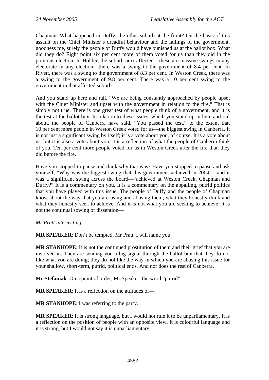Chapman. What happened in Duffy, the other suburb at the front? On the basis of this assault on the Chief Minister's dreadful behaviour and the failings of the government, goodness me, surely the people of Duffy would have punished us at the ballot box. What did they do? Eight point six per cent more of them voted for us than they did in the previous election. In Holder, the suburb next affected—these are massive swings in any electorate in any election—there was a swing to the government of 8.4 per cent. In Rivett, there was a swing to the government of 8.3 per cent. In Weston Creek, there was a swing to the government of 9.8 per cent. There was a 10 per cent swing to the government in that affected suburb.

And you stand up here and rail, "We are being constantly approached by people upset with the Chief Minister and upset with the government in relation to the fire." That is simply not true. There is one great test of what people think of a government, and it is the test at the ballot box. In relation to these issues, which you stand up in here and rail about, the people of Canberra have said, "You passed the test," to the extent that 10 per cent more people in Weston Creek voted for us—the biggest swing in Canberra. It is not just a significant swing by itself; it is a vote about you, of course. It is a vote about us, but it is also a vote about you; it is a reflection of what the people of Canberra think of you. Ten per cent more people voted for us in Weston Creek after the fire than they did before the fire.

Have you stopped to pause and think why that was? Have you stopped to pause and ask yourself, "Why was the biggest swing that this government achieved in 2004"—and it was a significant swing across the board—"achieved at Weston Creek, Chapman and Duffy?" It is a commentary on you. It is a commentary on the appalling, putrid politics that you have played with this issue. The people of Duffy and the people of Chapman know about the way that you are using and abusing them, what they honestly think and what they honestly seek to achieve. And it is not what you are seeking to achieve; it is not the continual sowing of dissention—

*Mr Pratt interjecting—* 

**MR SPEAKER**: Don't be tempted, Mr Pratt. I will name you.

**MR STANHOPE**: It is not the continued prostitution of them and their grief that you are involved in. They are sending you a big signal through the ballot box that they do not like what you are doing; they do not like the way in which you are abusing this issue for your shallow, short-term, putrid, political ends. And nor does the rest of Canberra.

**Mr Stefaniak**: On a point of order, Mr Speaker: the word "putrid".

**MR SPEAKER**: It is a reflection on the attitudes of—

**MR STANHOPE**: I was referring to the party.

**MR SPEAKER**: It is strong language, but I would not rule it to be unparliamentary. It is a reflection on the position of people with an opposite view. It is colourful language and it is strong, but I would not say it is unparliamentary.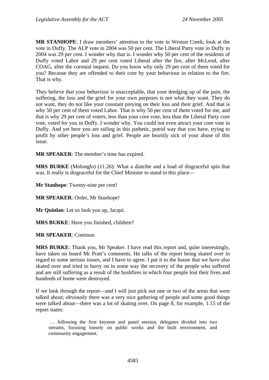**MR STANHOPE**: I draw members' attention to the vote in Weston Creek; look at the vote in Duffy. The ALP vote in 2004 was 50 per cent. The Liberal Party vote in Duffy in 2004 was 29 per cent. I wonder why that is. I wonder why 50 per cent of the residents of Duffy voted Labor and 29 per cent voted Liberal after the fire, after McLeod, after COAG, after the coronial inquest. Do you know why only 29 per cent of them voted for you? Because they are offended to their core by your behaviour in relation to the fire. That is why.

They believe that your behaviour is unacceptable, that your dredging up of the pain, the suffering, the loss and the grief for your own purposes is not what they want. They do not want, they do not like your constant preying on their loss and their grief. And that is why 50 per cent of them voted Labor. That is why 50 per cent of them voted for me, and that is why 29 per cent of voters, less than your core vote, less than the Liberal Party core vote, voted for you in Duffy. I wonder why. You could not even attract your core vote in Duffy. And yet here you are railing in this pathetic, putrid way that you have, trying to profit by other people's loss and grief. People are heartily sick of your abuse of this issue.

**MR SPEAKER**: The member's time has expired.

**MRS BURKE** (Molonglo) (11.26): What a diatribe and a load of disgraceful spin that was. It really is disgraceful for the Chief Minister to stand in this place—

**Mr Stanhope**: Twenty-nine per cent!

**MR SPEAKER**: Order, Mr Stanhope!

**Mr Quinlan**: Let us look you up, Jacqui.

**MRS BURKE**: Have you finished, children?

**MR SPEAKER**: Continue.

**MRS BURKE**: Thank you, Mr Speaker. I have read this report and, quite interestingly, have taken on board Mr Pratt's comments. He talks of the report being skated over in regard to some serious issues, and I have to agree. I put it to the house that we have also skated over and tried to hurry on in some way the recovery of the people who suffered and are still suffering as a result of the bushfires in which four people lost their lives and hundreds of home were destroyed.

If we look through the report—and I will just pick out one or two of the areas that were talked about; obviously there was a very nice gathering of people and some good things were talked about—there was a lot of skating over. On page 8, for example, 1.15 of the report states:

 … following the first keynote and panel session, delegates divided into two streams, focusing loosely on public works and the built environment, and community engagement.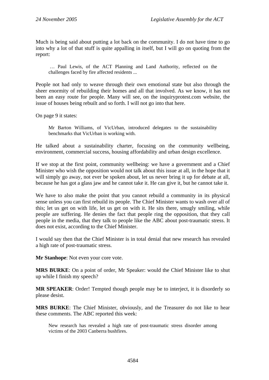Much is being said about putting a lot back on the community. I do not have time to go into why a lot of that stuff is quite appalling in itself, but I will go on quoting from the report:

 … Paul Lewis, of the ACT Planning and Land Authority, reflected on the challenges faced by fire affected residents ...

People not had only to weave through their own emotional state but also through the sheer enormity of rebuilding their homes and all that involved. As we know, it has not been an easy route for people. Many will see, on the inquiryprotest.com website, the issue of houses being rebuilt and so forth. I will not go into that here.

On page 9 it states:

Mr Barton Williams, of VicUrban, introduced delegates to the sustainability benchmarks that VicUrban is working with.

He talked about a sustainability charter, focusing on the community wellbeing, environment, commercial success, housing affordability and urban design excellence.

If we stop at the first point, community wellbeing: we have a government and a Chief Minister who wish the opposition would not talk about this issue at all, in the hope that it will simply go away, not ever be spoken about, let us never bring it up for debate at all, because he has got a glass jaw and he cannot take it. He can give it, but he cannot take it.

We have to also make the point that you cannot rebuild a community in its physical sense unless you can first rebuild its people. The Chief Minister wants to wash over all of this; let us get on with life, let us get on with it. He sits there, smugly smiling, while people are suffering. He denies the fact that people ring the opposition, that they call people in the media, that they talk to people like the ABC about post-traumatic stress. It does not exist, according to the Chief Minister.

I would say then that the Chief Minister is in total denial that new research has revealed a high rate of post-traumatic stress.

**Mr Stanhope**: Not even your core vote.

**MRS BURKE**: On a point of order, Mr Speaker: would the Chief Minister like to shut up while I finish my speech?

**MR SPEAKER**: Order! Tempted though people may be to interject, it is disorderly so please desist.

**MRS BURKE**: The Chief Minister, obviously, and the Treasurer do not like to hear these comments. The ABC reported this week:

New research has revealed a high rate of post-traumatic stress disorder among victims of the 2003 Canberra bushfires.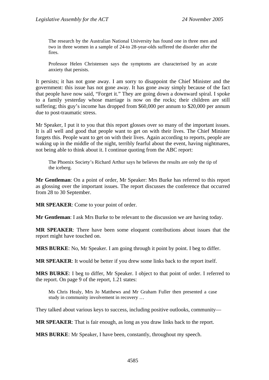The research by the Australian National University has found one in three men and two in three women in a sample of 24-to 28-year-olds suffered the disorder after the fires.

Professor Helen Christensen says the symptoms are characterised by an acute anxiety that persists.

It persists; it has not gone away. I am sorry to disappoint the Chief Minister and the government: this issue has not gone away. It has gone away simply because of the fact that people have now said, "Forget it." They are going down a downward spiral. I spoke to a family yesterday whose marriage is now on the rocks; their children are still suffering; this guy's income has dropped from \$60,000 per annum to \$20,000 per annum due to post-traumatic stress.

Mr Speaker, I put it to you that this report glosses over so many of the important issues. It is all well and good that people want to get on with their lives. The Chief Minister forgets this. People want to get on with their lives. Again according to reports, people are waking up in the middle of the night, terribly fearful about the event, having nightmares, not being able to think about it. I continue quoting from the ABC report:

The Phoenix Society's Richard Arthur says he believes the results are only the tip of the iceberg.

**Mr Gentleman**: On a point of order, Mr Speaker: Mrs Burke has referred to this report as glossing over the important issues. The report discusses the conference that occurred from 28 to 30 September.

**MR SPEAKER**: Come to your point of order.

**Mr Gentleman**: I ask Mrs Burke to be relevant to the discussion we are having today.

**MR SPEAKER**: There have been some eloquent contributions about issues that the report might have touched on.

**MRS BURKE**: No, Mr Speaker. I am going through it point by point. I beg to differ.

**MR SPEAKER**: It would be better if you drew some links back to the report itself.

**MRS BURKE**: I beg to differ, Mr Speaker. I object to that point of order. I referred to the report. On page 9 of the report, 1.21 states:

Ms Chris Healy, Mrs Jo Matthews and Mr Graham Fuller then presented a case study in community involvement in recovery …

They talked about various keys to success, including positive outlooks, community—

**MR SPEAKER**: That is fair enough, as long as you draw links back to the report.

**MRS BURKE**: Mr Speaker, I have been, constantly, throughout my speech.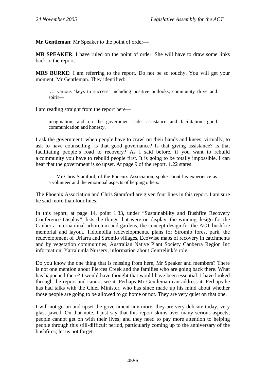**Mr Gentleman**: Mr Speaker to the point of order—

**MR SPEAKER**: I have ruled on the point of order. She will have to draw some links back to the report.

**MRS BURKE**: I am referring to the report. Do not be so touchy. You will get your moment, Mr Gentleman. They identified:

 … various 'keys to success' including positive outlooks, community drive and spirit—

I am reading straight from the report here—

imagination, and on the government side—assistance and facilitation, good communication and honesty.

I ask the government: when people have to crawl on their hands and knees, virtually, to ask to have counselling, is that good governance? Is that giving assistance? Is that facilitating people's road to recovery? As I said before, if you want to rebuild a community you have to rebuild people first. It is going to be totally impossible. I can hear that the government is so upset. At page 9 of the report, 1.22 states:

 … Mr Chris Stamford, of the Phoenix Association, spoke about his experience as a volunteer and the emotional aspects of helping others.

The Phoenix Association and Chris Stamford are given four lines in this report. I am sure he said more than four lines.

In this report, at page 14, point 1.33, under "Sustainability and Bushfire Recovery Conference Display", lists the things that were on display: the winning design for the Canberra international arboretum and gardens, the concept design for the ACT bushfire memorial and layout, Tidbinbilla redevelopments, plans for Stromlo forest park, the redevelopment of Uriarra and Stromlo villages, EcoWise maps of recovery in catchments and by vegetation communities, Australian Native Plant Society Canberra Region Inc information, Yarralumla Nursery, information about Centrelink's role.

Do you know the one thing that is missing from here, Mr Speaker and members? There is not one mention about Pierces Creek and the families who are going back there. What has happened there? I would have thought that would have been essential. I have looked through the report and cannot see it. Perhaps Mr Gentleman can address it. Perhaps he has had talks with the Chief Minister, who has since made up his mind about whether those people are going to be allowed to go home or not. They are very quiet on that one.

I will not go on and upset the government any more; they are very delicate today, very glass-jawed. On that note, I just say that this report skims over many serious aspects; people cannot get on with their lives; and they need to pay more attention to helping people through this still-difficult period, particularly coming up to the anniversary of the bushfires; let us not forget.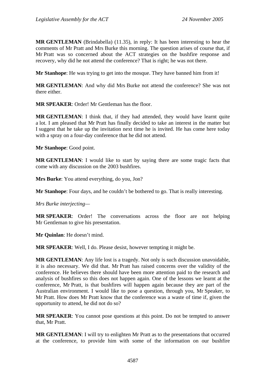**MR GENTLEMAN** (Brindabella) (11.35), in reply: It has been interesting to hear the comments of Mr Pratt and Mrs Burke this morning. The question arises of course that, if Mr Pratt was so concerned about the ACT strategies on the bushfire response and recovery, why did he not attend the conference? That is right; he was not there.

**Mr Stanhope**: He was trying to get into the mosque. They have banned him from it!

**MR GENTLEMAN**: And why did Mrs Burke not attend the conference? She was not there either.

**MR SPEAKER**: Order! Mr Gentleman has the floor.

**MR GENTLEMAN**: I think that, if they had attended, they would have learnt quite a lot. I am pleased that Mr Pratt has finally decided to take an interest in the matter but I suggest that he take up the invitation next time he is invited. He has come here today with a spray on a four-day conference that he did not attend.

**Mr Stanhope**: Good point.

**MR GENTLEMAN**: I would like to start by saying there are some tragic facts that come with any discussion on the 2003 bushfires.

**Mrs Burke**: You attend everything, do you, Jon?

**Mr Stanhope**: Four days, and he couldn't be bothered to go. That is really interesting.

*Mrs Burke interjecting—* 

**MR SPEAKER**: Order! The conversations across the floor are not helping Mr Gentleman to give his presentation.

**Mr Quinlan**: He doesn't mind.

**MR SPEAKER**: Well, I do. Please desist, however tempting it might be.

**MR GENTLEMAN**: Any life lost is a tragedy. Not only is such discussion unavoidable, it is also necessary. We did that. Mr Pratt has raised concerns over the validity of the conference. He believes there should have been more attention paid to the research and analysis of bushfires so this does not happen again. One of the lessons we learnt at the conference, Mr Pratt, is that bushfires will happen again because they are part of the Australian environment. I would like to pose a question, through you, Mr Speaker, to Mr Pratt. How does Mr Pratt know that the conference was a waste of time if, given the opportunity to attend, he did not do so?

**MR SPEAKER**: You cannot pose questions at this point. Do not be tempted to answer that, Mr Pratt.

**MR GENTLEMAN:** I will try to enlighten Mr Pratt as to the presentations that occurred at the conference, to provide him with some of the information on our bushfire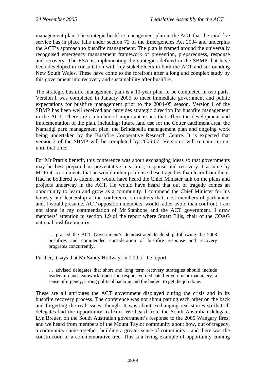management plan. The strategic bushfire management plan in the ACT that the rural fire service has in place falls under section 72 of the Emergencies Act 2004 and underpins the ACT's approach to bushfire management. The plan is framed around the universally recognised emergency management framework of prevention, preparedness, response and recovery. The ESA is implementing the strategies defined in the SBMP that have been developed in consultation with key stakeholders in both the ACT and surrounding New South Wales. These have come to the forefront after a long and complex study by this government into recovery and sustainability after bushfire.

The strategic bushfire management plan is a 10-year plan, to be completed in two parts. Version 1 was completed in January 2005 to meet immediate government and public expectations for bushfire management prior to the 2004-05 season. Version 1 of the SBMP has been well received and provides strategic direction for bushfire management in the ACT. There are a number of important issues that affect the development and implementation of the plan, including: future land use for the Cotter catchment area, the Namadgi park management plan, the Brindabella management plan and ongoing work being undertaken by the Bushfire Cooperative Research Centre. It is expected that version 2 of the SBMP will be completed by 2006-07. Version 1 will remain current until that time.

For Mr Pratt's benefit, this conference was about exchanging ideas so that governments may be best prepared in preventative measures, response and recovery. I assume by Mr Pratt's comments that he would rather politicise these tragedies than learn from them. Had he bothered to attend, he would have heard the Chief Minister talk on the plans and projects underway in the ACT. He would have heard that out of tragedy comes an opportunity to learn and grow as a community. I commend the Chief Minister for his honesty and leadership at the conference on matters that most members of parliament and, I would presume, ACT opposition members, would rather avoid than confront. I am not alone in my commendation of Mr Stanhope and the ACT government. I draw members' attention to section 1.9 of the report where Stuart Ellis, chair of the COAG national bushfire inquiry:

… praised the ACT Government's demonstrated leadership following the 2003 bushfires and commended consideration of bushfire response and recovery programs concurrently.

Further, it says that Mr Sandy Hollway, in 1.10 of the report:

… advised delegates that short and long term recovery strategies should include leadership and teamwork, open and responsive dedicated government machinery, a sense of urgency, strong political backing and the budget to get the job done.

These are all attributes the ACT government displayed during the crisis and in its bushfire recovery process. The conference was not about patting each other on the back and forgetting the real issues, though. It was about exchanging real stories so that all delegates had the opportunity to learn. We heard from the South Australian delegate, Lyn Breuer, on the South Australian government's response to the 2005 Wangary fires; and we heard from members of the Mount Taylor community about how, out of tragedy, a community came together, building a greater sense of community—and there was the construction of a commemorative tree. This is a living example of opportunity coming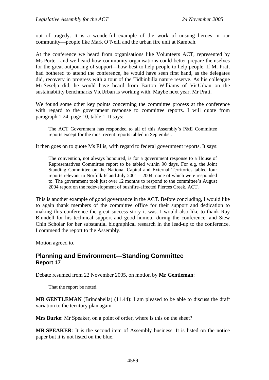<span id="page-26-0"></span>out of tragedy. It is a wonderful example of the work of unsung heroes in our community—people like Mark O'Neill and the urban fire unit at Kambah.

At the conference we heard from organisations like Volunteers ACT, represented by Ms Porter, and we heard how community organisations could better prepare themselves for the great outpouring of support—how best to help people to help people. If Mr Pratt had bothered to attend the conference, he would have seen first hand, as the delegates did, recovery in progress with a tour of the Tidbinbilla nature reserve. As his colleague Mr Seselja did, he would have heard from Barton Williams of VicUrban on the sustainability benchmarks VicUrban is working with. Maybe next year, Mr Pratt.

We found some other key points concerning the committee process at the conference with regard to the government response to committee reports. I will quote from paragraph 1.24, page 10, table 1. It says:

The ACT Government has responded to all of this Assembly's P&E Committee reports except for the most recent reports tabled in September.

It then goes on to quote Ms Ellis, with regard to federal government reports. It says:

The convention, not always honoured, is for a government response to a House of Representatives Committee report to be tabled within 90 days. For e.g, the Joint Standing Committee on the National Capital and External Territories tabled four reports relevant to Norfolk Island July 2001 – 2004, none of which were responded to. The government took just over 12 months to respond to the committee's August 2004 report on the redevelopment of bushfire-affected Pierces Creek, ACT.

This is another example of good governance in the ACT. Before concluding, I would like to again thank members of the committee office for their support and dedication to making this conference the great success story it was. I would also like to thank Ray Blundell for his technical support and good humour during the conference, and Siew Chin Scholar for her substantial biographical research in the lead-up to the conference. I commend the report to the Assembly.

Motion agreed to.

#### **Planning and Environment—Standing Committee Report 17**

Debate resumed from 22 November 2005, on motion by **Mr Gentleman**:

That the report be noted.

**MR GENTLEMAN** (Brindabella) (11.44): I am pleased to be able to discuss the draft variation to the territory plan again.

**Mrs Burke**: Mr Speaker, on a point of order, where is this on the sheet?

**MR SPEAKER**: It is the second item of Assembly business. It is listed on the notice paper but it is not listed on the blue.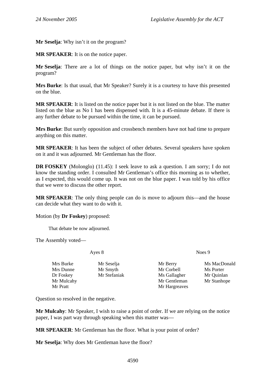**Mr Seselja**: Why isn't it on the program?

**MR SPEAKER**: It is on the notice paper.

**Mr Seselja**: There are a lot of things on the notice paper, but why isn't it on the program?

**Mrs Burke**: Is that usual, that Mr Speaker? Surely it is a courtesy to have this presented on the blue.

**MR SPEAKER**: It is listed on the notice paper but it is not listed on the blue. The matter listed on the blue as No 1 has been dispensed with. It is a 45-minute debate. If there is any further debate to be pursued within the time, it can be pursued.

**Mrs Burke**: But surely opposition and crossbench members have not had time to prepare anything on this matter.

**MR SPEAKER**: It has been the subject of other debates. Several speakers have spoken on it and it was adjourned. Mr Gentleman has the floor.

**DR FOSKEY** (Molonglo) (11.45): I seek leave to ask a question. I am sorry; I do not know the standing order. I consulted Mr Gentleman's office this morning as to whether, as I expected, this would come up. It was not on the blue paper. I was told by his office that we were to discuss the other report.

**MR SPEAKER**: The only thing people can do is move to adjourn this—and the house can decide what they want to do with it.

Motion (by **Dr Foskey**) proposed:

That debate be now adjourned.

The Assembly voted—

Ayes 8 Noes 9

| Mrs Burke  | Mr Seselja   | Mr Berry      | Ms MacDonald |
|------------|--------------|---------------|--------------|
| Mrs Dunne  | Mr Smyth     | Mr Corbell    | Ms Porter    |
| Dr Foskey  | Mr Stefaniak | Ms Gallagher  | Mr Quinlan   |
| Mr Mulcahy |              | Mr Gentleman  | Mr Stanhope  |
| Mr Pratt   |              | Mr Hargreaves |              |

Question so resolved in the negative.

**Mr Mulcahy**: Mr Speaker, I wish to raise a point of order. If we are relying on the notice paper, I was part way through speaking when this matter was—

**MR SPEAKER**: Mr Gentleman has the floor. What is your point of order?

**Mr Seselja**: Why does Mr Gentleman have the floor?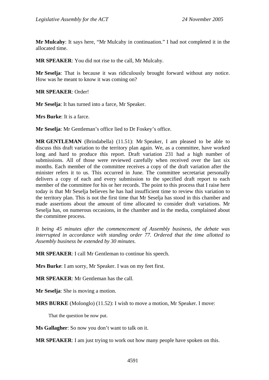**Mr Mulcahy**: It says here, "Mr Mulcahy in continuation." I had not completed it in the allocated time.

**MR SPEAKER**: You did not rise to the call, Mr Mulcahy.

**Mr Seselja**: That is because it was ridiculously brought forward without any notice. How was he meant to know it was coming on?

**MR SPEAKER**: Order!

**Mr Seselja**: It has turned into a farce, Mr Speaker.

**Mrs Burke**: It is a farce.

**Mr Seselja**: Mr Gentleman's office lied to Dr Foskey's office.

**MR GENTLEMAN** (Brindabella) (11.51): Mr Speaker, I am pleased to be able to discuss this draft variation to the territory plan again. We, as a committee, have worked long and hard to produce this report. Draft variation 231 had a high number of submissions. All of those were reviewed carefully when received over the last six months. Each member of the committee receives a copy of the draft variation after the minister refers it to us. This occurred in June. The committee secretariat personally delivers a copy of each and every submission to the specified draft report to each member of the committee for his or her records. The point to this process that I raise here today is that Mr Seselja believes he has had insufficient time to review this variation to the territory plan. This is not the first time that Mr Seselja has stood in this chamber and made assertions about the amount of time allocated to consider draft variations. Mr Seselja has, on numerous occasions, in the chamber and in the media, complained about the committee process.

*It being 45 minutes after the commencement of Assembly business, the debate was interrupted in accordance with standing order 77. Ordered that the time allotted to Assembly business be extended by 30 minutes.* 

**MR SPEAKER**: I call Mr Gentleman to continue his speech.

**Mrs Burke**: I am sorry, Mr Speaker. I was on my feet first.

**MR SPEAKER**: Mr Gentleman has the call.

**Mr Seselja**: She is moving a motion.

**MRS BURKE** (Molonglo) (11.52): I wish to move a motion, Mr Speaker. I move:

That the question be now put.

**Ms Gallagher**: So now you don't want to talk on it.

**MR SPEAKER**: I am just trying to work out how many people have spoken on this.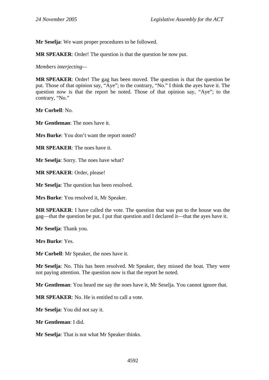**Mr Seselja**: We want proper procedures to be followed.

**MR SPEAKER**: Order! The question is that the question be now put.

*Members interjecting—* 

**MR SPEAKER**: Order! The gag has been moved. The question is that the question be put. Those of that opinion say, "Aye"; to the contrary, "No." I think the ayes have it. The question now is that the report be noted. Those of that opinion say, "Aye"; to the contrary, "No."

**Mr Corbell**: No.

**Mr Gentleman**: The noes have it.

**Mrs Burke**: You don't want the report noted?

**MR SPEAKER**: The noes have it.

**Mr Seselja**: Sorry. The noes have what?

**MR SPEAKER**: Order, please!

**Mr Seselja**: The question has been resolved.

**Mrs Burke**: You resolved it, Mr Speaker.

**MR SPEAKER**: I have called the vote. The question that was put to the house was the gag—that the question be put. I put that question and I declared it—that the ayes have it.

**Mr Seselja**: Thank you.

**Mrs Burke**: Yes.

**Mr Corbell**: Mr Speaker, the noes have it.

**Mr Seselja**: No. This has been resolved. Mr Speaker, they missed the boat. They were not paying attention. The question now is that the report be noted.

**Mr Gentleman**: You heard me say the noes have it, Mr Seselja. You cannot ignore that.

**MR SPEAKER**: No. He is entitled to call a vote.

**Mr Seselja**: You did not say it.

**Mr Gentleman**: I did.

**Mr Seselja**: That is not what Mr Speaker thinks.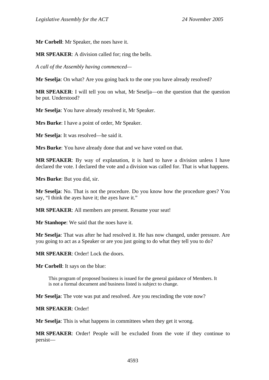**Mr Corbell**: Mr Speaker, the noes have it.

**MR SPEAKER**: A division called for; ring the bells.

*A call of the Assembly having commenced—* 

**Mr Seselja**: On what? Are you going back to the one you have already resolved?

**MR SPEAKER:** I will tell you on what, Mr Seselia—on the question that the question be put. Understood?

**Mr Seselja**: You have already resolved it, Mr Speaker.

**Mrs Burke**: I have a point of order, Mr Speaker.

**Mr Seselja**: It was resolved—he said it.

**Mrs Burke**: You have already done that and we have voted on that.

**MR SPEAKER**: By way of explanation, it is hard to have a division unless I have declared the vote. I declared the vote and a division was called for. That is what happens.

**Mrs Burke**: But you did, sir.

**Mr Seselja**: No. That is not the procedure. Do you know how the procedure goes? You say, "I think the ayes have it; the ayes have it."

**MR SPEAKER**: All members are present. Resume your seat!

**Mr Stanhope**: We said that the noes have it.

**Mr Seselja**: That was after he had resolved it. He has now changed, under pressure. Are you going to act as a Speaker or are you just going to do what they tell you to do?

**MR SPEAKER**: Order! Lock the doors.

**Mr Corbell**: It says on the blue:

This program of proposed business is issued for the general guidance of Members. It is not a formal document and business listed is subject to change.

**Mr Seselja**: The vote was put and resolved. Are you rescinding the vote now?

**MR SPEAKER**: Order!

**Mr Seselja**: This is what happens in committees when they get it wrong.

**MR SPEAKER**: Order! People will be excluded from the vote if they continue to persist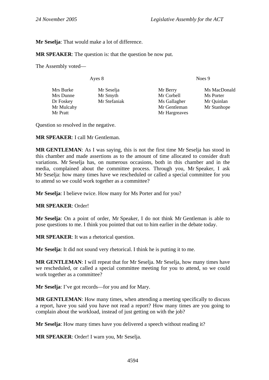**Mr Seselja**: That would make a lot of difference.

**MR SPEAKER**: The question is: that the question be now put.

The Assembly voted—

| Ayes 8                                    | Noes 9       |
|-------------------------------------------|--------------|
| Mrs Burke<br>Mr Seselja<br>Mr Berry       | Ms MacDonald |
| Mrs Dunne<br>Mr Corbell<br>Mr Smyth       | Ms Porter    |
| Mr Stefaniak<br>Dr Foskey<br>Ms Gallagher | Mr Quinlan   |
| Mr Mulcahy<br>Mr Gentleman                | Mr Stanhope  |
| Mr Pratt<br>Mr Hargreaves                 |              |

Question so resolved in the negative.

#### **MR SPEAKER**: I call Mr Gentleman.

**MR GENTLEMAN**: As I was saying, this is not the first time Mr Seselja has stood in this chamber and made assertions as to the amount of time allocated to consider draft variations. Mr Seselja has, on numerous occasions, both in this chamber and in the media, complained about the committee process. Through you, Mr Speaker, I ask Mr Seselja: how many times have we rescheduled or called a special committee for you to attend so we could work together as a committee?

**Mr Seselja**: I believe twice. How many for Ms Porter and for you?

#### **MR SPEAKER**: Order!

**Mr Seselja**: On a point of order, Mr Speaker, I do not think Mr Gentleman is able to pose questions to me. I think you pointed that out to him earlier in the debate today.

**MR SPEAKER**: It was a rhetorical question.

**Mr Seselja**: It did not sound very rhetorical. I think he is putting it to me.

**MR GENTLEMAN**: I will repeat that for Mr Seselja. Mr Seselja, how many times have we rescheduled, or called a special committee meeting for you to attend, so we could work together as a committee?

**Mr Seselja**: I've got records—for you and for Mary.

**MR GENTLEMAN:** How many times, when attending a meeting specifically to discuss a report, have you said you have not read a report? How many times are you going to complain about the workload, instead of just getting on with the job?

**Mr Seselia:** How many times have you delivered a speech without reading it?

**MR SPEAKER**: Order! I warn you, Mr Seselja.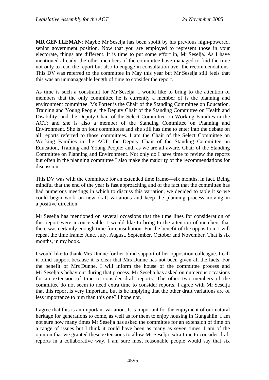**MR GENTLEMAN**: Maybe Mr Seselja has been spoilt by his previous high-powered, senior government position. Now that you are employed to represent those in your electorate, things are different. It is time to put some effort in, Mr Seselja. As I have mentioned already, the other members of the committee have managed to find the time not only to read the report but also to engage in consultation over the recommendations. This DV was referred to the committee in May this year but Mr Seselja still feels that this was an unmanageable length of time to consider the report.

As time is such a constraint for Mr Seselja, I would like to bring to the attention of members that the only committee he is currently a member of is the planning and environment committee. Ms Porter is the Chair of the Standing Committee on Education, Training and Young People; the Deputy Chair of the Standing Committee on Health and Disability; and the Deputy Chair of the Select Committee on Working Families in the ACT; and she is also a member of the Standing Committee on Planning and Environment. She is on four committees and she still has time to enter into the debate on all reports referred to those committees. I am the Chair of the Select Committee on Working Families in the ACT; the Deputy Chair of the Standing Committee on Education, Training and Young People; and, as we are all aware, Chair of the Standing Committee on Planning and Environment. Not only do I have time to review the reports but often in the planning committee I also make the majority of the recommendations for discussion.

This DV was with the committee for an extended time frame—six months, in fact. Being mindful that the end of the year is fast approaching and of the fact that the committee has had numerous meetings in which to discuss this variation, we decided to table it so we could begin work on new draft variations and keep the planning process moving in a positive direction.

Mr Seselja has mentioned on several occasions that the time lines for consideration of this report were inconceivable. I would like to bring to the attention of members that there was certainly enough time for consultation. For the benefit of the opposition, I will repeat the time frame: June, July, August, September, October and November. That is six months, in my book.

I would like to thank Mrs Dunne for her blind support of her opposition colleague. I call it blind support because it is clear that Mrs Dunne has not been given all the facts. For the benefit of Mrs Dunne, I will inform the house of the committee process and Mr Seselja's behaviour during that process. Mr Seselja has asked on numerous occasions for an extension of time to consider draft reports. The other two members of the committee do not seem to need extra time to consider reports. I agree with Mr Seselja that this report is very important, but is he implying that the other draft variations are of less importance to him than this one? I hope not.

I agree that this is an important variation. It is important for the enjoyment of our natural heritage for generations to come, as well as for them to enjoy housing in Gungahlin. I am not sure how many times Mr Seselja has asked the committee for an extension of time on a range of issues but I think it could have been as many as seven times. I am of the opinion that we granted these extensions to allow Mr Seselja extra time to consider draft reports in a collaborative way. I am sure most reasonable people would say that six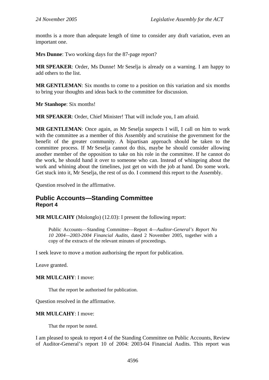<span id="page-33-0"></span>months is a more than adequate length of time to consider any draft variation, even an important one.

**Mrs Dunne**: Two working days for the 87-page report?

**MR SPEAKER**: Order, Ms Dunne! Mr Seselja is already on a warning. I am happy to add others to the list.

**MR GENTLEMAN**: Six months to come to a position on this variation and six months to bring your thoughts and ideas back to the committee for discussion.

**Mr Stanhope**: Six months!

**MR SPEAKER**: Order, Chief Minister! That will include you, I am afraid.

**MR GENTLEMAN**: Once again, as Mr Seselja suspects I will, I call on him to work with the committee as a member of this Assembly and scrutinise the government for the benefit of the greater community. A bipartisan approach should be taken to the committee process. If Mr Seselja cannot do this, maybe he should consider allowing another member of the opposition to take on his role in the committee. If he cannot do the work, he should hand it over to someone who can. Instead of whingeing about the work and whining about the timelines, just get on with the job at hand. Do some work. Get stuck into it, Mr Seselja, the rest of us do. I commend this report to the Assembly.

Question resolved in the affirmative.

#### **Public Accounts—Standing Committee Report 4**

**MR MULCAHY** (Molonglo) (12.03): I present the following report:

Public Accounts—Standing Committee—Report 4—*Auditor-General's Report No 10 2004—2003-2004 Financial Audits,* dated 2 November 2005, together with a copy of the extracts of the relevant minutes of proceedings.

I seek leave to move a motion authorising the report for publication.

Leave granted.

#### **MR MULCAHY**: I move:

That the report be authorised for publication.

Question resolved in the affirmative.

#### **MR MULCAHY**: I move:

That the report be noted.

I am pleased to speak to report 4 of the Standing Committee on Public Accounts, Review of Auditor-General's report 10 of 2004: 2003-04 Financial Audits. This report was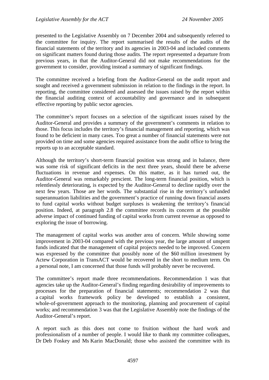presented to the Legislative Assembly on 7 December 2004 and subsequently referred to the committee for inquiry. The report summarised the results of the audits of the financial statements of the territory and its agencies in 2003-04 and included comments on significant matters found during those audits. The report represented a departure from previous years, in that the Auditor-General did not make recommendations for the government to consider, providing instead a summary of significant findings.

The committee received a briefing from the Auditor-General on the audit report and sought and received a government submission in relation to the findings in the report. In reporting, the committee considered and assessed the issues raised by the report within the financial auditing context of accountability and governance and in subsequent effective reporting by public sector agencies.

The committee's report focuses on a selection of the significant issues raised by the Auditor-General and provides a summary of the government's comments in relation to those. This focus includes the territory's financial management and reporting, which was found to be deficient in many cases. Too great a number of financial statements were not provided on time and some agencies required assistance from the audit office to bring the reports up to an acceptable standard.

Although the territory's short-term financial position was strong and in balance, there was some risk of significant deficits in the next three years, should there be adverse fluctuations in revenue and expenses. On this matter, as it has turned out, the Auditor-General was remarkably prescient. The long-term financial position, which is relentlessly deteriorating, is expected by the Auditor-General to decline rapidly over the next few years. Those are her words. The substantial rise in the territory's unfunded superannuation liabilities and the government's practice of running down financial assets to fund capital works without budget surpluses is weakening the territory's financial position. Indeed, at paragraph 2.8 the committee records its concern at the possible adverse impact of continued funding of capital works from current revenue as opposed to exploring the issue of borrowing.

The management of capital works was another area of concern. While showing some improvement in 2003-04 compared with the previous year, the large amount of unspent funds indicated that the management of capital projects needed to be improved. Concern was expressed by the committee that possibly none of the \$60 million investment by Actew Corporation in TransACT would be recovered in the short to medium term. On a personal note, I am concerned that those funds will probably never be recovered.

The committee's report made three recommendations. Recommendation 1 was that agencies take up the Auditor-General's finding regarding desirability of improvements to processes for the preparation of financial statements; recommendation 2 was that a capital works framework policy be developed to establish a consistent, whole-of-government approach to the monitoring, planning and procurement of capital works; and recommendation 3 was that the Legislative Assembly note the findings of the Auditor-General's report.

A report such as this does not come to fruition without the hard work and professionalism of a number of people. I would like to thank my committee colleagues, Dr Deb Foskey and Ms Karin MacDonald; those who assisted the committee with its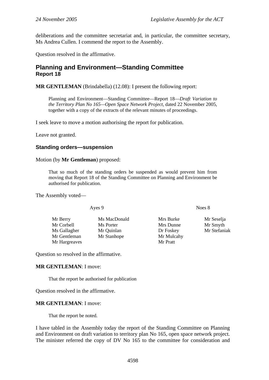<span id="page-35-0"></span>deliberations and the committee secretariat and, in particular, the committee secretary, Ms Andrea Cullen. I commend the report to the Assembly.

Question resolved in the affirmative.

#### **Planning and Environment—Standing Committee Report 18**

**MR GENTLEMAN** (Brindabella) (12.08): I present the following report:

Planning and Environment—Standing Committee—Report 18—*Draft Variation to the Territory Plan No 165—Open Space Network Project,* dated 22 November 2005, together with a copy of the extracts of the relevant minutes of proceedings.

I seek leave to move a motion authorising the report for publication.

Leave not granted.

#### **Standing orders—suspension**

Motion (by **Mr Gentleman**) proposed:

That so much of the standing orders be suspended as would prevent him from moving that Report 18 of the Standing Committee on Planning and Environment be authorised for publication.

The Assembly voted—

Mr Berry Ms MacDonald Mrs Burke Mr Seselia Mr Corbell Ms Porter Mrs Dunne Mr Smyth Ms Gallagher Mr Quinlan Dr Foskey Mr Stefaniak Mr Gentleman Mr Stanhope Mr Mulcahy Mr Hargreaves Mr Pratt

Ayes 9 Noes 8

Question so resolved in the affirmative.

#### **MR GENTLEMAN**: I move:

That the report be authorised for publication

Question resolved in the affirmative.

#### **MR GENTLEMAN**: I move:

That the report be noted.

I have tabled in the Assembly today the report of the Standing Committee on Planning and Environment on draft variation to territory plan No 165, open space network project. The minister referred the copy of DV No 165 to the committee for consideration and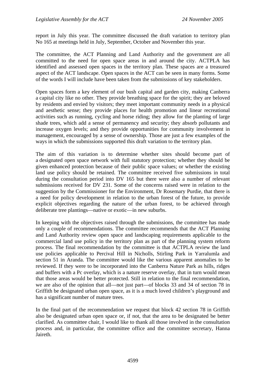report in July this year. The committee discussed the draft variation to territory plan No 165 at meetings held in July, September, October and November this year.

The committee, the ACT Planning and Land Authority and the government are all committed to the need for open space areas in and around the city. ACTPLA has identified and assessed open spaces in the territory plan. These spaces are a treasured aspect of the ACT landscape. Open spaces in the ACT can be seen in many forms. Some of the words I will include have been taken from the submissions of key stakeholders.

Open spaces form a key element of our bush capital and garden city, making Canberra a capital city like no other. They provide breathing space for the spirit; they are beloved by residents and envied by visitors; they meet important community needs in a physical and aesthetic sense; they provide places for health promotion and linear recreational activities such as running, cycling and horse riding; they allow for the planting of large shade trees, which add a sense of permanency and security; they absorb pollutants and increase oxygen levels; and they provide opportunities for community involvement in management, encouraged by a sense of ownership. Those are just a few examples of the ways in which the submissions supported this draft variation to the territory plan.

The aim of this variation is to determine whether sites should become part of a designated open space network with full statutory protection; whether they should be given enhanced protection because of their public space values; or whether the existing land use policy should be retained. The committee received five submissions in total during the consultation period into DV 165 but there were also a number of relevant submissions received for DV 231. Some of the concerns raised were in relation to the suggestion by the Commissioner for the Environment, Dr Rosemary Purdie, that there is a need for policy development in relation to the urban forest of the future, to provide explicit objectives regarding the nature of the urban forest, to be achieved through deliberate tree plantings—native or exotic—in new suburbs.

In keeping with the objectives raised through the submissions, the committee has made only a couple of recommendations. The committee recommends that the ACT Planning and Land Authority review open space and landscaping requirements applicable to the commercial land use policy in the territory plan as part of the planning system reform process. The final recommendation by the committee is that ACTPLA review the land use policies applicable to Percival Hill in Nicholls, Stirling Park in Yarralumla and section 51 in Aranda. The committee would like the various apparent anomalies to be reviewed. If they were to be incorporated into the Canberra Nature Park as hills, ridges and buffers with a Pc overlay, which is a nature reserve overlay, that in turn would mean that those areas would be better protected. Still in relation to the final recommendation, we are also of the opinion that all—not just part—of blocks 33 and 34 of section 78 in Griffith be designated urban open space, as it is a much loved children's playground and has a significant number of mature trees.

In the final part of the recommendation we request that block 42 section 78 in Griffith also be designated urban open space or, if not, that the area to be designated be better clarified. As committee chair, I would like to thank all those involved in the consultation process and, in particular, the committee office and the committee secretary, Hanna Jaireth.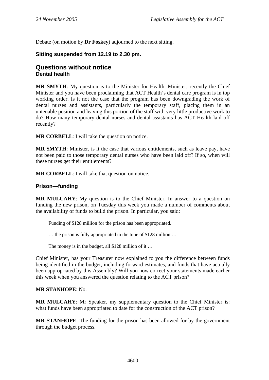Debate (on motion by **Dr Foskey**) adjourned to the next sitting.

#### **Sitting suspended from 12.19 to 2.30 pm.**

### **Questions without notice Dental health**

**MR SMYTH**: My question is to the Minister for Health. Minister, recently the Chief Minister and you have been proclaiming that ACT Health's dental care program is in top working order. Is it not the case that the program has been downgrading the work of dental nurses and assistants, particularly the temporary staff, placing them in an untenable position and leaving this portion of the staff with very little productive work to do? How many temporary dental nurses and dental assistants has ACT Health laid off recently?

**MR CORBELL:** I will take the question on notice.

**MR SMYTH**: Minister, is it the case that various entitlements, such as leave pay, have not been paid to those temporary dental nurses who have been laid off? If so, when will these nurses get their entitlements?

**MR CORBELL**: I will take that question on notice.

#### **Prison—funding**

**MR MULCAHY**: My question is to the Chief Minister. In answer to a question on funding the new prison, on Tuesday this week you made a number of comments about the availability of funds to build the prison. In particular, you said:

Funding of \$128 million for the prison has been appropriated.

… the prison is fully appropriated to the tune of \$128 million …

The money is in the budget, all \$128 million of it ...

Chief Minister, has your Treasurer now explained to you the difference between funds being identified in the budget, including forward estimates, and funds that have actually been appropriated by this Assembly? Will you now correct your statements made earlier this week when you answered the question relating to the ACT prison?

#### **MR STANHOPE**: No.

**MR MULCAHY**: Mr Speaker, my supplementary question to the Chief Minister is: what funds have been appropriated to date for the construction of the ACT prison?

**MR STANHOPE**: The funding for the prison has been allowed for by the government through the budget process.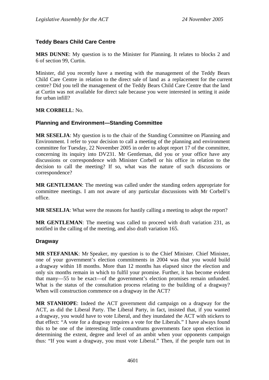# **Teddy Bears Child Care Centre**

**MRS DUNNE**: My question is to the Minister for Planning. It relates to blocks 2 and 6 of section 99, Curtin.

Minister, did you recently have a meeting with the management of the Teddy Bears Child Care Centre in relation to the direct sale of land as a replacement for the current centre? Did you tell the management of the Teddy Bears Child Care Centre that the land at Curtin was not available for direct sale because you were interested in setting it aside for urban infill?

#### **MR CORBELL**: No.

# **Planning and Environment—Standing Committee**

**MR SESELJA**: My question is to the chair of the Standing Committee on Planning and Environment. I refer to your decision to call a meeting of the planning and environment committee for Tuesday, 22 November 2005 in order to adopt report 17 of the committee, concerning its inquiry into DV231. Mr Gentleman, did you or your office have any discussions or correspondence with Minister Corbell or his office in relation to the decision to call the meeting? If so, what was the nature of such discussions or correspondence?

**MR GENTLEMAN**: The meeting was called under the standing orders appropriate for committee meetings. I am not aware of any particular discussions with Mr Corbell's office.

**MR SESELJA**: What were the reasons for hastily calling a meeting to adopt the report?

**MR GENTLEMAN**: The meeting was called to proceed with draft variation 231, as notified in the calling of the meeting, and also draft variation 165.

# **Dragway**

**MR STEFANIAK**: Mr Speaker, my question is to the Chief Minister. Chief Minister, one of your government's election commitments in 2004 was that you would build a dragway within 18 months. More than 12 months has elapsed since the election and only six months remain in which to fulfil your promise. Further, it has become evident that many—55 to be exact—of the government's election promises remain unfunded. What is the status of the consultation process relating to the building of a dragway? When will construction commence on a dragway in the ACT?

**MR STANHOPE**: Indeed the ACT government did campaign on a dragway for the ACT, as did the Liberal Party. The Liberal Party, in fact, insisted that, if you wanted a dragway, you would have to vote Liberal, and they inundated the ACT with stickers to that effect: "A vote for a dragway requires a vote for the Liberals." I have always found this to be one of the interesting little conundrums governments face upon election in determining the extent, degree and level of an ambit when your opponents campaign thus: "If you want a dragway, you must vote Liberal." Then, if the people turn out in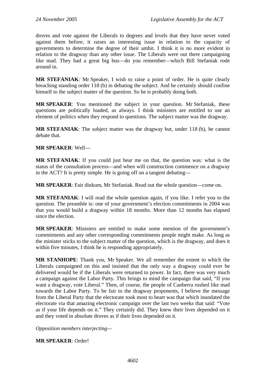droves and vote against the Liberals to degrees and levels that they have never voted against them before, it raises an interesting issue in relation to the capacity of governments to determine the degree of their ambit. I think it is no more evident in relation to the dragway than any other issue. The Liberals were out there campaigning like mad. They had a great big bus—do you remember—which Bill Stefaniak rode around in.

**MR STEFANIAK**: Mr Speaker, I wish to raise a point of order. He is quite clearly breaching standing order 118 (b) in debating the subject. And he certainly should confine himself to the subject matter of the question. So he is probably doing both.

**MR SPEAKER**: You mentioned the subject in your question. Mr Stefaniak, these questions are politically loaded, as always. I think ministers are entitled to use an element of politics when they respond to questions. The subject matter was the dragway.

**MR STEFANIAK**: The subject matter was the dragway but, under 118 (b), he cannot debate that.

#### **MR SPEAKER**: Well—

**MR STEFANIAK**: If you could just hear me on that, the question was: what is the status of the consultation process—and when will construction commence on a dragway in the ACT? It is pretty simple. He is going off on a tangent debating—

**MR SPEAKER**: Fair dinkum, Mr Stefaniak. Read out the whole question—come on.

**MR STEFANIAK**: I will read the whole question again, if you like. I refer you to the question. The preamble is: one of your government's election commitments in 2004 was that you would build a dragway within 18 months. More than 12 months has elapsed since the election.

**MR SPEAKER**: Ministers are entitled to make some mention of the government's commitments and any other corresponding commitments people might make. As long as the minister sticks to the subject matter of the question, which is the dragway, and does it within five minutes, I think he is responding appropriately.

**MR STANHOPE**: Thank you, Mr Speaker. We all remember the extent to which the Liberals campaigned on this and insisted that the only way a dragway could ever be delivered would be if the Liberals were returned to power. In fact, there was very much a campaign against the Labor Party. This brings to mind the campaign that said, "If you want a dragway, vote Liberal." Then, of course, the people of Canberra rushed like mad towards the Labor Party. To be fair to the dragway proponents, I believe the message from the Liberal Party that the electorate took most to heart was that which inundated the electorate via that amazing electronic campaign over the last two weeks that said: "Vote as if your life depends on it." They certainly did. They knew their lives depended on it and they voted in absolute droves as if their lives depended on it.

*Opposition members interjecting—* 

**MR SPEAKER**: Order!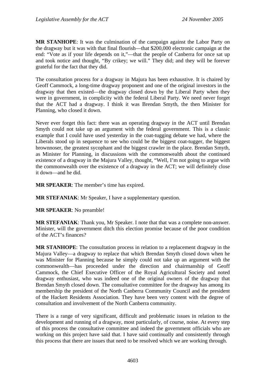**MR STANHOPE**: It was the culmination of the campaign against the Labor Party on the dragway but it was with that final flourish—that \$200,000 electronic campaign at the end: "Vote as if your life depends on it,"—that the people of Canberra for once sat up and took notice and thought, "By crikey; we will." They did; and they will be forever grateful for the fact that they did.

The consultation process for a dragway in Majura has been exhaustive. It is chaired by Geoff Cammock, a long-time dragway proponent and one of the original investors in the dragway that then existed—the dragway closed down by the Liberal Party when they were in government, in complicity with the federal Liberal Party. We need never forget that the ACT had a dragway. I think it was Brendan Smyth, the then Minister for Planning, who closed it down.

Never ever forget this fact: there was an operating dragway in the ACT until Brendan Smyth could not take up an argument with the federal government. This is a classic example that I could have used yesterday in the coat-tugging debate we had, where the Liberals stood up in sequence to see who could be the biggest coat-tugger, the biggest brownnoser, the greatest sycophant and the biggest crawler in the place. Brendan Smyth, as Minister for Planning, in discussions with the commonwealth about the continued existence of a dragway in the Majura Valley, thought, "Well, I'm not going to argue with the commonwealth over the existence of a dragway in the ACT; we will definitely close it down—and he did.

**MR SPEAKER**: The member's time has expired.

**MR STEFANIAK**: Mr Speaker, I have a supplementary question.

**MR SPEAKER**: No preamble!

**MR STEFANIAK**: Thank you, Mr Speaker. I note that that was a complete non-answer. Minister, will the government ditch this election promise because of the poor condition of the ACT's finances?

**MR STANHOPE**: The consultation process in relation to a replacement dragway in the Majura Valley—a dragway to replace that which Brendan Smyth closed down when he was Minister for Planning because he simply could not take up an argument with the commonwealth—has proceeded under the direction and chairmanship of Geoff Cammock, the Chief Executive Officer of the Royal Agricultural Society and noted dragway enthusiast, who was indeed one of the original owners of the dragway that Brendan Smyth closed down. The consultative committee for the dragway has among its membership the president of the North Canberra Community Council and the president of the Hackett Residents Association. They have been very content with the degree of consultation and involvement of the North Canberra community.

There is a range of very significant, difficult and problematic issues in relation to the development and running of a dragway, most particularly, of course, noise. At every step of this process the consultative committee and indeed the government officials who are working on this project have said that. I have said continually and consistently through this process that there are issues that need to be resolved which we are working through.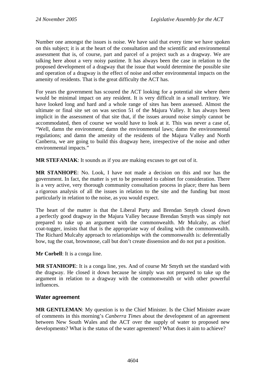Number one amongst the issues is noise. We have said that every time we have spoken on this subject; it is at the heart of the consultation and the scientific and environmental assessment that is, of course, part and parcel of a project such as a dragway. We are talking here about a very noisy pastime. It has always been the case in relation to the proposed development of a dragway that the issue that would determine the possible site and operation of a dragway is the effect of noise and other environmental impacts on the amenity of residents. That is the great difficulty the ACT has.

For years the government has scoured the ACT looking for a potential site where there would be minimal impact on any resident. It is very difficult in a small territory. We have looked long and hard and a whole range of sites has been assessed. Almost the ultimate or final site set on was section 51 of the Majura Valley. It has always been implicit in the assessment of that site that, if the issues around noise simply cannot be accommodated, then of course we would have to look at it. This was never a case of, "Well, damn the environment; damn the environmental laws; damn the environmental regulations; and damn the amenity of the residents of the Majura Valley and North Canberra, we are going to build this dragway here, irrespective of the noise and other environmental impacts."

**MR STEFANIAK**: It sounds as if you are making excuses to get out of it.

**MR STANHOPE**: No. Look, I have not made a decision on this and nor has the government. In fact, the matter is yet to be presented to cabinet for consideration. There is a very active, very thorough community consultation process in place; there has been a rigorous analysis of all the issues in relation to the site and the funding but most particularly in relation to the noise, as you would expect.

The heart of the matter is that the Liberal Party and Brendan Smyth closed down a perfectly good dragway in the Majura Valley because Brendan Smyth was simply not prepared to take up an argument with the commonwealth. Mr Mulcahy, as chief coat-tugger, insists that that is the appropriate way of dealing with the commonwealth. The Richard Mulcahy approach to relationships with the commonwealth is: deferentially bow, tug the coat, brownnose, call but don't create dissension and do not put a position.

**Mr Corbell**: It is a conga line.

**MR STANHOPE**: It is a conga line, yes. And of course Mr Smyth set the standard with the dragway. He closed it down because he simply was not prepared to take up the argument in relation to a dragway with the commonwealth or with other powerful influences.

# **Water agreement**

**MR GENTLEMAN**: My question is to the Chief Minister. Is the Chief Minister aware of comments in this morning's *Canberra Times* about the development of an agreement between New South Wales and the ACT over the supply of water to proposed new developments? What is the status of the water agreement? What does it aim to achieve?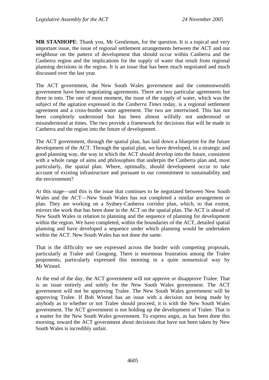**MR STANHOPE**: Thank you, Mr Gentleman, for the question. It is a topical and very important issue, the issue of regional settlement arrangements between the ACT and our neighbour on the pattern of development that should occur within Canberra and the Canberra region and the implications for the supply of water that result from regional planning decisions in the region. It is an issue that has been much negotiated and much discussed over the last year.

The ACT government, the New South Wales government and the commonwealth government have been negotiating agreements. There are two particular agreements but three in toto. The one of most moment, the issue of the supply of water, which was the subject of the agitation expressed in the *Canberra Times* today, is a regional settlement agreement and a cross-border water agreement. The two are intertwined. This has not been completely understood but has been almost wilfully not understood or misunderstood at times. The two provide a framework for decisions that will be made in Canberra and the region into the future of development.

The ACT government, through the spatial plan, has laid down a blueprint for the future development of the ACT. Through the spatial plan, we have developed, in a strategic and good planning way, the way in which the ACT should develop into the future, consistent with a whole range of aims and philosophies that underpin the Canberra plan and, most particularly, the spatial plan. Where, optimally, should development occur to take account of existing infrastructure and pursuant to our commitment to sustainability and the environment?

At this stage—and this is the issue that continues to be negotiated between New South Wales and the ACT—New South Wales has not completed a similar arrangement or plan. They are working on a Sydney-Canberra corridor plan, which, to that extent, mirrors the work that has been done in the ACT on the spatial plan. The ACT is ahead of New South Wales in relation to planning and the sequence of planning for development within the region. We have completed, within the boundaries of the ACT, detailed spatial planning and have developed a sequence under which planning would be undertaken within the ACT. New South Wales has not done the same.

That is the difficulty we see expressed across the border with competing proposals, particularly at Tralee and Googong. There is enormous frustration among the Tralee proponents, particularly expressed this morning in a quite nonsensical way by Mr Winnel.

At the end of the day, the ACT government will not approve or disapprove Tralee. That is an issue entirely and solely for the New South Wales government. The ACT government will not be approving Tralee. The New South Wales government will be approving Tralee. If Bob Winnel has an issue with a decision not being made by anybody as to whether or not Tralee should proceed, it is with the New South Wales government. The ACT government is not holding up the development of Tralee. That is a matter for the New South Wales government. To express angst, as has been done this morning, toward the ACT government about decisions that have not been taken by New South Wales is incredibly unfair.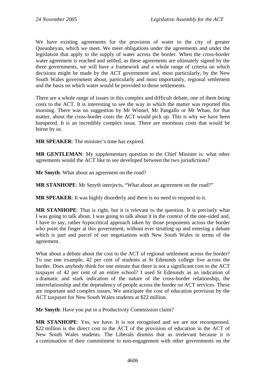We have existing agreements for the provision of water to the city of greater Queanbeyan, which we meet. We meet obligations under the agreements and under the legislation that apply to the supply of water across the border. When the cross-border water agreement is reached and settled, as these agreements are ultimately signed by the three governments, we will have a framework and a whole range of criteria on which decisions might be made by the ACT government and, most particularly, by the New South Wales government about, particularly and most importantly, regional settlement and the basis on which water would be provided to those settlements.

There are a whole range of issues in this complex and difficult debate, one of them being costs to the ACT. It is interesting to see the way in which the matter was reported this morning. There was no suggestion by Mr Winnel, Mr Pangallo or Mr Whan, for that matter, about the cross-border costs the ACT would pick up. This is why we have been hampered. It is an incredibly complex issue. There are enormous costs that would be borne by us.

**MR SPEAKER**: The minister's time has expired.

**MR GENTLEMAN**: My supplementary question to the Chief Minister is: what other agreements would the ACT like to see developed between the two jurisdictions?

**Mr Smyth**: What about an agreement on the road?

**MR STANHOPE**: Mr Smyth interjects, "What about an agreement on the road?"

**MR SPEAKER**: It was highly disorderly and there is no need to respond to it.

**MR STANHOPE**: That is right, but it is relevant to the question. It is precisely what I was going to talk about. I was going to talk about it in the context of the one-sided and, I have to say, rather hypocritical approach taken by those proponents across the border who point the finger at this government, without ever strutting up and entering a debate which is part and parcel of our negotiations with New South Wales in terms of the agreement.

What about a debate about the cost to the ACT of regional settlement across the border? To use one example, 42 per cent of students at St Edmunds college live across the border. Does anybody think for one minute that there is not a significant cost to the ACT taxpayer of 42 per cent of an entire school? I used St Edmunds as an indication of a dramatic and stark indication of the nature of the cross-border relationship, the interrelationship and the dependency of people across the border on ACT services. These are important and complex issues. We anticipate the cost of education provision by the ACT taxpayer for New South Wales students at \$22 million.

**Mr Smyth**: Have you put in a Productivity Commission claim?

**MR STANHOPE**: Yes, we have. It is not recognised and we are not recompensed. \$22 million is the direct cost to the ACT of the provision of education in the ACT of New South Wales students. The Liberals dismiss that as irrelevant because it is a continuation of their commitment to non-engagement with other governments on the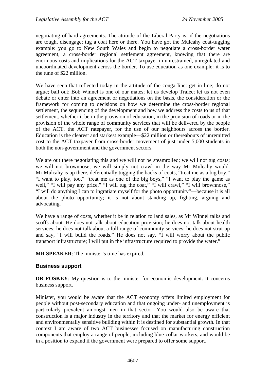negotiating of hard agreements. The attitude of the Liberal Party is: if the negotiations are tough, disengage; tug a coat here or there. You have got the Mulcahy coat-tugging example: you go to New South Wales and begin to negotiate a cross-border water agreement, a cross-border regional settlement agreement, knowing that there are enormous costs and implications for the ACT taxpayer in unrestrained, unregulated and uncoordinated development across the border. To use education as one example: it is to the tune of \$22 million.

We have seen that reflected today in the attitude of the conga line: get in line; do not argue; bail out; Bob Winnel is one of our mates; let us develop Tralee; let us not even debate or enter into an agreement or negotiations on the basis, the consideration or the framework for coming to decisions on how we determine the cross-border regional settlement, the sequencing of the development and how we address the costs to us of that settlement, whether it be in the provision of education, in the provision of roads or in the provision of the whole range of community services that will be delivered by the people of the ACT, the ACT ratepayer, for the use of our neighbours across the border. Education is the clearest and starkest example—\$22 million or thereabouts of unremitted cost to the ACT taxpayer from cross-border movement of just under 5,000 students in both the non-government and the government sectors.

We are out there negotiating this and we will not be steamrolled; we will not tug coats; we will not brownnose; we will simply not crawl in the way Mr Mulcahy would. Mr Mulcahy is up there, deferentially tugging the backs of coats, "treat me as a big boy," "I want to play, too," "treat me as one of the big boys," "I want to play the game as well," "I will pay any price," "I will tug the coat," "I will crawl," "I will brownnose," "I will do anything I can to ingratiate myself for the photo opportunity"—because it is all about the photo opportunity; it is not about standing up, fighting, arguing and advocating.

We have a range of costs, whether it be in relation to land sales, as Mr Winnel talks and scoffs about. He does not talk about education provision; he does not talk about health services; he does not talk about a full range of community services; he does not strut up and say, "I will build the roads." He does not say, "I will worry about the public transport infrastructure; I will put in the infrastructure required to provide the water."

**MR SPEAKER**: The minister's time has expired.

#### **Business support**

**DR FOSKEY**: My question is to the minister for economic development. It concerns business support.

Minister, you would be aware that the ACT economy offers limited employment for people without post-secondary education and that ongoing under- and unemployment is particularly prevalent amongst men in that sector. You would also be aware that construction is a major industry in the territory and that the market for energy efficient and environmentally sensitive building within it is destined for substantial growth. In that context I am aware of two ACT businesses focused on manufacturing construction components that employ a range of people, including blue-collar workers, and would be in a position to expand if the government were prepared to offer some support.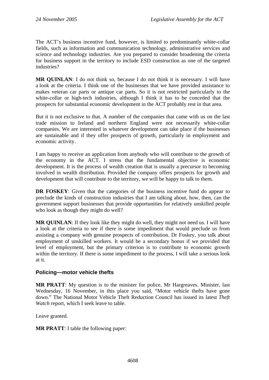The ACT's business incentive fund, however, is limited to predominantly white-collar fields, such as information and communication technology, administrative services and science and technology industries. Are you prepared to consider broadening the criteria for business support in the territory to include ESD construction as one of the targeted industries?

**MR QUINLAN**: I do not think so, because I do not think it is necessary. I will have a look at the criteria. I think one of the businesses that we have provided assistance to makes veteran car parts or antique car parts. So it is not restricted particularly to the white-collar or high-tech industries, although I think it has to be conceded that the prospects for substantial economic development in the ACT probably rest in that area.

But it is not exclusive to that. A number of the companies that came with us on the last trade mission to Ireland and northern England were not necessarily white-collar companies. We are interested in whatever development can take place if the businesses are sustainable and if they offer prospects of growth, particularly in employment and economic activity.

I am happy to receive an application from anybody who will contribute to the growth of the economy in the ACT. I stress that the fundamental objective is economic development. It is the process of wealth creation that is usually a precursor to becoming involved in wealth distribution. Provided the company offers prospects for growth and development that will contribute to the territory, we will be happy to talk to them.

**DR FOSKEY:** Given that the categories of the business incentive fund do appear to preclude the kinds of construction industries that I am talking about, how, then, can the government support businesses that provide opportunities for relatively unskilled people who look as though they might do well?

**MR QUINLAN**: If they look like they might do well, they might not need us. I will have a look at the criteria to see if there is some impediment that would preclude us from assisting a company with genuine prospects of contribution. Dr Foskey, you talk about employment of unskilled workers. It would be a secondary bonus if we provided that level of employment, but the primary criterion is to contribute to economic growth within the territory. If there is some impediment to the process, I will take a serious look at it.

# **Policing—motor vehicle thefts**

**MR PRATT**: My question is to the minister for police, Mr Hargreaves. Minister, last Wednesday, 16 November, in this place you said, "Motor vehicle thefts have gone down." The National Motor Vehicle Theft Reduction Council has issued its latest *Theft Watch* report, which I seek leave to table.

Leave granted.

**MR PRATT**: I table the following paper: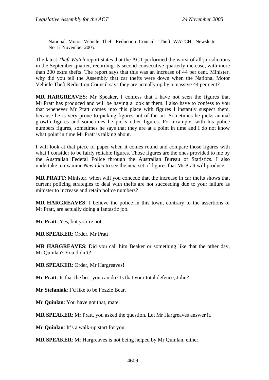National Motor Vehicle Theft Reduction Council—Theft WATCH, Newsletter No 17 November 2005.

The latest *Theft Watch* report states that the ACT performed the worst of all jurisdictions in the September quarter, recording its second consecutive quarterly increase, with more than 200 extra thefts. The report says that this was an increase of 44 per cent. Minister, why did you tell the Assembly that car thefts were down when the National Motor Vehicle Theft Reduction Council says they are actually up by a massive 44 per cent?

**MR HARGREAVES**: Mr Speaker, I confess that I have not seen the figures that Mr Pratt has produced and will be having a look at them. I also have to confess to you that whenever Mr Pratt comes into this place with figures I instantly suspect them, because he is very prone to picking figures out of the air. Sometimes he picks annual growth figures and sometimes he picks other figures. For example, with his police numbers figures, sometimes he says that they are at a point in time and I do not know what point in time Mr Pratt is talking about.

I will look at that piece of paper when it comes round and compare those figures with what I consider to be fairly reliable figures. Those figures are the ones provided to me by the Australian Federal Police through the Australian Bureau of Statistics. I also undertake to examine *New Idea* to see the next set of figures that Mr Pratt will produce.

**MR PRATT**: Minister, when will you concede that the increase in car thefts shows that current policing strategies to deal with thefts are not succeeding due to your failure as minister to increase and retain police numbers?

**MR HARGREAVES**: I believe the police in this town, contrary to the assertions of Mr Pratt, are actually doing a fantastic job.

**Mr Pratt**: Yes, but you're not.

**MR SPEAKER**: Order, Mr Pratt!

**MR HARGREAVES**: Did you call him Beaker or something like that the other day, Mr Quinlan? You didn't?

**MR SPEAKER**: Order, Mr Hargreaves!

**Mr Pratt**: Is that the best you can do? Is that your total defence, John?

**Mr Stefaniak**: I'd like to be Fozzie Bear.

**Mr Quinlan**: You have got that, mate.

**MR SPEAKER**: Mr Pratt, you asked the question. Let Mr Hargreaves answer it.

**Mr Quinlan**: It's a walk-up start for you.

**MR SPEAKER**: Mr Hargreaves is not being helped by Mr Quinlan, either.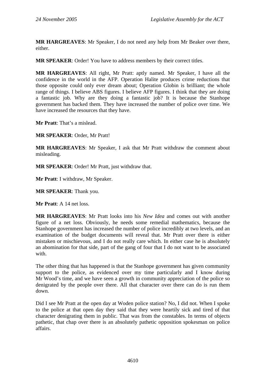**MR HARGREAVES**: Mr Speaker, I do not need any help from Mr Beaker over there, either.

**MR SPEAKER**: Order! You have to address members by their correct titles.

**MR HARGREAVES**: All right, Mr Pratt: aptly named. Mr Speaker, I have all the confidence in the world in the AFP. Operation Halite produces crime reductions that those opposite could only ever dream about; Operation Globin is brilliant; the whole range of things. I believe ABS figures. I believe AFP figures. I think that they are doing a fantastic job. Why are they doing a fantastic job? It is because the Stanhope government has backed them. They have increased the number of police over time. We have increased the resources that they have.

**Mr Pratt**: That's a mislead.

**MR SPEAKER**: Order, Mr Pratt!

**MR HARGREAVES**: Mr Speaker, I ask that Mr Pratt withdraw the comment about misleading.

**MR SPEAKER**: Order! Mr Pratt, just withdraw that.

**Mr Pratt**: I withdraw, Mr Speaker.

**MR SPEAKER**: Thank you.

**Mr Pratt**: A 14 net loss.

**MR HARGREAVES**: Mr Pratt looks into his *New Idea* and comes out with another figure of a net loss. Obviously, he needs some remedial mathematics, because the Stanhope government has increased the number of police incredibly at two levels, and an examination of the budget documents will reveal that. Mr Pratt over there is either mistaken or mischievous, and I do not really care which. In either case he is absolutely an abomination for that side, part of the gang of four that I do not want to be associated with.

The other thing that has happened is that the Stanhope government has given community support to the police, as evidenced over my time particularly and I know during Mr Wood's time, and we have seen a growth in community appreciation of the police so denigrated by the people over there. All that character over there can do is run them down.

Did I see Mr Pratt at the open day at Woden police station? No, I did not. When I spoke to the police at that open day they said that they were heartily sick and tired of that character denigrating them in public. That was from the constables. In terms of objects pathetic, that chap over there is an absolutely pathetic opposition spokesman on police affairs.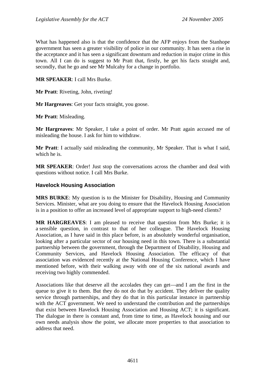What has happened also is that the confidence that the AFP enjoys from the Stanhope government has seen a greater visibility of police in our community. It has seen a rise in the acceptance and it has seen a significant downturn and reduction in major crime in this town. All I can do is suggest to Mr Pratt that, firstly, he get his facts straight and, secondly, that he go and see Mr Mulcahy for a change in portfolio.

**MR SPEAKER**: I call Mrs Burke.

**Mr Pratt**: Riveting, John, riveting!

**Mr Hargreaves**: Get your facts straight, you goose.

**Mr Pratt**: Misleading.

**Mr Hargreaves**: Mr Speaker, I take a point of order. Mr Pratt again accused me of misleading the house. I ask for him to withdraw.

**Mr Pratt**: I actually said misleading the community, Mr Speaker. That is what I said, which he is.

**MR SPEAKER**: Order! Just stop the conversations across the chamber and deal with questions without notice. I call Mrs Burke.

#### **Havelock Housing Association**

**MRS BURKE**: My question is to the Minister for Disability, Housing and Community Services. Minister, what are you doing to ensure that the Havelock Housing Association is in a position to offer an increased level of appropriate support to high-need clients?

**MR HARGREAVES**: I am pleased to receive that question from Mrs Burke; it is a sensible question, in contrast to that of her colleague. The Havelock Housing Association, as I have said in this place before, is an absolutely wonderful organisation, looking after a particular sector of our housing need in this town. There is a substantial partnership between the government, through the Department of Disability, Housing and Community Services, and Havelock Housing Association. The efficacy of that association was evidenced recently at the National Housing Conference, which I have mentioned before, with their walking away with one of the six national awards and receiving two highly commended.

Associations like that deserve all the accolades they can get—and I am the first in the queue to give it to them. But they do not do that by accident. They deliver the quality service through partnerships, and they do that in this particular instance in partnership with the ACT government. We need to understand the contribution and the partnerships that exist between Havelock Housing Association and Housing ACT; it is significant. The dialogue in there is constant and, from time to time, as Havelock housing and our own needs analysis show the point, we allocate more properties to that association to address that need.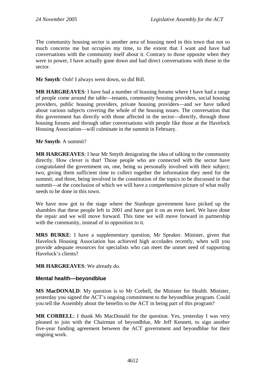The community housing sector is another area of housing need in this town that not so much concerns me but occupies my time, to the extent that I want and have had conversations with the community itself about it. Contrary to those opposite when they were in power, I have actually gone down and had direct conversations with those in the sector.

**Mr Smyth**: Ooh! I always went down, so did Bill.

**MR HARGREAVES**: I have had a number of housing forums where I have had a range of people come around the table—tenants, community housing providers, social housing providers, public housing providers, private housing providers—and we have talked about various subjects covering the whole of the housing issues. The conversation that this government has directly with those affected in the sector—directly, through those housing forums and through other conversations with people like those at the Havelock Housing Association—will culminate in the summit in February.

#### **Mr Smyth**: A summit?

**MR HARGREAVES**: I hear Mr Smyth denigrating the idea of talking to the community directly. How clever is that! Those people who are connected with the sector have congratulated the government on, one, being so personally involved with their subject; two, giving them sufficient time to collect together the information they need for the summit; and three, being involved in the constitution of the topics to be discussed in that summit—at the conclusion of which we will have a comprehensive picture of what really needs to be done in this town.

We have now got to the stage where the Stanhope government have picked up the shambles that these people left in 2001 and have got it on an even keel. We have done the repair and we will move forward. This time we will move forward in partnership with the community, instead of in opposition to it.

**MRS BURKE**: I have a supplementary question, Mr Speaker. Minister, given that Havelock Housing Association has achieved high accolades recently, when will you provide adequate resources for specialists who can meet the unmet need of supporting Havelock's clients?

# **MR HARGREAVES**: We already do.

# **Mental health—beyondblue**

**MS MacDONALD**: My question is to Mr Corbell, the Minister for Health. Minister, yesterday you signed the ACT's ongoing commitment to the beyondblue program. Could you tell the Assembly about the benefits to the ACT in being part of this program?

**MR CORBELL**: I thank Ms MacDonald for the question. Yes, yesterday I was very pleased to join with the Chairman of beyondblue, Mr Jeff Kennett, to sign another five-year funding agreement between the ACT government and beyondblue for their ongoing work.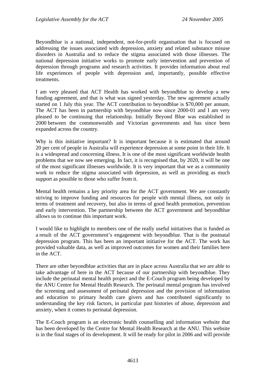Beyondblue is a national, independent, not-for-profit organisation that is focused on addressing the issues associated with depression, anxiety and related substance misuse disorders in Australia and to reduce the stigma associated with those illnesses. The national depression initiative works to promote early intervention and prevention of depression through programs and research activities. It provides information about real life experiences of people with depression and, importantly, possible effective treatments.

I am very pleased that ACT Health has worked with beyondblue to develop a new funding agreement, and that is what was signed yesterday. The new agreement actually started on 1 July this year. The ACT contribution to beyondblue is \$70,000 per annum. The ACT has been in partnership with beyondblue now since 2000-01 and I am very pleased to be continuing that relationship. Initially Beyond Blue was established in 2000 between the commonwealth and Victorian governments and has since been expanded across the country.

Why is this initiative important? It is important because it is estimated that around 20 per cent of people in Australia will experience depression at some point in their life. It is a widespread and concerning illness. It is one of the most significant worldwide health problems that we now see emerging. In fact, it is recognised that, by 2020, it will be one of the most significant illnesses worldwide. It is very important that we as a community work to reduce the stigma associated with depression, as well as providing as much support as possible to those who suffer from it.

Mental health remains a key priority area for the ACT government. We are constantly striving to improve funding and resources for people with mental illness, not only in terms of treatment and recovery, but also in terms of good health promotion, prevention and early intervention. The partnership between the ACT government and beyondblue allows us to continue this important work.

I would like to highlight to members one of the really useful initiatives that is funded as a result of the ACT government's engagement with beyondblue. That is the postnatal depression program. This has been an important initiative for the ACT. The work has provided valuable data, as well as improved outcomes for women and their families here in the ACT.

There are other beyondblue activities that are in place across Australia that we are able to take advantage of here in the ACT because of our partnership with beyondblue. They include the perinatal mental health project and the E-Couch program being developed by the ANU Centre for Mental Health Research. The perinatal mental program has involved the screening and assessment of perinatal depression and the provision of information and education to primary health care givers and has contributed significantly to understanding the key risk factors, in particular past histories of abuse, depression and anxiety, when it comes to perinatal depression.

The E-Couch program is an electronic health counselling and information website that has been developed by the Centre for Mental Health Research at the ANU. This website is in the final stages of its development. It will be ready for pilot in 2006 and will provide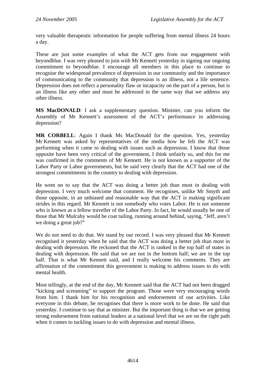very valuable therapeutic information for people suffering from mental illness 24 hours a day.

These are just some examples of what the ACT gets from our engagement with beyondblue. I was very pleased to join with Mr Kennett yesterday in signing our ongoing commitment to beyondblue. I encourage all members in this place to continue to recognise the widespread prevalence of depression in our community and the importance of communicating to the community that depression is an illness, not a life sentence. Depression does not reflect a personality flaw or incapacity on the part of a person, but is an illness like any other and must be addressed in the same way that we address any other illness.

**MS MacDONALD**: I ask a supplementary question. Minister, can you inform the Assembly of Mr Kennett's assessment of the ACT's performance in addressing depression?

**MR CORBELL**: Again I thank Ms MacDonald for the question. Yes, yesterday Mr Kennett was asked by representatives of the media how he felt the ACT was performing when it came to dealing with issues such as depression. I know that those opposite have been very critical of the government, I think unfairly so, and this for me was confirmed in the comments of Mr Kennett. He is not known as a supporter of the Labor Party or Labor governments, but he said very clearly that the ACT had one of the strongest commitments in the country to dealing with depression.

He went on to say that the ACT was doing a better job than most in dealing with depression. I very much welcome that comment. He recognises, unlike Mr Smyth and those opposite, in an unbiased and reasonable way that the ACT is making significant strides in this regard. Mr Kennett is not somebody who votes Labor. He is not someone who is known as a fellow traveller of the Labor Party. In fact, he would usually be one of those that Mr Mulcahy would be coat tailing, running around behind, saying, "Jeff, aren't we doing a great job?"

We do not need to do that. We stand by our record. I was very pleased that Mr Kennett recognised it yesterday when he said that the ACT was doing a better job than most in dealing with depression. He reckoned that the ACT is ranked in the top half of states in dealing with depression. He said that we are not in the bottom half; we are in the top half. That is what Mr Kennett said, and I really welcome his comments. They are affirmation of the commitment this government is making to address issues to do with mental health.

Most tellingly, at the end of the day, Mr Kennett said that the ACT had not been dragged "kicking and screaming" to support the program. Those were very encouraging words from him. I thank him for his recognition and endorsement of our activities. Like everyone in this debate, he recognises that there is more work to be done. He said that yesterday. I continue to say that as minister. But the important thing is that we are getting strong endorsement from national leaders at a national level that we are on the right path when it comes to tackling issues to do with depression and mental illness.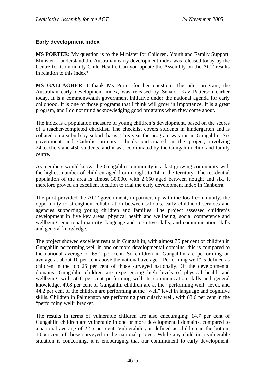# **Early development index**

**MS PORTER**: My question is to the Minister for Children, Youth and Family Support. Minister, I understand the Australian early development index was released today by the Centre for Community Child Health. Can you update the Assembly on the ACT results in relation to this index?

**MS GALLAGHER**: I thank Ms Porter for her question. The pilot program, the Australian early development index, was released by Senator Kay Patterson earlier today. It is a commonwealth government initiative under the national agenda for early childhood. It is one of those programs that I think will grow in importance. It is a great program, and I do not mind acknowledging good programs when they come about.

The index is a population measure of young children's development, based on the scores of a teacher-completed checklist. The checklist covers students in kindergarten and is collated on a suburb by suburb basis. This year the program was run in Gungahlin. Six government and Catholic primary schools participated in the project, involving 24 teachers and 450 students, and it was coordinated by the Gungahlin child and family centre.

As members would know, the Gungahlin community is a fast-growing community with the highest number of children aged from nought to 14 in the territory. The residential population of the area is almost 30,000, with 2,650 aged between nought and six. It therefore proved an excellent location to trial the early development index in Canberra.

The pilot provided the ACT government, in partnership with the local community, the opportunity to strengthen collaboration between schools, early childhood services and agencies supporting young children and families. The project assessed children's development in five key areas: physical health and wellbeing; social competence and wellbeing; emotional maturity; language and cognitive skills; and communication skills and general knowledge.

The project showed excellent results in Gungahlin, with almost 75 per cent of children in Gungahlin performing well in one or more developmental domains; this is compared to the national average of 65.1 per cent. So children in Gungahlin are performing on average at about 10 per cent above the national average. "Performing well" is defined as children in the top 25 per cent of those surveyed nationally. Of the developmental domains, Gungahlin children are experiencing high levels of physical health and wellbeing, with 50.6 per cent performing well. In communication skills and general knowledge, 49.8 per cent of Gungahlin children are at the "performing well" level, and 44.2 per cent of the children are performing at the "well" level in language and cognitive skills. Children in Palmerston are performing particularly well, with 83.6 per cent in the "performing well" bracket.

The results in terms of vulnerable children are also encouraging: 14.7 per cent of Gungahlin children are vulnerable in one or more developmental domains, compared to a national average of 22.6 per cent. Vulnerability is defined as children in the bottom 10 per cent of those surveyed in the national project. While any child in a vulnerable situation is concerning, it is encouraging that our commitment to early development,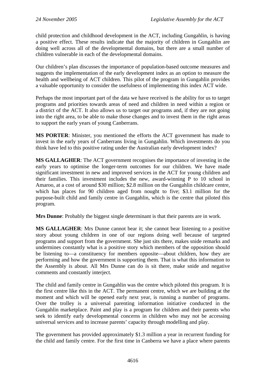child protection and childhood development in the ACT, including Gungahlin, is having a positive effect. These results indicate that the majority of children in Gungahlin are doing well across all of the developmental domains, but there are a small number of children vulnerable in each of the developmental domains.

Our children's plan discusses the importance of population-based outcome measures and suggests the implementation of the early development index as an option to measure the health and wellbeing of ACT children. This pilot of the program in Gungahlin provides a valuable opportunity to consider the usefulness of implementing this index ACT wide.

Perhaps the most important part of the data we have received is the ability for us to target programs and priorities towards areas of need and children in need within a region or a district of the ACT. It also allows us to target our programs and, if they are not going into the right area, to be able to make those changes and to invest them in the right areas to support the early years of young Canberrans.

**MS PORTER**: Minister, you mentioned the efforts the ACT government has made to invest in the early years of Canberrans living in Gungahlin. Which investments do you think have led to this positive rating under the Australian early development index?

**MS GALLAGHER**: The ACT government recognises the importance of investing in the early years to optimise the longer-term outcomes for our children. We have made significant investment in new and improved services in the ACT for young children and their families. This investment includes the new, award-winning P to 10 school in Amaroo, at a cost of around \$30 million; \$2.8 million on the Gungahlin childcare centre, which has places for 90 children aged from nought to five; \$3.1 million for the purpose-built child and family centre in Gungahlin, which is the centre that piloted this program.

**Mrs Dunne**: Probably the biggest single determinant is that their parents are in work.

**MS GALLAGHER**: Mrs Dunne cannot bear it; she cannot bear listening to a positive story about young children in one of our regions doing well because of targeted programs and support from the government. She just sits there, makes snide remarks and undermines constantly what is a positive story which members of the opposition should be listening to—a constituency for members opposite—about children, how they are performing and how the government is supporting them. That is what this information to the Assembly is about. All Mrs Dunne can do is sit there, make snide and negative comments and constantly interject.

The child and family centre in Gungahlin was the centre which piloted this program. It is the first centre like this in the ACT. The permanent centre, which we are building at the moment and which will be opened early next year, is running a number of programs. Over the trolley is a universal parenting information initiative conducted in the Gungahlin marketplace. Paint and play is a program for children and their parents who seek to identify early developmental concerns in children who may not be accessing universal services and to increase parents' capacity through modelling and play.

The government has provided approximately \$1.3 million a year in recurrent funding for the child and family centre. For the first time in Canberra we have a place where parents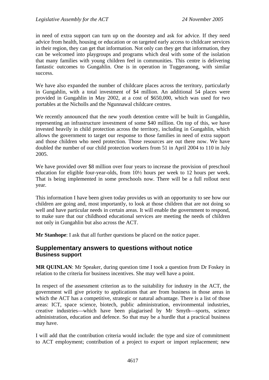in need of extra support can turn up on the doorstep and ask for advice. If they need advice from health, housing or education or on targeted early access to childcare services in their region, they can get that information. Not only can they get that information, they can be welcomed into playgroups and programs which deal with some of the isolation that many families with young children feel in communities. This centre is delivering fantastic outcomes to Gungahlin. One is in operation in Tuggeranong, with similar success.

We have also expanded the number of childcare places across the territory, particularly in Gungahlin, with a total investment of \$4 million. An additional 54 places were provided in Gungahlin in May 2002, at a cost of \$650,000, which was used for two portables at the Nicholls and the Ngunnawal childcare centres.

We recently announced that the new youth detention centre will be built in Gungahlin, representing an infrastructure investment of some \$40 million. On top of this, we have invested heavily in child protection across the territory, including in Gungahlin, which allows the government to target our response to those families in need of extra support and those children who need protection. Those resources are out there now. We have doubled the number of our child protection workers from 51 in April 2004 to 110 in July 2005.

We have provided over \$8 million over four years to increase the provision of preschool education for eligible four-year-olds, from 10½ hours per week to 12 hours per week. That is being implemented in some preschools now. There will be a full rollout next year.

This information I have been given today provides us with an opportunity to see how our children are going and, most importantly, to look at those children that are not doing so well and have particular needs in certain areas. It will enable the government to respond, to make sure that our childhood educational services are meeting the needs of children not only in Gungahlin but also across the ACT.

**Mr Stanhope**: I ask that all further questions be placed on the notice paper.

# **Supplementary answers to questions without notice Business support**

**MR OUINLAN:** Mr Speaker, during question time I took a question from Dr Foskey in relation to the criteria for business incentives. She may well have a point.

In respect of the assessment criterion as to the suitability for industry in the ACT, the government will give priority to applications that are from business in those areas in which the ACT has a competitive, strategic or natural advantage. There is a list of those areas: ICT, space science, biotech, public administration, environmental industries, creative industries—which have been plagiarised by Mr Smyth—sports, science administration, education and defence. So that may be a hurdle that a practical business may have.

I will add that the contribution criteria would include: the type and size of commitment to ACT employment; contribution of a project to export or import replacement; new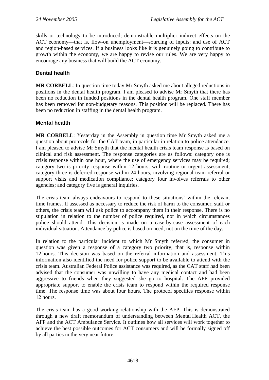skills or technology to be introduced; demonstrable multiplier indirect effects on the ACT economy—that is, flow-on unemployment—sourcing of inputs; and use of ACT and region-based services. If a business looks like it is genuinely going to contribute to growth within the economy, we are happy to revise our rules. We are very happy to encourage any business that will build the ACT economy.

# **Dental health**

**MR CORBELL**: In question time today Mr Smyth asked me about alleged reductions in positions in the dental health program. I am pleased to advise Mr Smyth that there has been no reduction in funded positions in the dental health program. One staff member has been removed for non-budgetary reasons. This position will be replaced. There has been no reduction in staffing in the dental health program.

# **Mental health**

**MR CORBELL**: Yesterday in the Assembly in question time Mr Smyth asked me a question about protocols for the CAT team, in particular in relation to police attendance. I am pleased to advise Mr Smyth that the mental health crisis team response is based on clinical and risk assessment. The response categories are as follows: category one is crisis response within one hour, where the use of emergency services may be required; category two is priority response within 12 hours, with routine or urgent assessment; category three is deferred response within 24 hours, involving regional team referral or support visits and medication compliance; category four involves referrals to other agencies; and category five is general inquiries.

The crisis team always endeavours to respond to these situations` within the relevant time frames. If assessed as necessary to reduce the risk of harm to the consumer, staff or others, the crisis team will ask police to accompany them in their response. There is no stipulation in relation to the number of police required, nor in which circumstances police should attend. This decision is made on a case-by-case assessment of each individual situation. Attendance by police is based on need, not on the time of the day.

In relation to the particular incident to which Mr Smyth referred, the consumer in question was given a response of a category two priority, that is, response within 12 hours. This decision was based on the referral information and assessment. This information also identified the need for police support to be available to attend with the crisis team. Australian Federal Police assistance was required, as the CAT staff had been advised that the consumer was unwilling to have any medical contact and had been aggressive to friends when they suggested she go to hospital. The AFP provided appropriate support to enable the crisis team to respond within the required response time. The response time was about four hours. The protocol specifies response within 12 hours.

The crisis team has a good working relationship with the AFP. This is demonstrated through a new draft memorandum of understanding between Mental Health ACT, the AFP and the ACT Ambulance Service. It outlines how all services will work together to achieve the best possible outcomes for ACT consumers and will be formally signed off by all parties in the very near future.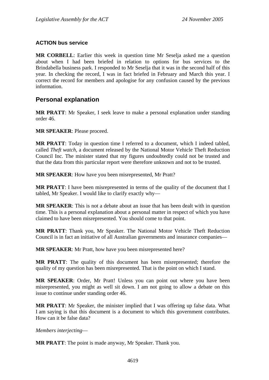# **ACTION bus service**

**MR CORBELL**: Earlier this week in question time Mr Seselja asked me a question about when I had been briefed in relation to options for bus services to the Brindabella business park. I responded to Mr Seselja that it was in the second half of this year. In checking the record, I was in fact briefed in February and March this year. I correct the record for members and apologise for any confusion caused by the previous information.

# **Personal explanation**

**MR PRATT**: Mr Speaker, I seek leave to make a personal explanation under standing order 46.

**MR SPEAKER**: Please proceed.

**MR PRATT**: Today in question time I referred to a document, which I indeed tabled, called *Theft watch*, a document released by the National Motor Vehicle Theft Reduction Council Inc. The minister stated that my figures undoubtedly could not be trusted and that the data from this particular report were therefore unknown and not to be trusted.

**MR SPEAKER**: How have you been misrepresented, Mr Pratt?

**MR PRATT**: I have been misrepresented in terms of the quality of the document that I tabled, Mr Speaker. I would like to clarify exactly why—

**MR SPEAKER**: This is not a debate about an issue that has been dealt with in question time. This is a personal explanation about a personal matter in respect of which you have claimed to have been misrepresented. You should come to that point.

**MR PRATT**: Thank you, Mr Speaker. The National Motor Vehicle Theft Reduction Council is in fact an initiative of all Australian governments and insurance companies—

**MR SPEAKER**: Mr Pratt, how have you been misrepresented here?

**MR PRATT**: The quality of this document has been misrepresented; therefore the quality of my question has been misrepresented. That is the point on which I stand.

**MR SPEAKER**: Order, Mr Pratt! Unless you can point out where you have been misrepresented, you might as well sit down. I am not going to allow a debate on this issue to continue under standing order 46.

**MR PRATT**: Mr Speaker, the minister implied that I was offering up false data. What I am saying is that this document is a document to which this government contributes. How can it be false data?

*Members interjecting*—

**MR PRATT**: The point is made anyway, Mr Speaker. Thank you.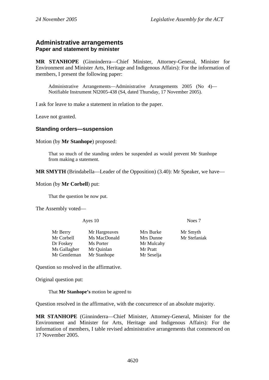# **Administrative arrangements Paper and statement by minister**

**MR STANHOPE** (Ginninderra—Chief Minister, Attorney-General, Minister for Environment and Minister Arts, Heritage and Indigenous Affairs): For the information of members, I present the following paper:

Administrative Arrangements—Administrative Arrangements 2005 (No 4)— Notifiable Instrument NI2005-438 (S4, dated Thursday, 17 November 2005).

I ask for leave to make a statement in relation to the paper.

Leave not granted.

#### **Standing orders—suspension**

Motion (by **Mr Stanhope**) proposed:

That so much of the standing orders be suspended as would prevent Mr Stanhope from making a statement.

**MR SMYTH** (Brindabella—Leader of the Opposition) (3.40): Mr Speaker, we have—

Motion (by **Mr Corbell**) put:

That the question be now put.

The Assembly voted—

Ayes 10 Noes 7

Mr Berry Mr Hargreaves Mrs Burke Mr Smyth Mr Corbell Ms MacDonald Mrs Dunne Mr Stefaniak Dr Foskey Ms Porter Mr Mulcahy Ms Gallagher Mr Quinlan Mr Pratt Mr Gentleman Mr Stanhope Mr Seselja

Question so resolved in the affirmative.

Original question put:

That **Mr Stanhope's** motion be agreed to

Question resolved in the affirmative, with the concurrence of an absolute majority.

**MR STANHOPE** (Ginninderra—Chief Minister, Attorney-General, Minister for the Environment and Minister for Arts, Heritage and Indigenous Affairs): For the information of members, I table revised administrative arrangements that commenced on 17 November 2005.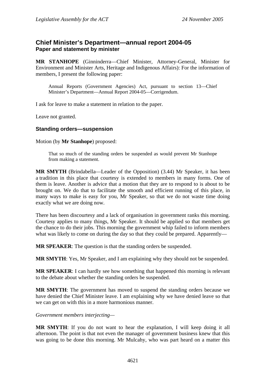# **Chief Minister's Department—annual report 2004-05 Paper and statement by minister**

**MR STANHOPE** (Ginninderra—Chief Minister, Attorney-General, Minister for Environment and Minister Arts, Heritage and Indigenous Affairs): For the information of members, I present the following paper:

Annual Reports (Government Agencies) Act, pursuant to section 13—Chief Minister's Department—Annual Report 2004-05—Corrigendum.

I ask for leave to make a statement in relation to the paper.

Leave not granted.

#### **Standing orders—suspension**

Motion (by **Mr Stanhope**) proposed:

That so much of the standing orders be suspended as would prevent Mr Stanhope from making a statement.

**MR SMYTH** (Brindabella—Leader of the Opposition) (3.44) Mr Speaker, it has been a tradition in this place that courtesy is extended to members in many forms. One of them is leave. Another is advice that a motion that they are to respond to is about to be brought on. We do that to facilitate the smooth and efficient running of this place, in many ways to make is easy for you, Mr Speaker, so that we do not waste time doing exactly what we are doing now.

There has been discourtesy and a lack of organisation in government ranks this morning. Courtesy applies to many things, Mr Speaker. It should be applied so that members get the chance to do their jobs. This morning the government whip failed to inform members what was likely to come on during the day so that they could be prepared. Apparently—

**MR SPEAKER**: The question is that the standing orders be suspended.

**MR SMYTH**: Yes, Mr Speaker, and I am explaining why they should not be suspended.

**MR SPEAKER**: I can hardly see how something that happened this morning is relevant to the debate about whether the standing orders be suspended.

**MR SMYTH**: The government has moved to suspend the standing orders because we have denied the Chief Minister leave. I am explaining why we have denied leave so that we can get on with this in a more harmonious manner.

*Government members interjecting—* 

**MR SMYTH**: If you do not want to hear the explanation, I will keep doing it all afternoon. The point is that not even the manager of government business knew that this was going to be done this morning. Mr Mulcahy, who was part heard on a matter this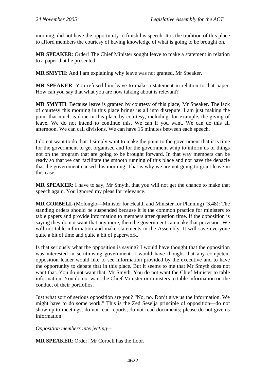morning, did not have the opportunity to finish his speech. It is the tradition of this place to afford members the courtesy of having knowledge of what is going to be brought on.

**MR SPEAKER**: Order! The Chief Minister sought leave to make a statement in relation to a paper that he presented.

**MR SMYTH**: And I am explaining why leave was not granted, Mr Speaker.

**MR SPEAKER**: You refused him leave to make a statement in relation to that paper. How can you say that what you are now talking about is relevant?

**MR SMYTH**: Because leave is granted by courtesy of this place, Mr Speaker. The lack of courtesy this morning in this place brings us all into disrepute. I am just making the point that much is done in this place by courtesy, including, for example, the giving of leave. We do not intend to continue this. We can if you want. We can do this all afternoon. We can call divisions. We can have 15 minutes between each speech.

I do not want to do that. I simply want to make the point to the government that it is time for the government to get organised and for the government whip to inform us of things not on the program that are going to be brought forward. In that way members can be ready so that we can facilitate the smooth running of this place and not have the debacle that the government caused this morning. That is why we are not going to grant leave in this case.

**MR SPEAKER**: I have to say, Mr Smyth, that you will not get the chance to make that speech again. You ignored my pleas for relevance.

**MR CORBELL** (Molonglo—Minister for Health and Minister for Planning) (3.48): The standing orders should be suspended because it is the common practice for ministers to table papers and provide information to members after question time. If the opposition is saying they do not want that any more, then the government can make that provision. We will not table information and make statements in the Assembly. It will save everyone quite a bit of time and quite a bit of paperwork.

Is that seriously what the opposition is saying? I would have thought that the opposition was interested in scrutinising government. I would have thought that any competent opposition leader would like to see information provided by the executive and to have the opportunity to debate that in this place. But it seems to me that Mr Smyth does not want that. You do not want that, Mr Smyth. You do not want the Chief Minister to table information. You do not want the Chief Minister or ministers to table information on the conduct of their portfolios.

Just what sort of serious opposition are you? "No, no. Don't give us the information. We might have to do some work." This is the Zed Seselja principle of opposition—do not show up to meetings; do not read reports; do not read documents; please do not give us information.

*Opposition members interjecting—* 

**MR SPEAKER**: Order! Mr Corbell has the floor.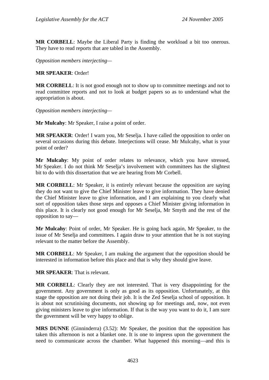**MR CORBELL**: Maybe the Liberal Party is finding the workload a bit too onerous. They have to read reports that are tabled in the Assembly.

*Opposition members interjecting—* 

#### **MR SPEAKER**: Order!

**MR CORBELL**: It is not good enough not to show up to committee meetings and not to read committee reports and not to look at budget papers so as to understand what the appropriation is about.

*Opposition members interjecting—* 

**Mr Mulcahy**: Mr Speaker, I raise a point of order.

**MR SPEAKER**: Order! I warn you, Mr Seselja. I have called the opposition to order on several occasions during this debate. Interjections will cease. Mr Mulcahy, what is your point of order?

**Mr Mulcahy**: My point of order relates to relevance, which you have stressed, Mr Speaker. I do not think Mr Seselja's involvement with committees has the slightest bit to do with this dissertation that we are hearing from Mr Corbell.

**MR CORBELL**: Mr Speaker, it is entirely relevant because the opposition are saying they do not want to give the Chief Minister leave to give information. They have denied the Chief Minister leave to give information, and I am explaining to you clearly what sort of opposition takes those steps and opposes a Chief Minister giving information in this place. It is clearly not good enough for Mr Seselja, Mr Smyth and the rest of the opposition to say—

**Mr Mulcahy**: Point of order, Mr Speaker. He is going back again, Mr Speaker, to the issue of Mr Seselja and committees. I again draw to your attention that he is not staying relevant to the matter before the Assembly.

**MR CORBELL**: Mr Speaker, I am making the argument that the opposition should be interested in information before this place and that is why they should give leave.

**MR SPEAKER**: That is relevant.

**MR CORBELL**: Clearly they are not interested. That is very disappointing for the government. Any government is only as good as its opposition. Unfortunately, at this stage the opposition are not doing their job. It is the Zed Seselja school of opposition. It is about not scrutinising documents, not showing up for meetings and, now, not even giving ministers leave to give information. If that is the way you want to do it, I am sure the government will be very happy to oblige.

**MRS DUNNE** (Ginninderra) (3.52): Mr Speaker, the position that the opposition has taken this afternoon is not a blanket one. It is one to impress upon the government the need to communicate across the chamber. What happened this morning—and this is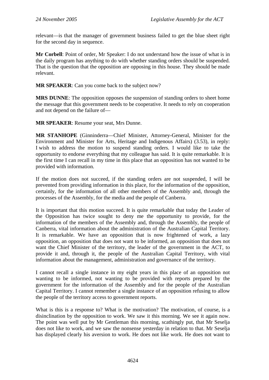relevant—is that the manager of government business failed to get the blue sheet right for the second day in sequence.

**Mr Corbell**: Point of order, Mr Speaker: I do not understand how the issue of what is in the daily program has anything to do with whether standing orders should be suspended. That is the question that the opposition are opposing in this house. They should be made relevant.

**MR SPEAKER**: Can you come back to the subject now?

**MRS DUNNE**: The opposition opposes the suspension of standing orders to sheet home the message that this government needs to be cooperative. It needs to rely on cooperation and not depend on the failure of—

**MR SPEAKER**: Resume your seat, Mrs Dunne.

**MR STANHOPE** (Ginninderra—Chief Minister, Attorney-General, Minister for the Environment and Minister for Arts, Heritage and Indigenous Affairs) (3.53), in reply: I wish to address the motion to suspend standing orders. I would like to take the opportunity to endorse everything that my colleague has said. It is quite remarkable. It is the first time I can recall in my time in this place that an opposition has not wanted to be provided with information.

If the motion does not succeed, if the standing orders are not suspended, I will be prevented from providing information in this place, for the information of the opposition, certainly, for the information of all other members of the Assembly and, through the processes of the Assembly, for the media and the people of Canberra.

It is important that this motion succeed. It is quite remarkable that today the Leader of the Opposition has twice sought to deny me the opportunity to provide, for the information of the members of the Assembly and, through the Assembly, the people of Canberra, vital information about the administration of the Australian Capital Territory. It is remarkable. We have an opposition that is now frightened of work, a lazy opposition, an opposition that does not want to be informed, an opposition that does not want the Chief Minister of the territory, the leader of the government in the ACT, to provide it and, through it, the people of the Australian Capital Territory, with vital information about the management, administration and governance of the territory.

I cannot recall a single instance in my eight years in this place of an opposition not wanting to be informed, not wanting to be provided with reports prepared by the government for the information of the Assembly and for the people of the Australian Capital Territory. I cannot remember a single instance of an opposition refusing to allow the people of the territory access to government reports.

What is this is a response to? What is the motivation? The motivation, of course, is a disinclination by the opposition to work. We saw it this morning. We see it again now. The point was well put by Mr Gentleman this morning, scathingly put, that Mr Seselja does not like to work, and we saw the nonsense yesterday in relation to that. Mr Seselja has displayed clearly his aversion to work. He does not like work. He does not want to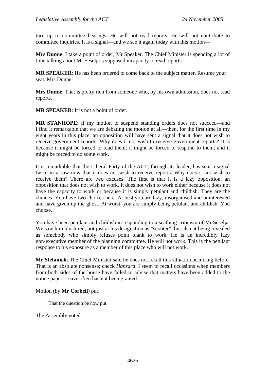turn up to committee hearings. He will not read reports. He will not contribute to committee inquiries. It is a signal—and we see it again today with this motion—

**Mrs Dunne**: I take a point of order, Mr Speaker. The Chief Minister is spending a lot of time talking about Mr Seselja's supposed incapacity to read reports—

**MR SPEAKER**: He has been ordered to come back to the subject matter. Resume your seat, Mrs Dunne.

**Mrs Dunne**: That is pretty rich from someone who, by his own admission, does not read reports.

**MR SPEAKER**: It is not a point of order.

**MR STANHOPE**: If my motion to suspend standing orders does not succeed—and I find it remarkable that we are debating the motion at all—then, for the first time in my eight years in this place, an opposition will have sent a signal that it does not wish to receive government reports. Why does it not wish to receive government reports? It is because it might be forced to read them; it might be forced to respond to them; and it might be forced to do some work.

It is remarkable that the Liberal Party of the ACT, through its leader, has sent a signal twice in a row now that it does not wish to receive reports. Why does it not wish to receive them? There are two excuses. The first is that it is a lazy opposition, an opposition that does not wish to work. It does not wish to work either because it does not have the capacity to work or because it is simply petulant and childish. They are the choices. You have two choices here. At best you are lazy, disorganised and uninterested and have given up the ghost. At worst, you are simply being petulant and childish. You choose.

You have been petulant and childish in responding to a scathing criticism of Mr Seselja. We saw him blush red, not just at his designation as "scooter", but also at being revealed as somebody who simply refuses point blank to work. He is an incredibly lazy non-executive member of the planning committee. He will not work. This is the petulant response to his exposure as a member of this place who will not work.

**Mr Stefaniak**: The Chief Minister said he does not recall this situation occurring before. That is an absolute nonsense; check *Hansard*. I seem to recall occasions when members from both sides of the house have failed to advise that matters have been added to the notice paper. Leave often has not been granted.

Motion (by **Mr Corbell**) put:

That the question be now put.

The Assembly voted—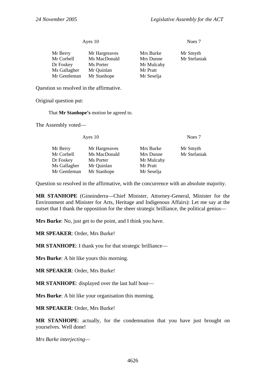#### Ayes 10 Noes 7

| Mr Berry     | Mr Hargreaves | Mrs Burke  | Mr Smyth     |
|--------------|---------------|------------|--------------|
| Mr Corbell   | Ms MacDonald  | Mrs Dunne  | Mr Stefaniak |
| Dr Foskey    | Ms Porter     | Mr Mulcahy |              |
| Ms Gallagher | Mr Quinlan    | Mr Pratt   |              |
| Mr Gentleman | Mr Stanhope   | Mr Seselja |              |

Question so resolved in the affirmative.

Original question put:

That **Mr Stanhope's** motion be agreed to.

The Assembly voted—

| Ayes $10$ |                                                                         | Noes 7                   |  |
|-----------|-------------------------------------------------------------------------|--------------------------|--|
|           | Mrs Burke<br>Mrs Dunne<br>Mr Mulcahy<br>Mr Pratt                        | Mr Smyth<br>Mr Stefaniak |  |
|           | Mr Hargreaves<br>Ms MacDonald<br>Ms Porter<br>Mr Quinlan<br>Mr Stanhope | Mr Seselja               |  |

Question so resolved in the affirmative, with the concurrence with an absolute majority.

**MR STANHOPE** (Ginninderra—Chief Minister, Attorney-General, Minister for the Environment and Minister for Arts, Heritage and Indigenous Affairs): Let me say at the outset that I thank the opposition for the sheer strategic brilliance, the political genius—

**Mrs Burke**: No, just get to the point, and I think you have.

**MR SPEAKER**: Order, Mrs Burke!

**MR STANHOPE**: I thank you for that strategic brilliance—

**Mrs Burke**: A bit like yours this morning.

**MR SPEAKER**: Order, Mrs Burke!

**MR STANHOPE**: displayed over the last half hour—

**Mrs Burke**: A bit like your organisation this morning.

**MR SPEAKER**: Order, Mrs Burke!

**MR STANHOPE**: actually, for the condemnation that you have just brought on yourselves. Well done!

*Mrs Burke interjecting—*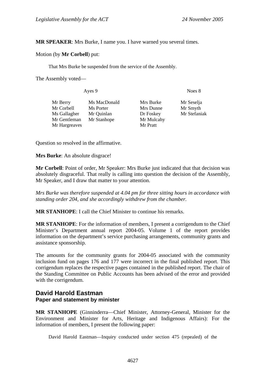#### **MR SPEAKER**: Mrs Burke, I name you. I have warned you several times.

#### Motion (by **Mr Corbell**) put:

That Mrs Burke be suspended from the service of the Assembly.

The Assembly voted—

| Noes 8                                                                                      |  |
|---------------------------------------------------------------------------------------------|--|
| Mrs Burke<br>Mr Seselja<br>Mr Smyth<br>Mrs Dunne<br>Mr Stefaniak<br>Dr Foskey<br>Mr Mulcahy |  |
|                                                                                             |  |

Question so resolved in the affirmative.

**Mrs Burke**: An absolute disgrace!

**Mr Corbell**: Point of order, Mr Speaker: Mrs Burke just indicated that that decision was absolutely disgraceful. That really is calling into question the decision of the Assembly, Mr Speaker, and I draw that matter to your attention.

*Mrs Burke was therefore suspended at 4.04 pm for three sitting hours in accordance with standing order 204, and she accordingly withdrew from the chamber.* 

**MR STANHOPE**: I call the Chief Minister to continue his remarks.

**MR STANHOPE**: For the information of members, I present a corrigendum to the Chief Minister's Department annual report 2004-05. Volume 1 of the report provides information on the department's service purchasing arrangements, community grants and assistance sponsorship.

The amounts for the community grants for 2004-05 associated with the community inclusion fund on pages 176 and 177 were incorrect in the final published report. This corrigendum replaces the respective pages contained in the published report. The chair of the Standing Committee on Public Accounts has been advised of the error and provided with the corrigendum.

# **David Harold Eastman Paper and statement by minister**

**MR STANHOPE** (Ginninderra—Chief Minister, Attorney-General, Minister for the Environment and Minister for Arts, Heritage and Indigenous Affairs): For the information of members, I present the following paper:

David Harold Eastman—Inquiry conducted under section 475 (repealed) of the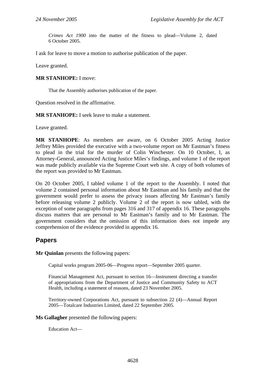*Crimes Act 1900* into the matter of the fitness to plead—Volume 2, dated 6 October 2005.

I ask for leave to move a motion to authorise publication of the paper.

Leave granted.

#### **MR STANHOPE:** I move:

That the Assembly authorises publication of the paper.

Question resolved in the affirmative.

**MR STANHOPE:** I seek leave to make a statement.

Leave granted.

**MR STANHOPE**: As members are aware, on 6 October 2005 Acting Justice Jeffrey Miles provided the executive with a two-volume report on Mr Eastman's fitness to plead in the trial for the murder of Colin Winchester. On 10 October, I, as Attorney-General, announced Acting Justice Miles's findings, and volume 1 of the report was made publicly available via the Supreme Court web site. A copy of both volumes of the report was provided to Mr Eastman.

On 20 October 2005, I tabled volume 1 of the report to the Assembly. I noted that volume 2 contained personal information about Mr Eastman and his family and that the government would prefer to assess the privacy issues affecting Mr Eastman's family before releasing volume 2 publicly. Volume 2 of the report is now tabled, with the exception of some paragraphs from pages 316 and 317 of appendix 16. These paragraphs discuss matters that are personal to Mr Eastman's family and to Mr Eastman. The government considers that the omission of this information does not impede any comprehension of the evidence provided in appendix 16.

# **Papers**

**Mr Quinlan** presents the following papers:

Capital works program 2005-06—Progress report—September 2005 quarter.

Financial Management Act, pursuant to section 16—Instrument directing a transfer of appropriations from the Department of Justice and Community Safety to ACT Health, including a statement of reasons, dated 23 November 2005.

Territory-owned Corporations Act, pursuant to subsection 22 (4)—Annual Report 2005—Totalcare Industries Limited, dated 22 September 2005.

**Ms Gallagher** presented the following papers:

Education Act—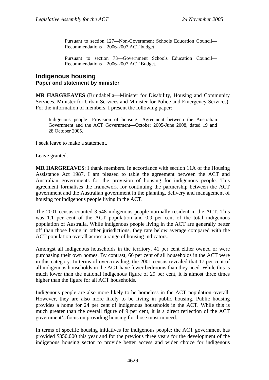Pursuant to section 127—Non-Government Schools Education Council— Recommendations—2006-2007 ACT budget.

Pursuant to section 73—Government Schools Education Council— Recommendations—2006-2007 ACT Budget.

#### **Indigenous housing Paper and statement by minister**

**MR HARGREAVES** (Brindabella—Minister for Disability, Housing and Community Services, Minister for Urban Services and Minister for Police and Emergency Services): For the information of members, I present the following paper:

Indigenous people—Provision of housing—Agreement between the Australian Government and the ACT Government—October 2005-June 2008, dated 19 and 28 October 2005.

I seek leave to make a statement.

Leave granted.

**MR HARGREAVES**: I thank members. In accordance with section 11A of the Housing Assistance Act 1987, I am pleased to table the agreement between the ACT and Australian governments for the provision of housing for indigenous people. This agreement formalises the framework for continuing the partnership between the ACT government and the Australian government in the planning, delivery and management of housing for indigenous people living in the ACT.

The 2001 census counted 3,548 indigenous people normally resident in the ACT. This was 1.1 per cent of the ACT population and 0.9 per cent of the total indigenous population of Australia. While indigenous people living in the ACT are generally better off than those living in other jurisdictions, they rate below average compared with the ACT population overall across a range of housing indicators.

Amongst all indigenous households in the territory, 41 per cent either owned or were purchasing their own homes. By contrast, 66 per cent of all households in the ACT were in this category. In terms of overcrowding, the 2001 census revealed that 17 per cent of all indigenous households in the ACT have fewer bedrooms than they need. While this is much lower than the national indigenous figure of 29 per cent, it is almost three times higher than the figure for all ACT households.

Indigenous people are also more likely to be homeless in the ACT population overall. However, they are also more likely to be living in public housing. Public housing provides a home for 24 per cent of indigenous households in the ACT. While this is much greater than the overall figure of 9 per cent, it is a direct reflection of the ACT government's focus on providing housing for those most in need.

In terms of specific housing initiatives for indigenous people: the ACT government has provided \$350,000 this year and for the previous three years for the development of the indigenous housing sector to provide better access and wider choice for indigenous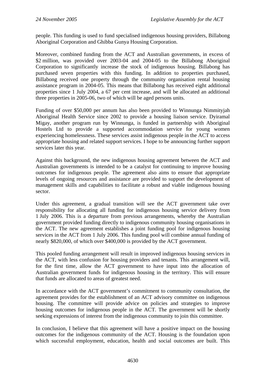people. This funding is used to fund specialised indigenous housing providers, Billabong Aboriginal Corporation and Ghibba Gunya Housing Corporation.

Moreover, combined funding from the ACT and Australian governments, in excess of \$2 million, was provided over 2003-04 and 2004-05 to the Billabong Aboriginal Corporation to significantly increase the stock of indigenous housing. Billabong has purchased seven properties with this funding. In addition to properties purchased, Billabong received one property through the community organisation rental housing assistance program in 2004-05. This means that Billabong has received eight additional properties since 1 July 2004, a 67 per cent increase, and will be allocated an additional three properties in 2005-06, two of which will be aged persons units.

Funding of over \$50,000 per annum has also been provided to Winnunga Nimmityjah Aboriginal Health Service since 2002 to provide a housing liaison service. Dyiramal Migay, another program run by Winnunga, is funded in partnership with Aboriginal Hostels Ltd to provide a supported accommodation service for young women experiencing homelessness. These services assist indigenous people in the ACT to access appropriate housing and related support services. I hope to be announcing further support services later this year.

Against this background, the new indigenous housing agreement between the ACT and Australian governments is intended to be a catalyst for continuing to improve housing outcomes for indigenous people. The agreement also aims to ensure that appropriate levels of ongoing resources and assistance are provided to support the development of management skills and capabilities to facilitate a robust and viable indigenous housing sector.

Under this agreement, a gradual transition will see the ACT government take over responsibility for allocating all funding for indigenous housing service delivery from 1 July 2006. This is a departure from previous arrangements, whereby the Australian government provided funding directly to indigenous community housing organisations in the ACT. The new agreement establishes a joint funding pool for indigenous housing services in the ACT from 1 July 2006. This funding pool will combine annual funding of nearly \$820,000, of which over \$400,000 is provided by the ACT government.

This pooled funding arrangement will result in improved indigenous housing services in the ACT, with less confusion for housing providers and tenants. This arrangement will, for the first time, allow the ACT government to have input into the allocation of Australian government funds for indigenous housing in the territory. This will ensure that funds are allocated to areas of greatest need.

In accordance with the ACT government's commitment to community consultation, the agreement provides for the establishment of an ACT advisory committee on indigenous housing. The committee will provide advice on policies and strategies to improve housing outcomes for indigenous people in the ACT. The government will be shortly seeking expressions of interest from the indigenous community to join this committee.

In conclusion, I believe that this agreement will have a positive impact on the housing outcomes for the indigenous community of the ACT. Housing is the foundation upon which successful employment, education, health and social outcomes are built. This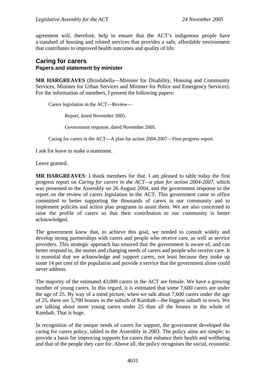agreement will, therefore, help to ensure that the ACT's indigenous people have a standard of housing and related services that provides a safe, affordable environment that contributes to improved health outcomes and quality of life.

# **Caring for carers Papers and statement by minister**

**MR HARGREAVES** (Brindabella—Minister for Disability, Housing and Community Services, Minister for Urban Services and Minister for Police and Emergency Services): For the information of members, I present the following papers:

Carers legislation in the ACT—Review—

Report, dated November 2005.

Government response, dated November 2005.

Caring for carers in the ACT—A plan for action 2004-2007—First progress report.

I ask for leave to make a statement.

Leave granted.

**MR HARGREAVES**: I thank members for that. I am pleased to table today the first progress report on *Caring for carers in the ACT—a plan for action 2004-2007,* which was presented to the Assembly on 26 August 2004, and the government response to the report on the review of carers legislation in the ACT. This government came to office committed to better supporting the thousands of carers in our community and to implement policies and action plan programs to assist them. We are also concerned to raise the profile of carers so that their contribution to our community is better acknowledged.

The government knew that, to achieve this goal, we needed to consult widely and develop strong partnerships with carers and people who receive care, as well as service providers. This strategic approach has ensured that the government is aware of, and can better respond to, the unmet and changing needs of carers and people who receive care. It is essential that we acknowledge and support carers, not least because they make up some 14 per cent of the population and provide a service that the government alone could never address.

The majority of the estimated 43,000 carers in the ACT are female. We have a growing number of young carers. In this regard, it is estimated that some 7,600 carers are under the age of 25. By way of a mind picture, when we talk about 7,600 carers under the age of 25, there are 5,700 houses in the suburb of Kambah—the biggest suburb in town. We are talking about more young carers under 25 than all the houses in the whole of Kambah. That is huge.

In recognition of the unique needs of carers for support, the government developed the caring for carers policy, tabled in the Assembly in 2003. The policy aims are simple: to provide a basis for improving supports for carers that enhance their health and wellbeing and that of the people they care for. Above all, the policy recognises the social, economic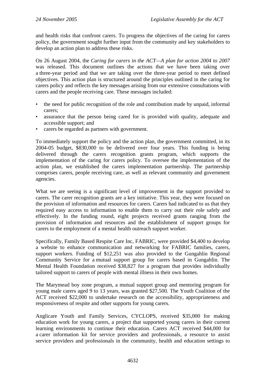and health risks that confront carers. To progress the objectives of the caring for carers policy, the government sought further input from the community and key stakeholders to develop an action plan to address these risks.

On 26 August 2004, the *Caring for carers in the ACT—A plan for action 2004 to 2007* was released. This document outlines the actions that we have been taking over a three-year period and that we are taking over the three-year period to meet defined objectives. This action plan is structured around the principles outlined in the caring for carers policy and reflects the key messages arising from our extensive consultations with carers and the people receiving care. These messages included:

- the need for public recognition of the role and contribution made by unpaid, informal carers;
- assurance that the person being cared for is provided with quality, adequate and accessible support; and
- carers be regarded as partners with government.

To immediately support the policy and the action plan, the government committed, in its 2004-05 budget, \$830,000 to be delivered over four years. This funding is being delivered through the carers recognition grants program, which supports the implementation of the caring for carers policy. To oversee the implementation of the action plan, we established the carers implementation partnership. The partnership comprises carers, people receiving care, as well as relevant community and government agencies.

What we are seeing is a significant level of improvement in the support provided to carers. The carer recognition grants are a key initiative. This year, they were focused on the provision of information and resources for carers. Carers had indicated to us that they required easy access to information to enable them to carry out their role safely and effectively. In the funding round, eight projects received grants ranging from the provision of information and resources and the establishment of support groups for carers to the employment of a mental health outreach support worker.

Specifically, Family Based Respite Care Inc, FABRIC, were provided \$4,400 to develop a website to enhance communication and networking for FABRIC families, carers, support workers. Funding of \$12,251 was also provided to the Gungahlin Regional Community Service for a mutual support group for carers based in Gungahlin. The Mental Health Foundation received \$38,827 for a program that provides individually tailored support to carers of people with mental illness in their own homes.

The Marymead boy zone program, a mutual support group and mentoring program for young male carers aged 9 to 13 years, was granted \$27,500. The Youth Coalition of the ACT received \$22,000 to undertake research on the accessibility, appropriateness and responsiveness of respite and other supports for young carers.

Anglicare Youth and Family Services, CYCLOPS, received \$35,000 for making education work for young carers, a project that supported young carers in their current learning environments to continue their education. Carers ACT received \$44,000 for a carer information kit for service providers and professionals, a resource to assist service providers and professionals in the community, health and education settings to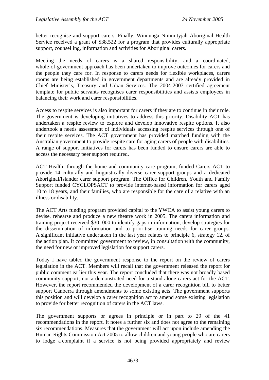better recognise and support carers. Finally, Winnunga Nimmityjah Aboriginal Health Service received a grant of \$38,522 for a program that provides culturally appropriate support, counselling, information and activities for Aboriginal carers.

Meeting the needs of carers is a shared responsibility, and a coordinated, whole-of-government approach has been undertaken to improve outcomes for carers and the people they care for. In response to carers needs for flexible workplaces, carers rooms are being established in government departments and are already provided in Chief Minister's, Treasury and Urban Services. The 2004-2007 certified agreement template for public servants recognises carer responsibilities and assists employees in balancing their work and carer responsibilities.

Access to respite services is also important for carers if they are to continue in their role. The government is developing initiatives to address this priority. Disability ACT has undertaken a respite review to explore and develop innovative respite options. It also undertook a needs assessment of individuals accessing respite services through one of their respite services. The ACT government has provided matched funding with the Australian government to provide respite care for aging carers of people with disabilities. A range of support initiatives for carers has been funded to ensure carers are able to access the necessary peer support required.

ACT Health, through the home and community care program, funded Carers ACT to provide 14 culturally and linguistically diverse carer support groups and a dedicated Aboriginal/Islander carer support program. The Office for Children, Youth and Family Support funded CYCLOPSACT to provide internet-based information for carers aged 10 to 18 years, and their families, who are responsible for the care of a relative with an illness or disability.

The ACT Arts funding program provided capital to the YWCA to assist young carers to devise, rehearse and produce a new theatre work in 2005. The carers information and training project received \$30, 000 to identify gaps in information, develop strategies for the dissemination of information and to prioritise training needs for carer groups. A significant initiative undertaken in the last year relates to principle 6, strategy 12, of the action plan. It committed government to review, in consultation with the community, the need for new or improved legislation for support carers.

Today I have tabled the government response to the report on the review of carers legislation in the ACT. Members will recall that the government released the report for public comment earlier this year. The report concluded that there was not broadly based community support, nor a demonstrated need for a stand-alone carers act for the ACT. However, the report recommended the development of a carer recognition bill to better support Canberra through amendments to some existing acts. The government supports this position and will develop a carer recognition act to amend some existing legislation to provide for better recognition of carers in the ACT laws.

The government supports or agrees in principle or in part to 29 of the 41 recommendations in the report. It notes a further six and does not agree to the remaining six recommendations. Measures that the government will act upon include amending the Human Rights Commission Act 2005 to allow children and young people who are carers to lodge a complaint if a service is not being provided appropriately and review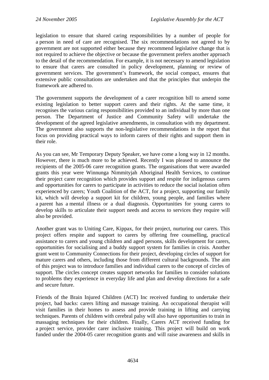legislation to ensure that shared caring responsibilities by a number of people for a person in need of care are recognised. The six recommendations not agreed to by government are not supported either because they recommend legislative change that is not required to achieve the objective or because the government prefers another approach to the detail of the recommendation. For example, it is not necessary to amend legislation to ensure that carers are consulted in policy development, planning or review of government services. The government's framework, the social compact, ensures that extensive public consultations are undertaken and that the principles that underpin the framework are adhered to.

The government supports the development of a carer recognition bill to amend some existing legislation to better support carers and their rights. At the same time, it recognises the various caring responsibilities provided to an individual by more than one person. The Department of Justice and Community Safety will undertake the development of the agreed legislative amendments, in consultation with my department. The government also supports the non-legislative recommendations in the report that focus on providing practical ways to inform carers of their rights and support them in their role.

As you can see, Mr Temporary Deputy Speaker, we have come a long way in 12 months. However, there is much more to be achieved. Recently I was pleased to announce the recipients of the 2005-06 carer recognition grants. The organisations that were awarded grants this year were Winnunga Nimmityjah Aboriginal Health Services, to continue their project carer recognition which provides support and respite for indigenous carers and opportunities for carers to participate in activities to reduce the social isolation often experienced by carers; Youth Coalition of the ACT, for a project, supporting our family kit, which will develop a support kit for children, young people, and families where a parent has a mental illness or a dual diagnosis. Opportunities for young carers to develop skills to articulate their support needs and access to services they require will also be provided.

Another grant was to Uniting Care, Kippax, for their project, nurturing our carers. This project offers respite and support to carers by offering free counselling, practical assistance to carers and young children and aged persons, skills development for carers, opportunities for socialising and a buddy support system for families in crisis. Another grant went to Community Connections for their project, developing circles of support for mature carers and others, including those from different cultural backgrounds. The aim of this project was to introduce families and individual carers to the concept of circles of support. The circles concept creates support networks for families to consider solutions to problems they experience in everyday life and plan and develop directions for a safe and secure future.

Friends of the Brain Injured Children (ACT) Inc received funding to undertake their project, bad backs: carers lifting and massage training. An occupational therapist will visit families in their homes to assess and provide training in lifting and carrying techniques. Parents of children with cerebral palsy will also have opportunities to train in massaging techniques for their children. Finally, Carers ACT received funding for a project service, provider carer inclusive training. This project will build on work funded under the 2004-05 carer recognition grants and will raise awareness and skills in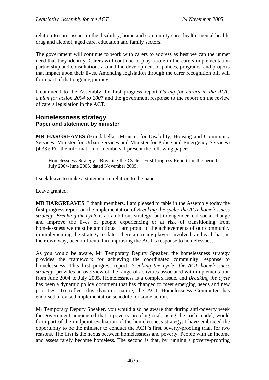relation to carer issues in the disability, home and community care, health, mental health, drug and alcohol, aged care, education and family sectors.

The government will continue to work with carers to address as best we can the unmet need that they identify. Carers will continue to play a role in the carers implementation partnership and consultations around the development of polices, programs, and projects that impact upon their lives. Amending legislation through the carer recognition bill will form part of that ongoing journey.

I commend to the Assembly the first progress report *Ca*r*ing for carers in the ACT: a plan for action 2004 to 2007* and the government response to the report on the review of carers legislation in the ACT.

### **Homelessness strategy Paper and statement by minister**

**MR HARGREAVES** (Brindabella—Minister for Disability, Housing and Community Services, Minister for Urban Services and Minister for Police and Emergency Services) (4.33): For the information of members, I present the following paper:

Homelessness Strategy—Breaking the Cycle—First Progress Report for the period July 2004-June 2005, dated November 2005.

I seek leave to make a statement in relation to the paper.

Leave granted.

**MR HARGREAVES**: I thank members. I am pleased to table in the Assembly today the first progress report on the implementation of *Breaking the cycle: the ACT homelessness strategy*. *Breaking the cycle* is an ambitious strategy, but to engender real social change and improve the lives of people experiencing or at risk of transitioning from homelessness we must be ambitious. I am proud of the achievements of our community in implementing the strategy to date. There are many players involved, and each has, in their own way, been influential in improving the ACT's response to homelessness.

As you would be aware, Mr Temporary Deputy Speaker, the homelessness strategy provides the framework for achieving the coordinated community response to homelessness. This first progress report, *Breaking the cycle: the ACT homelessness strategy*, provides an overview of the range of activities associated with implementation from June 2004 to July 2005. Homelessness is a complex issue, and *Breaking the cycle* has been a dynamic policy document that has changed to meet emerging needs and new priorities. To reflect this dynamic nature, the ACT Homelessness Committee has endorsed a revised implementation schedule for some action.

Mr Temporary Deputy Speaker, you would also be aware that during anti-poverty week the government announced that a poverty-proofing trial, using the Irish model, would form part of the midpoint evaluation of the homelessness strategy. I have embraced the opportunity to be the minister to conduct the ACT's first poverty-proofing trial, for two reasons. The first is the nexus between homelessness and poverty. People with an income and assets rarely become homeless. The second is that, by running a poverty-proofing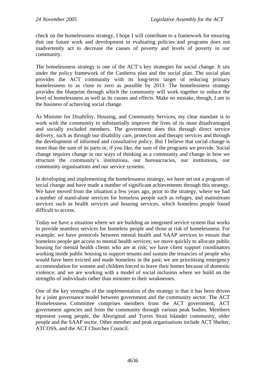check on the homelessness strategy, I hope I will contribute to a framework for ensuring that our future work and development in evaluating policies and programs does not inadvertently act to decrease the causes of poverty and levels of poverty in our community.

The homelessness strategy is one of the ACT's key strategies for social change. It sits under the policy framework of the Canberra plan and the social plan. The social plan provides the ACT community with its long-term target of reducing primary homelessness to as close to zero as possible by 2013. The homelessness strategy provides the blueprint through which the community will work together to reduce the level of homelessness as well as its causes and effects. Make no mistake, though, I am in the business of achieving social change.

As Minister for Disability, Housing, and Community Services, my clear mandate is to work with the community to substantially improve the lives of its most disadvantaged and socially excluded members. The government does this through direct service delivery, such as through our disability care, protection and therapy services and through the development of informed and consultative policy. But I believe that social change is more than the sum of its parts or, if you like, the sum of the programs we provide. Social change requires change in our ways of thinking as a community and change in how we structure the community's institutions, our bureaucracies, our institutions, our community organisations and our service systems.

In developing and implementing the homelessness strategy, we have set out a program of social change and have made a number of significant achievements through this strategy. We have moved from the situation a few years ago, prior to the strategy, where we had a number of stand-alone services for homeless people such as refuges, and mainstream services such as health services and housing services, which homeless people found difficult to access.

Today we have a situation where we are building an integrated service system that works to provide seamless services for homeless people and those at risk of homelessness. For example, we have protocols between mental health and SAAP services to ensure that homeless people get access to mental health services; we move quickly to allocate public housing for mental health clients who are at risk; we have client support coordinators working inside public housing to support tenants and sustain the tenancies of people who would have been evicted and made homeless in the past; we are prioritising emergency accommodation for women and children forced to leave their homes because of domestic violence; and we are working with a model of social inclusion where we build on the strengths of individuals rather than minister to their weaknesses.

One of the key strengths of the implementation of the strategy is that it has been driven by a joint governance model between government and the community sector. The ACT Homelessness Committee comprises members from the ACT government, ACT government agencies and from the community through various peak bodies. Members represent young people, the Aboriginal and Torres Strait Islander community, older people and the SAAP sector. Other member and peak organisations include ACT Shelter, ATCOSS, and the ACT Churches Council.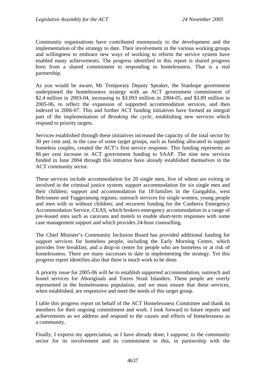Community organisations have contributed enormously to the development and the implementation of the strategy to date. Their involvement in the various working groups and willingness to embrace new ways of working to reform the service system have enabled many achievements. The progress identified in this report is shared progress born from a shared commitment to responding to homelessness. That is a real partnership.

As you would be aware, Mr Temporary Deputy Speaker, the Stanhope government underpinned the homelessness strategy with an ACT government commitment of \$2.4 million in 2003-04, increasing to \$3.093 million in 2004-05, and \$3.89 million in 2005-06, to reflect the expansion of supported accommodation services, and then indexed in 2006-07. This and further ACT funding initiatives have formed an integral part of the implementation of *Breaking the cycle*, establishing new services which respond to priority targets.

Services established through these initiatives increased the capacity of the total sector by 30 per cent and, in the case of some target groups, such as funding allocated to support homeless couples, created the ACT's first service response. This funding represents an 86 per cent increase in ACT government funding to SAAP. The nine new services funded in June 2004 through this initiative have already established themselves in the ACT community sector.

These services include accommodation for 20 single men, five of whom are exiting or involved in the criminal justice system; support accommodation for six single men and their children; support and accommodation for 18 families in the Gungahlin, west Belconnen and Tuggeranong regions; outreach services for single women, young people and men with or without children; and recurrent funding for the Canberra Emergency Accommodation Service, CEAS, which brokers emergency accommodation in a range of pre-leased sites such as caravans and motels to enable short-term responses with some case management support and which provides 24-hour counselling.

The Chief Minister's Community Inclusion Board has provided additional funding for support services for homeless people, including the Early Morning Centre, which provides free breakfast, and a drop-in centre for people who are homeless or at risk of homelessness. There are many successes to date in implementing the strategy. Yet this progress report identifies also that there is much work to be done.

A priority issue for 2005-06 will be to establish supported accommodation, outreach and hostel services for Aboriginals and Torres Strait Islanders. These people are overly represented in the homelessness population, and we must ensure that these services, when established, are responsive and meet the needs of this target group.

I table this progress report on behalf of the ACT Homelessness Committee and thank its members for their ongoing commitment and work. I look forward to future reports and achievements as we address and respond to the causes and effects of homelessness as a community.

Finally, I express my appreciation, as I have already done, I suppose, to the community sector for its involvement and its commitment to this, in partnership with the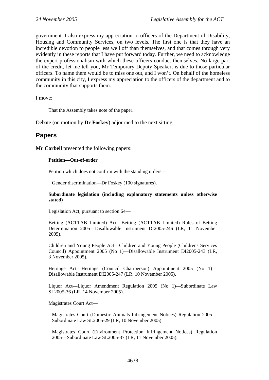government. I also express my appreciation to officers of the Department of Disability, Housing and Community Services, on two levels. The first one is that they have an incredible devotion to people less well off than themselves, and that comes through very evidently in these reports that I have put forward today. Further, we need to acknowledge the expert professionalism with which these officers conduct themselves. No large part of the credit, let me tell you, Mr Temporary Deputy Speaker, is due to those particular officers. To name them would be to miss one out, and I won't. On behalf of the homeless community in this city, I express my appreciation to the officers of the department and to the community that supports them.

I move:

That the Assembly takes note of the paper.

Debate (on motion by **Dr Foskey**) adjourned to the next sitting.

## **Papers**

**Mr Corbell** presented the following papers:

#### **Petition—Out-of-order**

Petition which does not confirm with the standing orders—

Gender discrimination—Dr Foskey (100 signatures).

#### **Subordinate legislation (including explanatory statements unless otherwise stated)**

Legislation Act, pursuant to section 64—

Betting (ACTTAB Limited) Act—Betting (ACTTAB Limited) Rules of Betting Determination 2005—Disallowable Instrument DI2005-246 (LR, 11 November 2005).

Children and Young People Act—Children and Young People (Childrens Services Council) Appointment 2005 (No 1)—Disallowable Instrument DI2005-243 (LR, 3 November 2005).

Heritage Act—Heritage (Council Chairperson) Appointment 2005 (No 1)— Disallowable Instrument DI2005-247 (LR, 10 November 2005).

Liquor Act—Liquor Amendment Regulation 2005 (No 1)—Subordinate Law SL2005-36 (LR, 14 November 2005).

Magistrates Court Act—

Magistrates Court (Domestic Animals Infringement Notices) Regulation 2005— Subordinate Law SL2005-29 (LR, 10 November 2005).

Magistrates Court (Environment Protection Infringement Notices) Regulation 2005—Subordinate Law SL2005-37 (LR, 11 November 2005).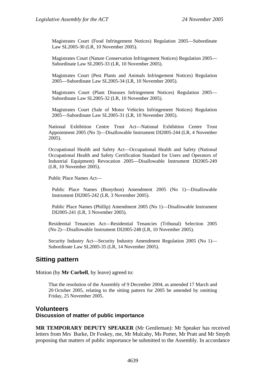Magistrates Court (Food Infringement Notices) Regulation 2005—Subordinate Law SL2005-30 (LR, 10 November 2005).

Magistrates Court (Nature Conservation Infringement Notices) Regulation 2005— Subordinate Law SL2005-33 (LR, 10 November 2005).

Magistrates Court (Pest Plants and Animals Infringement Notices) Regulation 2005—Subordinate Law SL2005-34 (LR, 10 November 2005).

Magistrates Court (Plant Diseases Infringement Notices) Regulation 2005— Subordinate Law SL2005-32 (LR, 10 November 2005).

Magistrates Court (Sale of Motor Vehicles Infringement Notices) Regulation 2005—Subordinate Law SL2005-31 (LR, 10 November 2005).

National Exhibition Centre Trust Act—National Exhibition Centre Trust Appointment 2005 (No 3)—Disallowable Instrument DI2005-244 (LR, 4 November 2005).

Occupational Health and Safety Act—Occupational Health and Safety (National Occupational Health and Safety Certification Standard for Users and Operators of Industrial Equipment) Revocation 2005—Disallowable Instrument DI2005-249 (LR, 10 November 2005).

Public Place Names Act—

Public Place Names (Bonython) Amendment 2005 (No 1)—Disallowable Instrument DI2005-242 (LR, 3 November 2005).

Public Place Names (Phillip) Amendment 2005 (No 1)—Disallowable Instrument DI2005-241 (LR, 3 November 2005).

Residential Tenancies Act—Residential Tenancies (Tribunal) Selection 2005 (No 2)—Disallowable Instrument DI2005-248 (LR, 10 November 2005).

Security Industry Act—Security Industry Amendment Regulation 2005 (No 1)— Subordinate Law SL2005-35 (LR, 14 November 2005).

## **Sitting pattern**

Motion (by **Mr Corbell**, by leave) agreed to:

That the resolution of the Assembly of 9 December 2004, as amended 17 March and 20 October 2005, relating to the sitting pattern for 2005 be amended by omitting Friday, 25 November 2005.

### **Volunteers Discussion of matter of public importance**

**MR TEMPORARY DEPUTY SPEAKER** (Mr Gentleman): Mr Speaker has received letters from Mrs Burke, Dr Foskey, me, Mr Mulcahy, Ms Porter, Mr Pratt and Mr Smyth proposing that matters of public importance be submitted to the Assembly. In accordance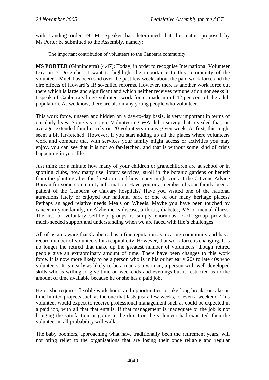with standing order 79, Mr Speaker has determined that the matter proposed by Ms Porter be submitted to the Assembly, namely:

The important contribution of volunteers to the Canberra community.

**MS PORTER** (Ginninderra) (4.47): Today, in order to recognise International Volunteer Day on 5 December, I want to highlight the importance to this community of the volunteer. Much has been said over the past few weeks about the paid work force and the dire effects of Howard's IR so-called reforms. However, there is another work force out there which is large and significant and which neither receives remuneration nor seeks it. I speak of Canberra's huge volunteer work force, made up of 42 per cent of the adult population. As we know, there are also many young people who volunteer.

This work force, unseen and hidden on a day-to-day basis, is very important in terms of our daily lives. Some years ago, Volunteering WA did a survey that revealed that, on average, extended families rely on 20 volunteers in any given week. At first, this might seem a bit far-fetched. However, if you start adding up all the places where volunteers work and compare that with services your family might access or activities you may enjoy, you can see that it is not so far-fetched, and that is without some kind of crisis happening in your life.

Just think for a minute how many of your children or grandchildren are at school or in sporting clubs, how many use library services, stroll in the botanic gardens or benefit from the planting after the firestorm, and how many might contact the Citizens Advice Bureau for some community information. Have you or a member of your family been a patient of the Canberra or Calvary hospitals? Have you visited one of the national attractions lately or enjoyed our national park or one of our many heritage places? Perhaps an aged relative needs Meals on Wheels. Maybe you have been touched by cancer in your family, or Alzheimer's disease, arthritis, diabetes, MS or mental illness. The list of voluntary self-help groups is simply enormous. Each group provides much-needed support and understanding when we are faced with life's challenges.

All of us are aware that Canberra has a fine reputation as a caring community and has a record number of volunteers for a capital city. However, that work force is changing. It is no longer the retired that make up the greatest number of volunteers, though retired people give an extraordinary amount of time. There have been changes to this work force. It is now more likely to be a person who is in his or her early 20s to late 40s who volunteers. It is nearly as likely to be a man as a woman, a person with well-developed skills who is willing to give time on weekends and evenings but is restricted as to the amount of time available because he or she has a paid job.

He or she requires flexible work hours and opportunities to take long breaks or take on time-limited projects such as the one that lasts just a few weeks, or even a weekend. This volunteer would expect to receive professional management such as could be expected in a paid job, with all that that entails. If that management is inadequate or the job is not bringing the satisfaction or going in the direction the volunteer had expected, then the volunteer in all probability will walk.

The baby boomers, approaching what have traditionally been the retirement years, will not bring relief to the organisations that are losing their once reliable and regular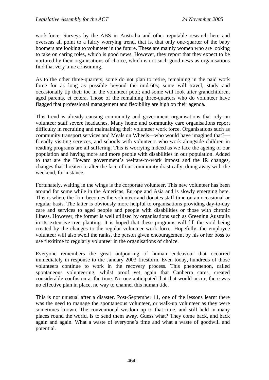work force. Surveys by the ABS in Australia and other reputable research here and overseas all point to a fairly worrying trend, that is, that only one-quarter of the baby boomers are looking to volunteer in the future. These are mainly women who are looking to take on caring roles, which is good news. However, they report that they expect to be nurtured by their organisations of choice, which is not such good news as organisations find that very time consuming.

As to the other three-quarters, some do not plan to retire, remaining in the paid work force for as long as possible beyond the mid-60s; some will travel, study and occasionally tip their toe in the volunteer pool; and some will look after grandchildren, aged parents, et cetera. Those of the remaining three-quarters who do volunteer have flagged that professional management and flexibility are high on their agenda.

This trend is already causing community and government organisations that rely on volunteer staff severe headaches. Many home and community care organisations report difficulty in recruiting and maintaining their volunteer work force. Organisations such as community transport services and Meals on Wheels—who would have imagined that? friendly visiting services, and schools with volunteers who work alongside children in reading programs are all suffering. This is worrying indeed as we face the ageing of our population and having more and more people with disabilities in our population. Added to that are the Howard government's welfare-to-work impost and the IR changes, changes that threaten to alter the face of our community drastically, doing away with the weekend, for instance.

Fortunately, waiting in the wings is the corporate volunteer. This new volunteer has been around for some while in the Americas, Europe and Asia and is slowly emerging here. This is where the firm becomes the volunteer and donates staff time on an occasional or regular basis. The latter is obviously more helpful to organisations providing day-to-day care and services to aged people and people with disabilities or those with chronic illness. However, the former is well utilised by organisations such as Greening Australia in its extensive tree planting. It is hoped that these programs will fill the void being created by the changes to the regular volunteer work force. Hopefully, the employee volunteer will also swell the ranks, the person given encouragement by his or her boss to use flexitime to regularly volunteer in the organisations of choice.

Everyone remembers the great outpouring of human endeavour that occurred immediately in response to the January 2003 firestorm. Even today, hundreds of those volunteers continue to work in the recovery process. This phenomenon, called spontaneous volunteering, whilst proof yet again that Canberra cares, created considerable confusion at the time. No-one anticipated that that would occur; there was no effective plan in place, no way to channel this human tide.

This is not unusual after a disaster. Post-September 11, one of the lessons learnt there was the need to manage the spontaneous volunteer, or walk-up volunteer as they were sometimes known. The conventional wisdom up to that time, and still held in many places round the world, is to send them away. Guess what? They come back, and back again and again. What a waste of everyone's time and what a waste of goodwill and potential.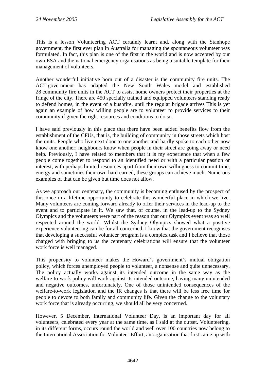This is a lesson Volunteering ACT certainly learnt and, along with the Stanhope government, the first ever plan in Australia for managing the spontaneous volunteer was formulated. In fact, this plan is one of the first in the world and is now accepted by our own ESA and the national emergency organisations as being a suitable template for their management of volunteers.

Another wonderful initiative born out of a disaster is the community fire units. The ACT government has adapted the New South Wales model and established 28 community fire units in the ACT to assist home owners protect their properties at the fringe of the city. There are 450 specially trained and equipped volunteers standing ready to defend homes, in the event of a bushfire, until the regular brigade arrives This is yet again an example of how willing people are to volunteer to provide services to their community if given the right resources and conditions to do so.

I have said previously in this place that there have been added benefits flow from the establishment of the CFUs, that is, the building of community in those streets which host the units. People who live next door to one another and hardly spoke to each other now know one another; neighbours know when people in their street are going away or need help. Previously, I have related to members that it is my experience that when a few people come together to respond to an identified need or with a particular passion or interest, with perhaps limited resources apart from their own willingness to commit time, energy and sometimes their own hard earned, these groups can achieve much. Numerous examples of that can be given but time does not allow.

As we approach our centenary, the community is becoming enthused by the prospect of this once in a lifetime opportunity to celebrate this wonderful place in which we live. Many volunteers are coming forward already to offer their services in the lead-up to the event and to participate in it. We saw that, of course, in the lead-up to the Sydney Olympics and the volunteers were part of the reason that our Olympics event was so well respected around the world. Whilst the Sydney Olympics showed what a positive experience volunteering can be for all concerned, I know that the government recognises that developing a successful volunteer program is a complex task and I believe that those charged with bringing to us the centenary celebrations will ensure that the volunteer work force is well managed.

This propensity to volunteer makes the Howard's government's mutual obligation policy, which forces unemployed people to volunteer, a nonsense and quite unnecessary. The policy actually works against its intended outcome in the same way as the welfare-to-work policy will work against its intended outcome, having many unintended and negative outcomes, unfortunately. One of those unintended consequences of the welfare-to-work legislation and the IR changes is that there will be less free time for people to devote to both family and community life. Given the change to the voluntary work force that is already occurring, we should all be very concerned.

However, 5 December, International Volunteer Day, is an important day for all volunteers, celebrated every year at the same time, as I said at the outset. Volunteering, in its different forms, occurs round the world and well over 100 countries now belong to the International Association for Volunteer Effort, an organisation that first came up with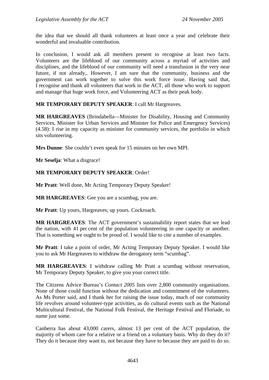the idea that we should all thank volunteers at least once a year and celebrate their wonderful and invaluable contribution.

In conclusion, I would ask all members present to recognise at least two facts. Volunteers are the lifeblood of our community across a myriad of activities and disciplines, and the lifeblood of our community will need a transfusion in the very near future, if not already,. However, I am sure that the community, business and the government can work together to solve this work force issue. Having said that, I recognise and thank all volunteers that work in the ACT, all those who work to support and manage that huge work force, and Volunteering ACT as their peak body.

#### **MR TEMPORARY DEPUTY SPEAKER**: I call Mr Hargreaves.

**MR HARGREAVES** (Brindabella—Minister for Disability, Housing and Community Services, Minister for Urban Services and Minister for Police and Emergency Services) (4.58): I rise in my capacity as minister for community services, the portfolio in which sits volunteering.

**Mrs Dunne**: She couldn't even speak for 15 minutes on her own MPI.

**Mr Seselja**: What a disgrace!

#### **MR TEMPORARY DEPUTY SPEAKER**: Order!

**Mr Pratt**: Well done, Mr Acting Temporary Deputy Speaker!

**MR HARGREAVES**: Gee you are a scumbag, you are.

**Mr Pratt**: Up yours, Hargreaves; up yours. Cockroach.

**MR HARGREAVES**: The ACT government's sustainability report states that we lead the nation, with 41 per cent of the population volunteering in one capacity or another. That is something we ought to be proud of. I would like to cite a number of examples.

**Mr Pratt**: I take a point of order, Mr Acting Temporary Deputy Speaker. I would like you to ask Mr Hargreaves to withdraw the derogatory term "scumbag".

**MR HARGREAVES**: I withdraw calling Mr Pratt a scumbag without reservation, Mr Temporary Deputy Speaker, to give you your correct title.

The Citizens Advice Bureau's *Contact 2005* lists over 2,800 community organisations. None of those could function without the dedication and commitment of the volunteers. As Ms Porter said, and I thank her for raising the issue today, much of our community life revolves around volunteer-type activities, as do cultural events such as the National Multicultural Festival, the National Folk Festival, the Heritage Festival and Floriade, to name just some.

Canberra has about 43,000 carers, almost 13 per cent of the ACT population, the majority of whom care for a relative or a friend on a voluntary basis. Why do they do it? They do it because they want to, not because they have to because they are paid to do so.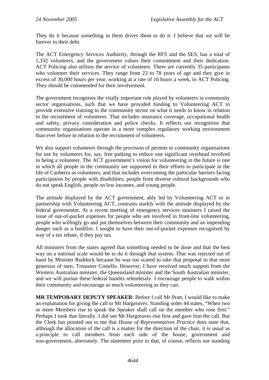They do it because something in them drives them to do it. I believe that we will be forever in their debt.

The ACT Emergency Services Authority, through the RFS and the SES, has a total of 1,332 volunteers, and the government values their commitment and their dedication. ACT Policing also utilises the service of volunteers. There are currently 35 participants who volunteer their services. They range from 23 to 78 years of age and they give in excess of 30,000 hours per year, working at a rate of 16 hours a week, to ACT Policing. They should be commended for their involvement.

The government recognises the vitally important role played by volunteers in community sector organisations, such that we have provided funding to Volunteering ACT to provide extensive training to the community sector on what it needs to know in relation to the recruitment of volunteers. That includes insurance coverage, occupational health and safety, privacy consideration and police checks. It reflects our recognition that community organisations operate in a more complex regulatory working environment than ever before in relation to the recruitment of volunteers.

We also support volunteers through the provision of permits to community organisations for use by volunteers for, say, free parking to reduce one significant overhead involved in being a volunteer. The ACT government's vision for volunteering in the future is one in which all people in the community are supported in their efforts to participate in the life of Canberra as volunteers, and that includes overcoming the particular barriers facing participation by people with disabilities, people from diverse cultural backgrounds who do not speak English, people on low incomes, and young people.

The attitude displayed by the ACT government, ably led by Volunteering ACT or in partnership with Volunteering ACT, contrasts starkly with the attitude displayed by the federal government. At a recent meeting of emergency services ministers I raised the issue of out-of-pocket expenses for people who are involved in front-line volunteering, people who willingly go and put themselves between their community and an impending danger such as a bushfire. I sought to have their out-of-pocket expenses recognised by way of a tax rebate, if they pay tax.

All ministers from the states agreed that something needed to be done and that the best way on a national scale would be to do it through that system. That was rejected out of hand by Minister Ruddock because he was too scared to take that proposal to that most generous of men, Treasurer Costello. However, I have received much support from the Western Australian minister, the Queensland minister and the South Australian minister, and we will pursue these federal bandits relentlessly. I encourage people to walk within their community and encourage as much volunteering as they can.

**MR TEMPORARY DEPUTY SPEAKER**: Before I call Mr Pratt, I would like to make an explanation for giving the call to Mr Hargreaves. Standing order 44 states, "When two or more Members rise to speak the Speaker shall call on the member who rose first." Perhaps I took that literally. I did see Mr Hargreaves rise first and gave him the call. But the Clerk has pointed out to me that *House of Representatives Practice* does state that, although the allocation of the call is a matter for the direction of the chair, it is usual as a principle to call members from each side of the house, government and non-government, alternately. The statement prior to that, of course, reflects our standing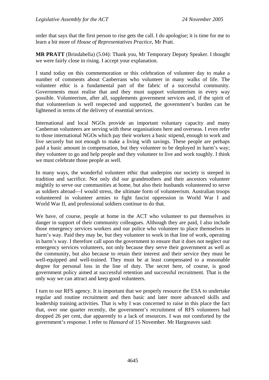order that says that the first person to rise gets the call. I do apologise; it is time for me to learn a bit more of *House of Representatives Practice*, Mr Pratt.

**MR PRATT** (Brindabella) (5.04): Thank you, Mr Temporary Deputy Speaker. I thought we were fairly close in rising. I accept your explanation.

I stand today on this commemoration or this celebration of volunteer day to make a number of comments about Canberrans who volunteer in many walks of life. The volunteer ethic is a fundamental part of the fabric of a successful community. Governments must realise that and they must support volunteerism in every way possible. Volunteerism, after all, supplements government services and, if the spirit of that volunteerism is well respected and supported, the government's burden can be lightened in terms of the delivery of essential services.

International and local NGOs provide an important voluntary capacity and many Canberran volunteers are serving with these organisations here and overseas. I even refer to those international NGOs which pay their workers a basic stipend, enough to work and live securely but not enough to make a living with savings. These people are perhaps paid a basic amount in compensation, but they volunteer to be deployed in harm's way; they volunteer to go and help people and they volunteer to live and work toughly. I think we must celebrate those people as well.

In many ways, the wonderful volunteer ethic that underpins our society is steeped in tradition and sacrifice. Not only did our grandmothers and their ancestors volunteer mightily to serve our communities at home, but also their husbands volunteered to serve as soldiers abroad—I would stress, the ultimate form of volunteerism. Australian troops volunteered in volunteer armies to fight fascist oppression in World War I and World War II, and professional soldiers continue to do that.

We have, of course, people at home in the ACT who volunteer to put themselves in danger in support of their community colleagues. Although they are paid, I also include those emergency services workers and our police who volunteer to place themselves in harm's way. Paid they may be, but they volunteer to work in that line of work, operating in harm's way. I therefore call upon the government to ensure that it does not neglect our emergency services volunteers, not only because they serve their government as well as the community, but also because to retain their interest and their service they must be well-equipped and well-trained. They must be at least compensated to a reasonable degree for personal loss in the line of duty. The secret here, of course, is good government policy aimed at successful retention and successful recruitment. That is the only way we can attract and keep good volunteers.

I turn to our RFS agency. It is important that we properly resource the ESA to undertake regular and routine recruitment and then basic and later more advanced skills and leadership training activities. That is why I was concerned to raise in this place the fact that, over one quarter recently, the government's recruitment of RFS volunteers had dropped 26 per cent, due apparently to a lack of resources. I was not comforted by the government's response. I refer to *Hansard* of 15 November. Mr Hargreaves said: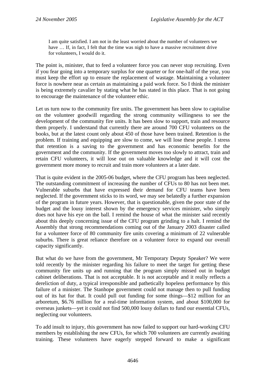I am quite satisfied. I am not in the least worried about the number of volunteers we have ... If, in fact, I felt that the time was nigh to have a massive recruitment drive for volunteers, I would do it.

The point is, minister, that to feed a volunteer force you can never stop recruiting. Even if you fear going into a temporary surplus for one quarter or for one-half of the year, you must keep the effort up to ensure the replacement of wastage. Maintaining a volunteer force is nowhere near as certain as maintaining a paid work force. So I think the minister is being extremely cavalier by stating what he has stated in this place. That is not going to encourage the maintenance of the volunteer ethic.

Let us turn now to the community fire units. The government has been slow to capitalise on the volunteer goodwill regarding the strong community willingness to see the development of the community fire units. It has been slow to support, train and resource them properly. I understand that currently there are around 700 CFU volunteers on the books, but at the latest count only about 450 of those have been trained. Retention is the problem. If training and equipping are slow to come, we will lose these people. I stress that retention is a saving to the government and has economic benefits for the government and the community. If the government moves too slowly to attract, train and retain CFU volunteers, it will lose out on valuable knowledge and it will cost the government more money to recruit and train more volunteers at a later date.

That is quite evident in the 2005-06 budget, where the CFU program has been neglected. The outstanding commitment of increasing the number of CFUs to 80 has not been met. Vulnerable suburbs that have expressed their demand for CFU teams have been neglected. If the government sticks to its word, we may see belatedly a further expansion of the program in future years. However, that is questionable, given the poor state of the budget and the lousy interest shown by the emergency services minister, who simply does not have his eye on the ball. I remind the house of what the minister said recently about this deeply concerning issue of the CFU program grinding to a halt. I remind the Assembly that strong recommendations coming out of the January 2003 disaster called for a volunteer force of 80 community fire units covering a minimum of 22 vulnerable suburbs. There is great reliance therefore on a volunteer force to expand our overall capacity significantly.

But what do we have from the government, Mr Temporary Deputy Speaker? We were told recently by the minister regarding his failure to meet the target for getting these community fire units up and running that the program simply missed out in budget cabinet deliberations. That is not acceptable. It is not acceptable and it really reflects a dereliction of duty, a typical irresponsible and pathetically hopeless performance by this failure of a minister. The Stanhope government could not manage then to pull funding out of its hat for that. It could pull out funding for some things—\$12 million for an arboretum, \$6.76 million for a real-time information system, and about \$100,000 for overseas junkets—yet it could not find 500,000 lousy dollars to fund our essential CFUs, neglecting our volunteers.

To add insult to injury, this government has now failed to support our hard-working CFU members by establishing the new CFUs, for which 700 volunteers are currently awaiting training. These volunteers have eagerly stepped forward to make a significant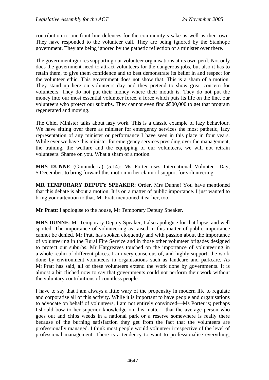contribution to our front-line defences for the community's sake as well as their own. They have responded to the volunteer call. They are being ignored by the Stanhope government. They are being ignored by the pathetic reflection of a minister over there.

The government ignores supporting our volunteer organisations at its own peril. Not only does the government need to attract volunteers for the dangerous jobs, but also it has to retain them, to give them confidence and to best demonstrate its belief in and respect for the volunteer ethic. This government does not show that. This is a sham of a motion. They stand up here on volunteers day and they pretend to show great concern for volunteers. They do not put their money where their mouth is. They do not put the money into our most essential volunteer force, a force which puts its life on the line, our volunteers who protect our suburbs. They cannot even find \$500,000 to get that program regenerated and moving.

The Chief Minister talks about lazy work. This is a classic example of lazy behaviour. We have sitting over there as minister for emergency services the most pathetic, lazy representation of any minister or performance I have seen in this place in four years. While ever we have this minister for emergency services presiding over the management, the training, the welfare and the equipping of our volunteers, we will not retrain volunteers. Shame on you. What a sham of a motion.

**MRS DUNNE** (Ginninderra) (5.14): Ms Porter uses International Volunteer Day, 5 December, to bring forward this motion in her claim of support for volunteering.

**MR TEMPORARY DEPUTY SPEAKER**: Order, Mrs Dunne! You have mentioned that this debate is about a motion. It is on a matter of public importance. I just wanted to bring your attention to that. Mr Pratt mentioned it earlier, too.

**Mr Pratt**: I apologise to the house, Mr Temporary Deputy Speaker.

**MRS DUNNE**: Mr Temporary Deputy Speaker, I also apologise for that lapse, and well spotted. The importance of volunteering as raised in this matter of public importance cannot be denied. Mr Pratt has spoken eloquently and with passion about the importance of volunteering in the Rural Fire Service and in those other volunteer brigades designed to protect our suburbs. Mr Hargreaves touched on the importance of volunteering in a whole realm of different places. I am very conscious of, and highly support, the work done by environment volunteers in organisations such as landcare and parkcare. As Mr Pratt has said, all of these volunteers extend the work done by governments. It is almost a bit cliched now to say that governments could not perform their work without the voluntary contributions of countless people.

I have to say that I am always a little wary of the propensity in modern life to regulate and corporatise all of this activity. While it is important to have people and organisations to advocate on behalf of volunteers, I am not entirely convinced—Ms Porter is; perhaps I should bow to her superior knowledge on this matter—that the average person who goes out and chips weeds in a national park or a reserve somewhere is really there because of the burning satisfaction they get from the fact that the volunteers are professionally managed. I think most people would volunteer irrespective of the level of professional management. There is a tendency to want to professionalise everything,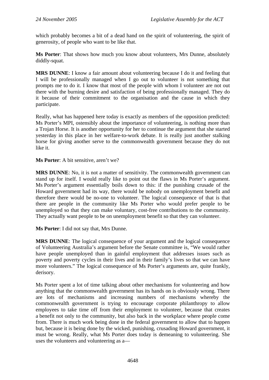which probably becomes a bit of a dead hand on the spirit of volunteering, the spirit of generosity, of people who want to be like that.

**Ms Porter**: That shows how much you know about volunteers, Mrs Dunne, absolutely diddly-squat.

**MRS DUNNE**: I know a fair amount about volunteering because I do it and feeling that I will be professionally managed when I go out to volunteer is not something that prompts me to do it. I know that most of the people with whom I volunteer are not out there with the burning desire and satisfaction of being professionally managed. They do it because of their commitment to the organisation and the cause in which they participate.

Really, what has happened here today is exactly as members of the opposition predicted: Ms Porter's MPI, ostensibly about the importance of volunteering, is nothing more than a Trojan Horse. It is another opportunity for her to continue the argument that she started yesterday in this place in her welfare-to-work debate. It is really just another stalking horse for giving another serve to the commonwealth government because they do not like it.

**Ms Porter**: A bit sensitive, aren't we?

**MRS DUNNE**: No, it is not a matter of sensitivity. The commonwealth government can stand up for itself. I would really like to point out the flaws in Ms Porter's argument. Ms Porter's argument essentially boils down to this: if the punishing crusade of the Howard government had its way, there would be nobody on unemployment benefit and therefore there would be no-one to volunteer. The logical consequence of that is that there are people in the community like Ms Porter who would prefer people to be unemployed so that they can make voluntary, cost-free contributions to the community. They actually want people to be on unemployment benefit so that they can volunteer.

**Ms Porter**: I did not say that, Mrs Dunne.

**MRS DUNNE**: The logical consequence of your argument and the logical consequence of Volunteering Australia's argument before the Senate committee is, "We would rather have people unemployed than in gainful employment that addresses issues such as poverty and poverty cycles in their lives and in their family's lives so that we can have more volunteers." The logical consequence of Ms Porter's arguments are, quite frankly, derisory.

Ms Porter spent a lot of time talking about other mechanisms for volunteering and how anything that the commonwealth government has its hands on is obviously wrong. There are lots of mechanisms and increasing numbers of mechanisms whereby the commonwealth government is trying to encourage corporate philanthropy to allow employees to take time off from their employment to volunteer, because that creates a benefit not only to the community, but also back in the workplace where people come from. There is much work being done in the federal government to allow that to happen but, because it is being done by the wicked, punishing, crusading Howard government, it must be wrong. Really, what Ms Porter does today is demeaning to volunteering. She uses the volunteers and volunteering as a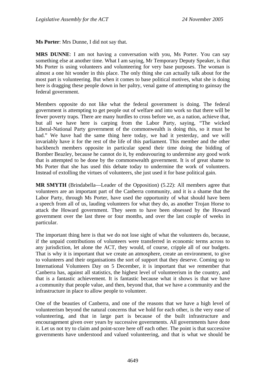**Ms Porter**: Mrs Dunne, I did not say that.

**MRS DUNNE**: I am not having a conversation with you, Ms Porter. You can say something else at another time. What I am saying, Mr Temporary Deputy Speaker, is that Ms Porter is using volunteers and volunteering for very base purposes. The woman is almost a one hit wonder in this place. The only thing she can actually talk about for the most part is volunteering. But when it comes to base political motives, what she is doing here is dragging these people down in her paltry, venal game of attempting to gainsay the federal government.

Members opposite do not like what the federal government is doing. The federal government is attempting to get people out of welfare and into work so that there will be fewer poverty traps. There are many hurdles to cross before we, as a nation, achieve that, but all we have here is carping from the Labor Party, saying, "The wicked Liberal-National Party government of the commonwealth is doing this, so it must be bad." We have had the same thing here today, we had it yesterday, and we will invariably have it for the rest of the life of this parliament. This member and the other backbench members opposite in particular spend their time doing the bidding of Bomber Beazley, because he cannot do it, by endeavouring to undermine any good work that is attempted to be done by the commonwealth government. It is of great shame to Ms Porter that she has used this debate today to undermine the work of volunteers. Instead of extolling the virtues of volunteers, she just used it for base political gain.

**MR SMYTH** (Brindabella—Leader of the Opposition) (5.22): All members agree that volunteers are an important part of the Canberra community, and it is a shame that the Labor Party, through Ms Porter, have used the opportunity of what should have been a speech from all of us, lauding volunteers for what they do, as another Trojan Horse to attack the Howard government. They seem to have been obsessed by the Howard government over the last three or four months, and over the last couple of weeks in particular.

The important thing here is that we do not lose sight of what the volunteers do, because, if the unpaid contributions of volunteers were transferred in economic terms across to any jurisdiction, let alone the ACT, they would, of course, cripple all of our budgets. That is why it is important that we create an atmosphere, create an environment, to give to volunteers and their organisations the sort of support that they deserve. Coming up to International Volunteers Day on 5 December, it is important that we remember that Canberra has, against all statistics, the highest level of volunteerism in the country, and that is a fantastic achievement. It is fantastic because what it shows is that we have a community that people value, and then, beyond that, that we have a community and the infrastructure in place to allow people to volunteer.

One of the beauties of Canberra, and one of the reasons that we have a high level of volunteerism beyond the natural concerns that we hold for each other, is the very ease of volunteering, and that in large part is because of the built infrastructure and encouragement given over years by successive governments. All governments have done it. Let us not try to claim and point-score here off each other. The point is that successive governments have understood and valued volunteering, and that is what we should be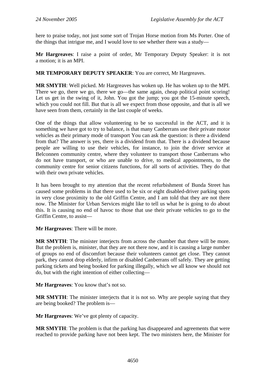here to praise today, not just some sort of Trojan Horse motion from Ms Porter. One of the things that intrigue me, and I would love to see whether there was a study—

**Mr Hargreaves**: I raise a point of order, Mr Temporary Deputy Speaker: it is not a motion; it is an MPI.

**MR TEMPORARY DEPUTY SPEAKER**: You are correct, Mr Hargreaves.

**MR SMYTH**: Well picked. Mr Hargreaves has woken up. He has woken up to the MPI. There we go, there we go, there we go—the same again, cheap political point scoring! Let us get in the swing of it, John. You got the jump; you got the 15-minute speech, which you could not fill. But that is all we expect from those opposite, and that is all we have seen from them, certainly in the last couple of weeks.

One of the things that allow volunteering to be so successful in the ACT, and it is something we have got to try to balance, is that many Canberrans use their private motor vehicles as their primary mode of transport You can ask the question: is there a dividend from that? The answer is yes, there is a dividend from that. There is a dividend because people are willing to use their vehicles, for instance, to join the driver service at Belconnen community centre, where they volunteer to transport those Canberrans who do not have transport, or who are unable to drive, to medical appointments, to the community centre for senior citizens functions, for all sorts of activities. They do that with their own private vehicles.

It has been brought to my attention that the recent refurbishment of Bunda Street has caused some problems in that there used to be six or eight disabled-driver parking spots in very close proximity to the old Griffin Centre, and I am told that they are not there now. The Minister for Urban Services might like to tell us what he is going to do about this. It is causing no end of havoc to those that use their private vehicles to go to the Griffin Centre, to assist—

**Mr Hargreaves**: There will be more.

**MR SMYTH**: The minister interjects from across the chamber that there will be more. But the problem is, minister, that they are not there now, and it is causing a large number of groups no end of discomfort because their volunteers cannot get close. They cannot park, they cannot drop elderly, infirm or disabled Canberrans off safely. They are getting parking tickets and being booked for parking illegally, which we all know we should not do, but with the right intention of either collecting—

**Mr Hargreaves**: You know that's not so.

**MR SMYTH**: The minister interjects that it is not so. Why are people saying that they are being booked? The problem is—

**Mr Hargreaves**: We've got plenty of capacity.

**MR SMYTH**: The problem is that the parking has disappeared and agreements that were reached to provide parking have not been kept. The two ministers here, the Minister for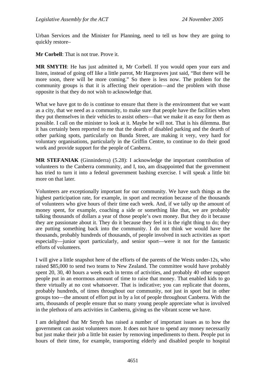Urban Services and the Minister for Planning, need to tell us how they are going to quickly restore–

**Mr Corbell**: That is not true. Prove it.

**MR SMYTH**: He has just admitted it, Mr Corbell. If you would open your ears and listen, instead of going off like a little parrot, Mr Hargreaves just said, "But there will be more soon, there will be more coming." So there is less now. The problem for the community groups is that it is affecting their operation—and the problem with those opposite is that they do not wish to acknowledge that.

What we have got to do is continue to ensure that there is the environment that we want as a city, that we need as a community, to make sure that people have the facilities when they put themselves in their vehicles to assist others—that we make it as easy for them as possible. I call on the minister to look at it. Maybe he will not. That is his dilemma. But it has certainly been reported to me that the dearth of disabled parking and the dearth of other parking spots, particularly on Bunda Street, are making it very, very hard for voluntary organisations, particularly in the Griffin Centre, to continue to do their good work and provide support for the people of Canberra.

**MR STEFANIAK** (Ginninderra) (5.28): I acknowledge the important contribution of volunteers to the Canberra community, and I, too, am disappointed that the government has tried to turn it into a federal government bashing exercise. I will speak a little bit more on that later.

Volunteers are exceptionally important for our community. We have such things as the highest participation rate, for example, in sport and recreation because of the thousands of volunteers who give hours of their time each week. And, if we tally up the amount of money spent, for example, coaching a side or something like that, we are probably talking thousands of dollars a year of those people's own money. But they do it because they are passionate about it. They do it because they feel it is the right thing to do; they are putting something back into the community. I do not think we would have the thousands, probably hundreds of thousands, of people involved in such activities as sport especially—junior sport particularly, and senior sport—were it not for the fantastic efforts of volunteers.

I will give a little snapshot here of the efforts of the parents of the Wests under-12s, who raised \$85,000 to send two teams to New Zealand. The committee would have probably spent 20, 30, 40 hours a week each in terms of activities, and probably 40 other support people put in an enormous amount of time to raise that money. That enabled kids to go there virtually at no cost whatsoever. That is indicative; you can replicate that dozens, probably hundreds, of times throughout our community, not just in sport but in other groups too—the amount of effort put in by a lot of people throughout Canberra. With the arts, thousands of people ensure that so many young people appreciate what is involved in the plethora of arts activities in Canberra, giving us the vibrant scene we have.

I am delighted that Mr Smyth has raised a number of important issues as to how the government can assist volunteers more. It does not have to spend any money necessarily but just make their job a little bit easier by removing impediments to them. People put in hours of their time, for example, transporting elderly and disabled people to hospital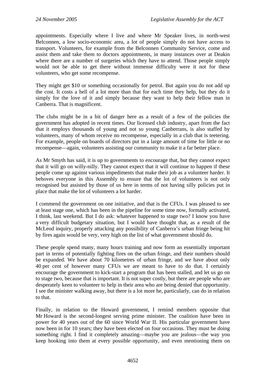appointments. Especially where I live and where Mr Speaker lives, in north-west Belconnen, a low socio-economic area, a lot of people simply do not have access to transport. Volunteers, for example from the Belconnen Community Service, come and assist them and take them to doctors appointments, in many instances over at Deakin where there are a number of surgeries which they have to attend. Those people simply would not be able to get there without immense difficulty were it not for these volunteers, who get some recompense.

They might get \$10 or something occasionally for petrol. But again you do not add up the cost. It costs a hell of a lot more than that for each time they help, but they do it simply for the love of it and simply because they want to help their fellow man in Canberra. That is magnificent.

The clubs might be in a bit of danger here as a result of a few of the policies the government has adopted in recent times. Our licensed club industry, apart from the fact that it employs thousands of young and not so young Canberrans, is also staffed by volunteers, many of whom receive no recompense, especially in a club that is teetering. For example, people on boards of directors put in a large amount of time for little or no recompense—again, volunteers assisting our community to make it a far better place.

As Mr Smyth has said, it is up to governments to encourage that, but they cannot expect that it will go on willy-nilly. They cannot expect that it will continue to happen if these people come up against various impediments that make their job as a volunteer harder. It behoves everyone in this Assembly to ensure that the lot of volunteers is not only recognised but assisted by those of us here in terms of not having silly policies put in place that make the lot of volunteers a lot harder.

I commend the government on one initiative, and that is the CFUs. I was pleased to see at least stage one, which has been in the pipeline for some time now, formally activated, I think, last weekend. But I do ask: whatever happened to stage two? I know you have a very difficult budgetary situation, but I would have thought that, as a result of the McLeod inquiry, properly attacking any possibility of Canberra's urban fringe being hit by fires again would be very, very high on the list of what government should do.

These people spend many, many hours training and now form an essentially important part in terms of potentially fighting fires on the urban fringe, and their numbers should be expanded. We have about 70 kilometres of urban fringe, and we have about only 40 per cent of however many CFUs we are meant to have to do that. I certainly encourage the government to kick-start a program that has been stalled, and let us go on to stage two, because that is important. It is not super costly, but there are people who are desperately keen to volunteer to help in their area who are being denied that opportunity. I see the minister walking away, but there is a lot more he, particularly, can do in relation to that.

Finally, in relation to the Howard government, I remind members opposite that Mr Howard is the second-longest serving prime minister. The coalition have been in power for 40 years out of the 60 since World War II. His particular government have now been in for 10 years; they have been elected on four occasions. They must be doing something right. I find it completely amazing—maybe you are jealous—the way you keep hooking into them at every possible opportunity, and even mentioning them on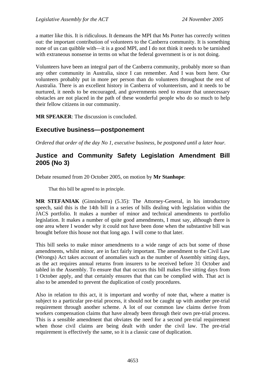a matter like this. It is ridiculous. It demeans the MPI that Ms Porter has correctly written out: the important contribution of volunteers to the Canberra community. It is something none of us can quibble with—it is a good MPI, and I do not think it needs to be tarnished with extraneous nonsense in terms on what the federal government is or is not doing.

Volunteers have been an integral part of the Canberra community, probably more so than any other community in Australia, since I can remember. And I was born here. Our volunteers probably put in more per person than do volunteers throughout the rest of Australia. There is an excellent history in Canberra of volunteerism, and it needs to be nurtured, it needs to be encouraged, and governments need to ensure that unnecessary obstacles are not placed in the path of these wonderful people who do so much to help their fellow citizens in our community.

**MR SPEAKER**: The discussion is concluded.

# **Executive business—postponement**

*Ordered that order of the day No 1, executive business, be postponed until a later hour.* 

# **Justice and Community Safety Legislation Amendment Bill 2005 (No 3)**

Debate resumed from 20 October 2005, on motion by **Mr Stanhope**:

That this bill be agreed to in principle.

**MR STEFANIAK** (Ginninderra) (5.35): The Attorney-General, in his introductory speech, said this is the 14th bill in a series of bills dealing with legislation within the JACS portfolio. It makes a number of minor and technical amendments to portfolio legislation. It makes a number of quite good amendments, I must say, although there is one area where I wonder why it could not have been done when the substantive bill was brought before this house not that long ago. I will come to that later.

This bill seeks to make minor amendments to a wide range of acts but some of those amendments, whilst minor, are in fact fairly important. The amendment to the Civil Law (Wrongs) Act takes account of anomalies such as the number of Assembly sitting days, as the act requires annual returns from insurers to be received before 31 October and tabled in the Assembly. To ensure that that occurs this bill makes five sitting days from 1 October apply, and that certainly ensures that that can be complied with. That act is also to be amended to prevent the duplication of costly procedures.

Also in relation to this act, it is important and worthy of note that, where a matter is subject to a particular pre-trial process, it should not be caught up with another pre-trial requirement through another scheme. A lot of our common law claims derive from workers compensation claims that have already been through their own pre-trial process. This is a sensible amendment that obviates the need for a second pre-trial requirement when those civil claims are being dealt with under the civil law. The pre-trial requirement is effectively the same, so it is a classic case of duplication.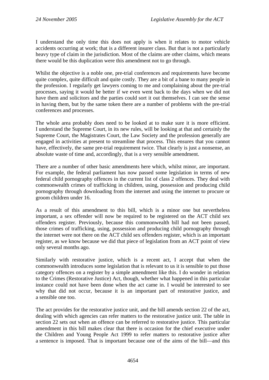I understand the only time this does not apply is when it relates to motor vehicle accidents occurring at work; that is a different insurer class. But that is not a particularly heavy type of claim in the jurisdiction. Most of the claims are other claims, which means there would be this duplication were this amendment not to go through.

Whilst the objective is a noble one, pre-trial conferences and requirements have become quite complex, quite difficult and quite costly. They are a bit of a bane to many people in the profession. I regularly get lawyers coming to me and complaining about the pre-trial processes, saying it would be better if we even went back to the days when we did not have them and solicitors and the parties could sort it out themselves. I can see the sense in having them, but by the same token there are a number of problems with the pre-trial conferences and processes.

The whole area probably does need to be looked at to make sure it is more efficient. I understand the Supreme Court, in its new rules, will be looking at that and certainly the Supreme Court, the Magistrates Court, the Law Society and the profession generally are engaged in activities at present to streamline that process. This ensures that you cannot have, effectively, the same pre-trial requirement twice. That clearly is just a nonsense, an absolute waste of time and, accordingly, that is a very sensible amendment.

There are a number of other basic amendments here which, whilst minor, are important. For example, the federal parliament has now passed some legislation in terms of new federal child pornography offences in the current list of class 2 offences. They deal with commonwealth crimes of trafficking in children, using, possession and producing child pornography through downloading from the internet and using the internet to procure or groom children under 16.

As a result of this amendment to this bill, which is a minor one but nevertheless important, a sex offender will now be required to be registered on the ACT child sex offenders register. Previously, because this commonwealth bill had not been passed, those crimes of trafficking, using, possession and producing child pornography through the internet were not there on the ACT child sex offenders register, which is an important register, as we know because we did that piece of legislation from an ACT point of view only several months ago.

Similarly with restorative justice, which is a recent act, I accept that when the commonwealth introduces some legislation that is relevant to us it is sensible to put those category offences on a register by a simple amendment like this. I do wonder in relation to the Crimes (Restorative Justice) Act, though, whether what happened in this particular instance could not have been done when the act came in. I would be interested to see why that did not occur, because it is an important part of restorative justice, and a sensible one too.

The act provides for the restorative justice unit, and the bill amends section 22 of the act, dealing with which agencies can refer matters to the restorative justice unit. The table in section 22 sets out when an offence can be referred to restorative justice. This particular amendment in this bill makes clear that there is occasion for the chief executive under the Children and Young People Act 1999 to refer matters to restorative justice after a sentence is imposed. That is important because one of the aims of the bill—and this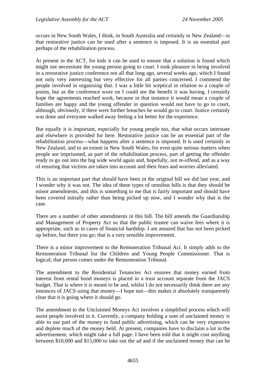occurs in New South Wales, I think, in South Australia and certainly in New Zealand—is that restorative justice can be used after a sentence is imposed. It is an essential part perhaps of the rehabilitation process.

At present in the ACT, for kids it can be used to ensure that a solution is found which might not necessitate the young person going to court. I took pleasure in being involved in a restorative justice conference not all that long ago, several weeks ago, which I found not only very interesting but very effective for all parties concerned. I commend the people involved in organising that. I was a little bit sceptical in relation to a couple of points, but as the conference wore on I could see the benefit it was having. I certainly hope the agreements reached work, because in that instance it would mean a couple of families are happy and the young offender in question would not have to go to court, although, obviously, if there were further breaches he would go to court. Justice certainly was done and everyone walked away feeling a lot better for the experience.

But equally it is important, especially for young people too, that what occurs interstate and elsewhere is provided for here. Restorative justice can be an essential part of the rehabilitation process—what happens after a sentence is imposed. It is used certainly in New Zealand, and to an extent in New South Wales, for even quite serious matters when people are imprisoned, as part of the rehabilitation process, part of getting the offender ready to go out into the big wide world again and, hopefully, not re-offend, and as a way of ensuring that victims are taken into account and their fears and worries alleviated.

This is an important part that should have been in the original bill we did last year, and I wonder why it was not. The idea of these types of omnibus bills is that they should be minor amendments, and this is something to me that is fairly important and should have been covered initially rather than being picked up now, and I wonder why that is the case.

There are a number of other amendments in this bill. The bill amends the Guardianship and Management of Property Act so that the public trustee can waive fees where it is appropriate, such as in cases of financial hardship. I am amazed that has not been picked up before, but there you go; that is a very sensible improvement.

There is a minor improvement to the Remuneration Tribunal Act. It simply adds to the Remuneration Tribunal list the Children and Young People Commissioner. That is logical; that person comes under the Remuneration Tribunal.

The amendment to the Residential Tenancies Act ensures that money earned from interest from rental bond moneys is placed in a trust account separate from the JACS budget. That is where it is meant to be and, whilst I do not necessarily think there are any instances of JACS using that money—I hope not—this makes it absolutely transparently clear that it is going where it should go.

The amendment to the Unclaimed Moneys Act involves a simplified process which will assist people involved in it. Currently, a company holding a sum of unclaimed money is able to use part of the money to fund public advertising, which can be very expensive and deplete much of the money held. At present, companies have to disclaim a lot in the advertisement, which might take a full page. I have been told that it might cost anything between \$10,000 and \$15,000 to take out the ad and if the unclaimed money that can be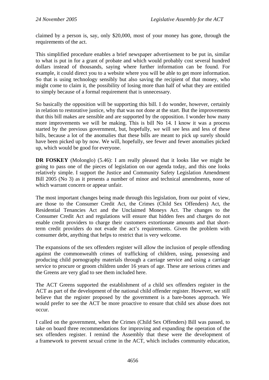claimed by a person is, say, only \$20,000, most of your money has gone, through the requirements of the act.

This simplified procedure enables a brief newspaper advertisement to be put in, similar to what is put in for a grant of probate and which would probably cost several hundred dollars instead of thousands, saying where further information can be found. For example, it could direct you to a website where you will be able to get more information. So that is using technology sensibly but also saving the recipient of that money, who might come to claim it, the possibility of losing more than half of what they are entitled to simply because of a formal requirement that is unnecessary.

So basically the opposition will be supporting this bill. I do wonder, however, certainly in relation to restorative justice, why that was not done at the start. But the improvements that this bill makes are sensible and are supported by the opposition. I wonder how many more improvements we will be making. This is bill No 14. I know it was a process started by the previous government, but, hopefully, we will see less and less of these bills, because a lot of the anomalies that these bills are meant to pick up surely should have been picked up by now. We will, hopefully, see fewer and fewer anomalies picked up, which would be good for everyone.

**DR FOSKEY** (Molonglo) (5.46): I am really pleased that it looks like we might be going to pass one of the pieces of legislation on our agenda today, and this one looks relatively simple. I support the Justice and Community Safety Legislation Amendment Bill 2005 (No 3) as it presents a number of minor and technical amendments, none of which warrant concern or appear unfair.

The most important changes being made through this legislation, from our point of view, are those to the Consumer Credit Act, the Crimes (Child Sex Offenders) Act, the Residential Tenancies Act and the Unclaimed Moneys Act. The changes to the Consumer Credit Act and regulations will ensure that hidden fees and charges do not enable credit providers to charge their customers extortionate amounts and that shortterm credit providers do not evade the act's requirements. Given the problem with consumer debt, anything that helps to restrict that is very welcome.

The expansions of the sex offenders register will allow the inclusion of people offending against the commonwealth crimes of trafficking of children, using, possessing and producing child pornography materials through a carriage service and using a carriage service to procure or groom children under 16 years of age. These are serious crimes and the Greens are very glad to see them included here.

The ACT Greens supported the establishment of a child sex offenders register in the ACT as part of the development of the national child offender register. However, we still believe that the register proposed by the government is a bare-bones approach. We would prefer to see the ACT be more proactive to ensure that child sex abuse does not occur.

I called on the government, when the Crimes (Child Sex Offenders) Bill was passed, to take on board three recommendations for improving and expanding the operation of the sex offenders register. I remind the Assembly that these were the development of a framework to prevent sexual crime in the ACT, which includes community education,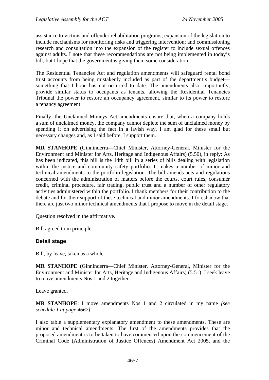assistance to victims and offender rehabilitation programs; expansion of the legislation to include mechanisms for monitoring risks and triggering intervention; and commissioning research and consultation into the expansion of the register to include sexual offences against adults. I note that these recommendations are not being implemented in today's bill, but I hope that the government is giving them some consideration.

The Residential Tenancies Act and regulation amendments will safeguard rental bond trust accounts from being mistakenly included as part of the department's budget something that I hope has not occurred to date. The amendments also, importantly, provide similar status to occupants as tenants, allowing the Residential Tenancies Tribunal the power to restore an occupancy agreement, similar to its power to restore a tenancy agreement.

Finally, the Unclaimed Moneys Act amendments ensure that, when a company holds a sum of unclaimed money, the company cannot deplete the sum of unclaimed money by spending it on advertising the fact in a lavish way. I am glad for these small but necessary changes and, as I said before, I support them.

**MR STANHOPE** (Ginninderra—Chief Minister, Attorney-General, Minister for the Environment and Minister for Arts, Heritage and Indigenous Affairs) (5.50), in reply: As has been indicated, this bill is the 14th bill in a series of bills dealing with legislation within the justice and community safety portfolio. It makes a number of minor and technical amendments to the portfolio legislation. The bill amends acts and regulations concerned with the administration of matters before the courts, court rules, consumer credit, criminal procedure, fair trading, public trust and a number of other regulatory activities administered within the portfolio. I thank members for their contribution to the debate and for their support of these technical and minor amendments. I foreshadow that there are just two minor technical amendments that I propose to move in the detail stage.

Question resolved in the affirmative.

Bill agreed to in principle.

#### **Detail stage**

Bill, by leave, taken as a whole.

**MR STANHOPE** (Ginninderra—Chief Minister, Attorney-General, Minister for the Environment and Minister for Arts, Heritage and Indigenous Affairs) (5.51): I seek leave to move amendments Nos 1 and 2 together.

Leave granted.

**MR STANHOPE**: I move amendments Nos 1 and 2 circulated in my name *[see schedule 1 at page 4667].*

I also table a supplementary explanatory amendment to these amendments. These are minor and technical amendments. The first of the amendments provides that the proposed amendment is to be taken to have commenced upon the commencement of the Criminal Code (Administration of Justice Offences) Amendment Act 2005, and the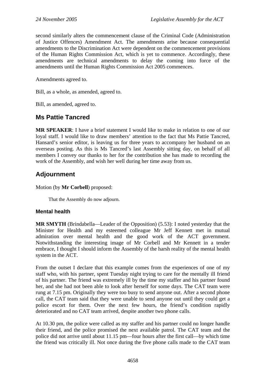second similarly alters the commencement clause of the Criminal Code (Administration of Justice Offences) Amendment Act. The amendments arise because consequential amendments to the Discrimination Act were dependent on the commencement provisions of the Human Rights Commission Act, which is yet to commence. Accordingly, these amendments are technical amendments to delay the coming into force of the amendments until the Human Rights Commission Act 2005 commences.

Amendments agreed to.

Bill, as a whole, as amended, agreed to.

Bill, as amended, agreed to.

# **Ms Pattie Tancred**

**MR SPEAKER**: I have a brief statement I would like to make in relation to one of our loyal staff. I would like to draw members' attention to the fact that Ms Pattie Tancred, Hansard's senior editor, is leaving us for three years to accompany her husband on an overseas posting. As this is Ms Tancred's last Assembly sitting day, on behalf of all members I convey our thanks to her for the contribution she has made to recording the work of the Assembly, and wish her well during her time away from us.

# **Adjournment**

Motion (by **Mr Corbell**) proposed:

That the Assembly do now adjourn.

### **Mental health**

**MR SMYTH** (Brindabella—Leader of the Opposition) (5.53): I noted yesterday that the Minister for Health and my esteemed colleague Mr Jeff Kennett met in mutual admiration over mental health and the good work of the ACT government. Notwithstanding the interesting image of Mr Corbell and Mr Kennett in a tender embrace, I thought I should inform the Assembly of the harsh reality of the mental health system in the ACT.

From the outset I declare that this example comes from the experiences of one of my staff who, with his partner, spent Tuesday night trying to care for the mentally ill friend of his partner. The friend was extremely ill by the time my staffer and his partner found her, and she had not been able to look after herself for some days. The CAT team were rung at 7.15 pm. Originally they were too busy to send anyone out. After a second phone call, the CAT team said that they were unable to send anyone out until they could get a police escort for them. Over the next few hours, the friend's condition rapidly deteriorated and no CAT team arrived, despite another two phone calls.

At 10.30 pm, the police were called as my staffer and his partner could no longer handle their friend, and the police promised the next available patrol. The CAT team and the police did not arrive until about 11.15 pm—four hours after the first call—by which time the friend was critically ill. Not once during the five phone calls made to the CAT team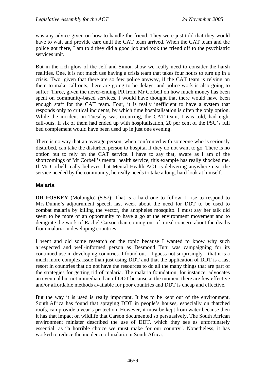was any advice given on how to handle the friend. They were just told that they would have to wait and provide care until the CAT team arrived. When the CAT team and the police got there, I am told they did a good job and took the friend off to the psychiatric services unit.

But in the rich glow of the Jeff and Simon show we really need to consider the harsh realities. One, it is not much use having a crisis team that takes four hours to turn up in a crisis. Two, given that there are so few police anyway, if the CAT team is relying on them to make call-outs, there are going to be delays, and police work is also going to suffer. Three, given the never-ending PR from Mr Corbell on how much money has been spent on community-based services, I would have thought that there would have been enough staff for the CAT team. Four, it is really inefficient to have a system that responds only to critical incidents, by which time hospitalisation is often the only option. While the incident on Tuesday was occurring, the CAT team, I was told, had eight call-outs. If six of them had ended up with hospitalisation, 20 per cent of the PSU's full bed complement would have been used up in just one evening.

There is no way that an average person, when confronted with someone who is seriously disturbed, can take the disturbed person to hospital if they do not want to go. There is no option but to rely on the CAT service. I have to say that, aware as I am of the shortcomings of Mr Corbell's mental health service, this example has really shocked me. If Mr Corbell really believes that Mental Health ACT is delivering anywhere near the service needed by the community, he really needs to take a long, hard look at himself.

### **Malaria**

**DR FOSKEY** (Molonglo) (5.57): That is a hard one to follow. I rise to respond to Mrs Dunne's adjournment speech last week about the need for DDT to be used to combat malaria by killing the vector, the anopheles mosquito. I must say her talk did seem to be more of an opportunity to have a go at the environment movement and to denigrate the work of Rachel Carson than coming out of a real concern about the deaths from malaria in developing countries.

I went and did some research on the topic because I wanted to know why such a respected and well-informed person as Desmond Tutu was campaigning for its continued use in developing countries. I found out—I guess not surprisingly—that it is a much more complex issue than just using DDT and that the application of DDT is a last resort in countries that do not have the resources to do all the many things that are part of the strategies for getting rid of malaria. The malaria foundation, for instance, advocates an eventual but not immediate ban of DDT because at the moment there are few effective and/or affordable methods available for poor countries and DDT is cheap and effective.

But the way it is used is really important. It has to be kept out of the environment. South Africa has found that spraying DDT in people's houses, especially on thatched roofs, can provide a year's protection. However, it must be kept from water because then it has that impact on wildlife that Carson documented so persuasively. The South African environment minister described the use of DDT, which they see as unfortunately essential, as "a horrible choice we must make for our country". Nonetheless, it has worked to reduce the incidence of malaria in South Africa.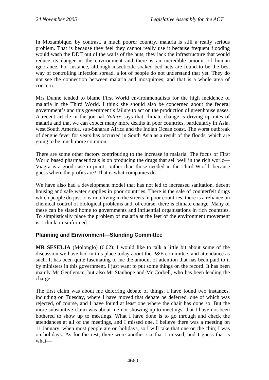In Mozambique, by contrast, a much poorer country, malaria is still a really serious problem. That is because they feel they cannot really use it because frequent flooding would wash the DDT out of the walls of the huts, they lack the infrastructure that would reduce its danger in the environment and there is an incredible amount of human ignorance. For instance, although insecticide-soaked bed nets are found to be the best way of controlling infection spread, a lot of people do not understand that yet. They do not see the connection between malaria and mosquitoes, and that is a whole area of concern.

Mrs Dunne tended to blame First World environmentalists for the high incidence of malaria in the Third World. I think she should also be concerned about the federal government's and this government's failure to act on the production of greenhouse gases. A recent article in the journal *Nature* says that climate change is driving up rates of malaria and that we can expect many more deaths in poor countries, particularly in Asia, west South America, sub-Saharan Africa and the Indian Ocean coast. The worst outbreak of dengue fever for years has occurred in South Asia as a result of the floods, which are going to be much more common.

There are some other factors contributing to the increase in malaria. The focus of First World based pharmaceuticals is on producing the drugs that sell well in the rich world— Viagra is a good case in point—rather than those needed in the Third World, because guess where the profits are? That is what companies do.

We have also had a development model that has not led to increased sanitation, decent housing and safe water supplies in poor countries. There is the sale of counterfeit drugs which people do just to earn a living in the streets in poor countries, there is a reliance on chemical control of biological problems and, of course, there is climate change. Many of these can be slated home to governments and influential organisations in rich countries. To simplistically place the problem of malaria at the feet of the environment movement is, I think, misinformed.

## **Planning and Environment—Standing Committee**

**MR SESELJA** (Molonglo) (6.02): I would like to talk a little bit about some of the discussion we have had in this place today about the P&E committee, and attendance as such. It has been quite fascinating to me the amount of attention that has been paid to it by ministers in this government. I just want to put some things on the record. It has been mainly Mr Gentleman, but also Mr Stanhope and Mr Corbell, who has been leading the charge.

The first claim was about me deferring debate of things. I have found two instances, including on Tuesday, where I have moved that debate be deferred, one of which was rejected, of course, and I have found at least one where the chair has done so. But the more substantive claim was about me not showing up to meetings; that I have not been bothered to show up to meetings. What I have done is to go through and check the attendances at all of the meetings, and I missed one. I believe there was a meeting on 11 January, when most people are on holidays, so I will take that one on the chin; I was on holidays. As for the rest, there were another six that I missed, and I guess that is what—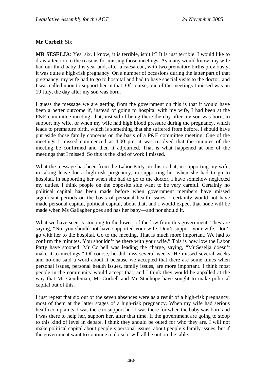#### **Mr Corbell**: Six!

**MR SESELJA**: Yes, six. I know, it is terrible, isn't it? It is just terrible. I would like to draw attention to the reasons for missing those meetings. As many would know, my wife had our third baby this year and, after a caesarean, with two premature births previously, it was quite a high-risk pregnancy. On a number of occasions during the latter part of that pregnancy, my wife had to go to hospital and had to have special visits to the doctor, and I was called upon to support her in that. Of course, one of the meetings I missed was on 19 July, the day after my son was born.

I guess the message we are getting from the government on this is that it would have been a better outcome if, instead of going to hospital with my wife, I had been at the P&E committee meeting; that, instead of being there the day after my son was born, to support my wife, or when my wife had high blood pressure during the pregnancy, which leads to premature birth, which is something that she suffered from before, I should have put aside those family concerns on the basis of a P&E committee meeting. One of the meetings I missed commenced at 4.00 pm, it was resolved that the minutes of the meeting be confirmed and then it adjourned. That is what happened at one of the meetings that I missed. So this is the kind of work I missed.

What the message has been from the Labor Party on this is that, in supporting my wife, in taking leave for a high-risk pregnancy, in supporting her when she had to go to hospital, in supporting her when she had to go to the doctor, I have somehow neglected my duties. I think people on the opposite side want to be very careful. Certainly no political capital has been made before when government members have missed significant periods on the basis of personal health issues. I certainly would not have made personal capital, political capital, about that, and I would expect that none will be made when Ms Gallagher goes and has her baby—and nor should it.

What we have seen is stooping to the lowest of the low from this government. They are saying, "No, you should not have supported your wife. Don't support your wife. Don't go with her to the hospital. Go to the meeting. That is much more important. We had to confirm the minutes. You shouldn't be there with your wife." This is how low the Labor Party have stooped. Mr Corbell was leading the charge, saying, "Mr Seselja doesn't make it to meetings." Of course, he did miss several weeks. He missed several weeks and no-one said a word about it because we accepted that there are some times when personal issues, personal health issues, family issues, are more important. I think most people in the community would accept that, and I think they would be appalled at the way that Mr Gentleman, Mr Corbell and Mr Stanhope have sought to make political capital out of this.

I just repeat that six out of the seven absences were as a result of a high-risk pregnancy, most of them at the latter stages of a high-risk pregnancy. When my wife had serious health complaints, I was there to support her. I was there for when the baby was born and I was there to help her, support her, after that time. If the government are going to stoop to this kind of level in debate, I think they should be outed for who they are. I will not make political capital about people's personal issues, about people's family issues, but if the government want to continue to do so it will all be out on the table.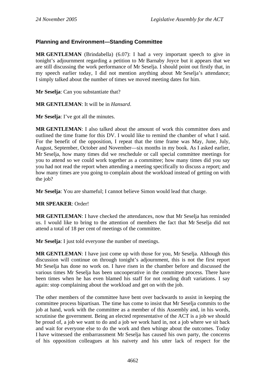### **Planning and Environment—Standing Committee**

**MR GENTLEMAN** (Brindabella) (6.07): I had a very important speech to give in tonight's adjournment regarding a petition to Mr Barnaby Joyce but it appears that we are still discussing the work performance of Mr Seselja. I should point out firstly that, in my speech earlier today, I did not mention anything about Mr Seselja's attendance; I simply talked about the number of times we moved meeting dates for him.

**Mr Seselja**: Can you substantiate that?

**MR GENTLEMAN**: It will be in *Hansard*.

**Mr Seselja**: I've got all the minutes.

**MR GENTLEMAN**: I also talked about the amount of work this committee does and outlined the time frame for this DV. I would like to remind the chamber of what I said. For the benefit of the opposition, I repeat that the time frame was May, June, July, August, September, October and November—six months in my book. As I asked earlier, Mr Seselja, how many times did we reschedule or call special committee meetings for you to attend so we could work together as a committee; how many times did you say you had not read the report when attending a meeting specifically to discuss a report; and how many times are you going to complain about the workload instead of getting on with the job?

**Mr Seselja**: You are shameful; I cannot believe Simon would lead that charge.

**MR SPEAKER**: Order!

**MR GENTLEMAN**: I have checked the attendances, now that Mr Seselja has reminded us. I would like to bring to the attention of members the fact that Mr Seselja did not attend a total of 18 per cent of meetings of the committee.

**Mr Seselja**: I just told everyone the number of meetings.

**MR GENTLEMAN**: I have just come up with those for you, Mr Seselja. Although this discussion will continue on through tonight's adjournment, this is not the first report Mr Seselja has done no work on. I have risen in the chamber before and discussed the various times Mr Seselja has been uncooperative in the committee process. There have been times when he has even blamed his staff for not reading draft variations. I say again: stop complaining about the workload and get on with the job.

The other members of the committee have bent over backwards to assist in keeping the committee process bipartisan. The time has come to insist that Mr Seselja commits to the job at hand, work with the committee as a member of this Assembly and, in his words, scrutinise the government. Being an elected representative of the ACT is a job we should be proud of, a job we want to do and a job we work hard in, not a job where we sit back and wait for everyone else to do the work and then whinge about the outcomes. Today I have witnessed the embarrassment Mr Seselja has caused his own party, the concerns of his opposition colleagues at his naivety and his utter lack of respect for the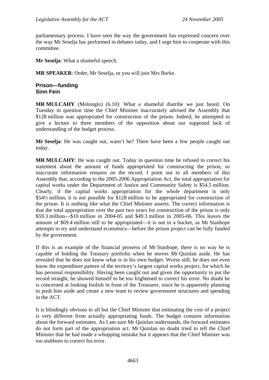parliamentary process. I have seen the way the government has expressed concern over the way Mr Seselja has performed in debates today, and I urge him to cooperate with this committee.

**Mr Seselja**: What a shameful speech.

**MR SPEAKER**: Order, Mr Seselja, or you will join Mrs Burke.

#### **Prison—funding Sinn Fein**

**MR MULCAHY** (Molonglo) (6.10): What a shameful diatribe we just heard. On Tuesday in question time the Chief Minister inaccurately advised the Assembly that \$128 million was appropriated for construction of the prison. Indeed, he attempted to give a lecture to three members of the opposition about our supposed lack of understanding of the budget process.

**Mr Seselja**: He was caught out, wasn't he? There have been a few people caught out today.

**MR MULCAHY**: He was caught out. Today in question time he refused to correct his statement about the amount of funds appropriated for constructing the prison, so inaccurate information remains on the record. I point out to all members of this Assembly that, according to the 2005-2006 Appropriation Act, the total appropriation for capital works under the Department of Justice and Community Safety is \$54.5 million. Clearly, if the capital works appropriation for the whole department is only \$54½ million, it is not possible for \$128 million to be appropriated for construction of the prison. It is nothing like what the Chief Minister asserts. The correct information is that the total appropriation over the past two years for construction of the prison is only \$59.3 million—\$10 million in 2004-05 and \$49.3 million in 2005-06. This leaves the amount of \$69.4 million still to be appropriated—it is not in a bucket, as Mr Stanhope attempts to try and understand economics—before the prison project can be fully funded by the government.

If this is an example of the financial prowess of Mr Stanhope, there is no way he is capable of holding the Treasury portfolio when he moves Mr Quinlan aside. He has revealed that he does not know what is in his own budget. Worse still, he does not even know the expenditure pattern of the territory's largest capital works project, for which he has personal responsibility. Having been caught out and given the opportunity to put the record straight, he showed himself to be too frightened to correct his error. No doubt he is concerned at looking foolish in front of the Treasurer, since he is apparently planning to push him aside and create a new team to review government structures and spending in the ACT.

It is blindingly obvious to all but the Chief Minister that estimating the cost of a project is very different from actually appropriating funds. The budget contains information about the forward estimates. As I am sure Mr Quinlan understands, the forward estimates do not form part of the appropriation act. Mr Quinlan no doubt tried to tell the Chief Minister that he had made a whopping mistake but it appears that the Chief Minister was too stubborn to correct his error.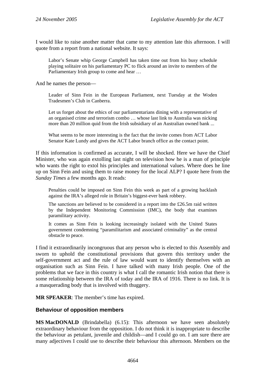I would like to raise another matter that came to my attention late this afternoon. I will quote from a report from a national website. It says:

Labor's Senate whip George Campbell has taken time out from his busy schedule playing solitaire on his parliamentary PC to flick around an invite to members of the Parliamentary Irish group to come and hear …

And he names the person—

Leader of Sinn Fein in the European Parliament, next Tuesday at the Woden Tradesmen's Club in Canberra.

Let us forget about the ethics of our parliamentarians dining with a representative of an organised crime and terrorism combo … whose last link to Australia was nicking more than 20 million quid from the Irish subsidiary of an Australian owned bank ...

What seems to be more interesting is the fact that the invite comes from ACT Labor Senator Kate Lundy and gives the ACT Labor branch office as the contact point.

If this information is confirmed as accurate, I will be shocked. Here we have the Chief Minister, who was again extolling last night on television how he is a man of principle who wants the right to extol his principles and international values. Where does he line up on Sinn Fein and using them to raise money for the local ALP? I quote here from the *Sunday Times* a few months ago. It reads:

Penalties could be imposed on Sinn Fein this week as part of a growing backlash against the IRA's alleged role in Britain's biggest-ever bank robbery.

The sanctions are believed to be considered in a report into the £26.5m raid written by the Independent Monitoring Commission (IMC), the body that examines paramilitary activity.

It comes as Sinn Fein is looking increasingly isolated with the United States government condemning "paramilitarism and associated criminality" as the central obstacle to peace.

I find it extraordinarily incongruous that any person who is elected to this Assembly and sworn to uphold the constitutional provisions that govern this territory under the self-government act and the rule of law would want to identify themselves with an organisation such as Sinn Fein. I have talked with many Irish people. One of the problems that we face in this country is what I call the romantic Irish notion that there is some relationship between the IRA of today and the IRA of 1916. There is no link. It is a masquerading body that is involved with thuggery.

**MR SPEAKER**: The member's time has expired.

#### **Behaviour of opposition members**

**MS MacDONALD** (Brindabella) (6.15): This afternoon we have seen absolutely extraordinary behaviour from the opposition. I do not think it is inappropriate to describe the behaviour as petulant, juvenile and childish—and I could go on. I am sure there are many adjectives I could use to describe their behaviour this afternoon. Members on the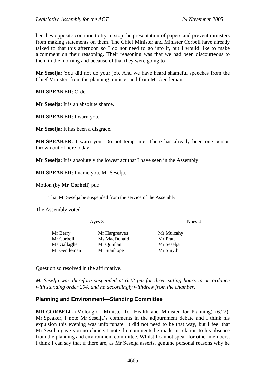benches opposite continue to try to stop the presentation of papers and prevent ministers from making statements on them. The Chief Minister and Minister Corbell have already talked to that this afternoon so I do not need to go into it, but I would like to make a comment on their reasoning. Their reasoning was that we had been discourteous to them in the morning and because of that they were going to—

**Mr Seselja**: You did not do your job. And we have heard shameful speeches from the Chief Minister, from the planning minister and from Mr Gentleman.

**MR SPEAKER**: Order!

**Mr Seselja**: It is an absolute shame.

**MR SPEAKER**: I warn you.

**Mr Seselja**: It has been a disgrace.

**MR SPEAKER**: I warn you. Do not tempt me. There has already been one person thrown out of here today.

**Mr Seselja**: It is absolutely the lowest act that I have seen in the Assembly.

**MR SPEAKER**: I name you, Mr Seselja.

Motion (by **Mr Corbell**) put:

That Mr Seselja be suspended from the service of the Assembly.

The Assembly voted—

Ayes 8 Noes 4

| Mr Berry     | Mr Hargreaves | Mr Mulcahy |
|--------------|---------------|------------|
| Mr Corbell   | Ms MacDonald  | Mr Pratt   |
| Ms Gallagher | Mr Quinlan    | Mr Seselja |
| Mr Gentleman | Mr Stanhope   | Mr Smyth   |
|              |               |            |

Question so resolved in the affirmative.

*Mr Seselja was therefore suspended at 6.22 pm for three sitting hours in accordance with standing order 204, and he accordingly withdrew from the chamber.* 

#### **Planning and Environment—Standing Committee**

**MR CORBELL** (Molonglo—Minister for Health and Minister for Planning) (6.22): Mr Speaker, I note Mr Seselja's comments in the adjournment debate and I think his expulsion this evening was unfortunate. It did not need to be that way, but I feel that Mr Seselja gave you no choice. I note the comments he made in relation to his absence from the planning and environment committee. Whilst I cannot speak for other members, I think I can say that if there are, as Mr Seselja asserts, genuine personal reasons why he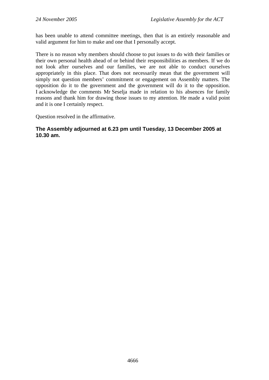has been unable to attend committee meetings, then that is an entirely reasonable and valid argument for him to make and one that I personally accept.

There is no reason why members should choose to put issues to do with their families or their own personal health ahead of or behind their responsibilities as members. If we do not look after ourselves and our families, we are not able to conduct ourselves appropriately in this place. That does not necessarily mean that the government will simply not question members' commitment or engagement on Assembly matters. The opposition do it to the government and the government will do it to the opposition. I acknowledge the comments Mr Seselja made in relation to his absences for family reasons and thank him for drawing those issues to my attention. He made a valid point and it is one I certainly respect.

Question resolved in the affirmative.

#### **The Assembly adjourned at 6.23 pm until Tuesday, 13 December 2005 at 10.30 am.**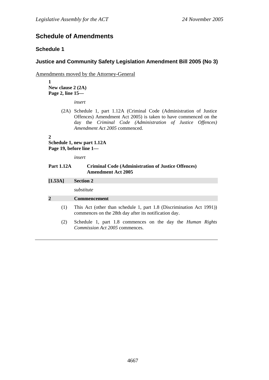# **Schedule of Amendments**

### **Schedule 1**

### **Justice and Community Safety Legislation Amendment Bill 2005 (No 3)**

Amendments moved by the Attorney-General

**1 New clause 2 (2A) Page 2, line 15—** 

*insert* 

(2A) Schedule 1, part 1.12A (Criminal Code (Administration of Justice Offences) Amendment Act 2005) is taken to have commenced on the day the *Criminal Code (Administration of Justice Offences) Amendment Act 2005* commenced.

#### **2**

#### **Schedule 1, new part 1.12A Page 19, before line 1—**

*insert* 

#### **Part 1.12A Criminal Code (Administration of Justice Offences) Amendment Act 2005**

| [1.53A]        | <b>Section 2</b>                                                                                                              |  |
|----------------|-------------------------------------------------------------------------------------------------------------------------------|--|
|                | substitute                                                                                                                    |  |
| $\overline{2}$ | <b>Commencement</b>                                                                                                           |  |
| (1)            | This Act (other than schedule 1, part 1.8 (Discrimination Act 1991))<br>commences on the 28th day after its notification day. |  |
| (2)            | Schedule 1, part 1.8 commences on the day the <i>Human Rights</i><br><i>Commission Act 2005</i> commences.                    |  |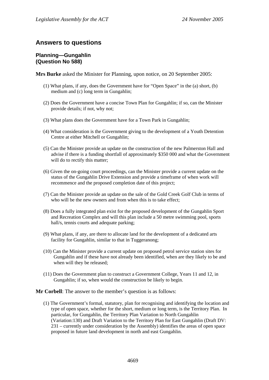## **Answers to questions**

#### **Planning—Gungahlin (Question No 588)**

**Mrs Burke** asked the Minister for Planning, upon notice, on 20 September 2005:

- (1) What plans, if any, does the Government have for "Open Space" in the (a) short, (b) medium and (c) long term in Gungahlin;
- (2) Does the Government have a concise Town Plan for Gungahlin; if so, can the Minister provide details; if not, why not;
- (3) What plans does the Government have for a Town Park in Gungahlin;
- (4) What consideration is the Government giving to the development of a Youth Detention Centre at either Mitchell or Gungahlin;
- (5) Can the Minister provide an update on the construction of the new Palmerston Hall and advise if there is a funding shortfall of approximately \$350 000 and what the Government will do to rectify this matter;
- (6) Given the on-going court proceedings, can the Minister provide a current update on the status of the Gungahlin Drive Extension and provide a timeframe of when work will recommence and the proposed completion date of this project;
- (7) Can the Minister provide an update on the sale of the Gold Creek Golf Club in terms of who will be the new owners and from when this is to take effect;
- (8) Does a fully integrated plan exist for the proposed development of the Gungahlin Sport and Recreation Complex and will this plan include a 50 metre swimming pool, sports hall/s, tennis courts and adequate parking;
- (9) What plans, if any, are there to allocate land for the development of a dedicated arts facility for Gungahlin, similar to that in Tuggeranong;
- (10) Can the Minister provide a current update on proposed petrol service station sites for Gungahlin and if these have not already been identified, when are they likely to be and when will they be released;
- (11) Does the Government plan to construct a Government College, Years 11 and 12, in Gungahlin; if so, when would the construction be likely to begin.

**Mr Corbell**: The answer to the member's question is as follows:

(1) The Government's formal, statutory, plan for recognising and identifying the location and type of open space, whether for the short, medium or long term, is the Territory Plan. In particular, for Gungahlin, the Territory Plan Variation to North Gungahlin (Variation:130) and Draft Variation to the Territory Plan for East Gungahlin (Draft DV: 231 – currently under consideration by the Assembly) identifies the areas of open space proposed in future land development in north and east Gungahlin.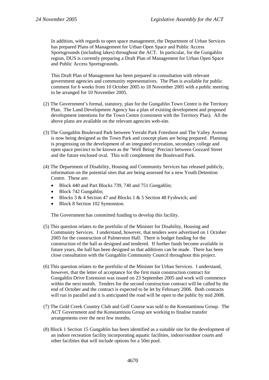In addition, with regards to open space management, the Department of Urban Services has prepared Plans of Management for Urban Open Space and Public Access Sportsgrounds (including lakes) throughout the ACT. In particular, for the Gungahlin region, DUS is currently preparing a Draft Plan of Management for Urban Open Space and Public Access Sportsgrounds.

This Draft Plan of Management has been prepared in consultation with relevant government agencies and community representatives. The Plan is available for public comment for  $6$  weeks from 10 October 2005 to 18 November 2005 with a public meeting to be arranged for 10 November 2005.

- (2) The Government's formal, statutory, plan for the Gungahlin Town Centre is the Territory Plan. The Land Development Agency has a plan of existing development and proposed development intentions for the Town Centre (consistent with the Territory Plan). All the above plans are available on the relevant agencies web-site.
- (3) The Gungahlin Boulevard Park between Yerrabi Park Foreshore and The Valley Avenue is now being designed as the Town Park and concept plans are being prepared. Planning is progressing on the development of an integrated recreation, secondary college and open space precinct to be known as the 'Well Being' Precinct between Gozzard Street and the future enclosed oval. This will complement the Boulevard Park.
- (4) The Department of Disability, Housing and Community Services has released publicly, information on the potential sites that are being assessed for a new Youth Detention Centre. These are:
	- Block 440 and Part Blocks 739, 740 and 751 Gungahlin;
	- Block 742 Gungahlin;
	- Blocks 3 & 4 Section 47 and Blocks 1 & 5 Section 48 Fyshwick; and
	- Block 8 Section 102 Symonston.

The Government has committed funding to develop this facility.

- (5) This question relates to the portfolio of the Minister for Disability, Housing and Community Services. I understand, however, that tenders were advertised on 1 October 2005 for the construction of Palmerston Hall. There is budget funding for the construction of the hall as designed and tendered. If further funds become available in future years, the hall has been designed so that additions can be made. There has been close consultation with the Gungahlin Community Council throughout this project.
- (6) This question relates to the portfolio of the Minister for Urban Services. I understand, however, that the letter of acceptance for the first main construction contract for Gungahlin Drive Extension was issued on 23 September 2005 and work will commence within the next month. Tenders for the second construction contract will be called by the end of October and the contract is expected to be let by February 2006. Both contracts will run in parallel and it is anticipated the road will be open to the public by mid 2008.
- (7) The Gold Creek Country Club and Golf Course was sold to the Konstantinou Group. The ACT Government and the Konstantinou Group are working to finalise transfer arrangements over the next few months.
- (8) Block 1 Section 15 Gungahlin has been identified as a suitable site for the development of an indoor recreation facility incorporating aquatic facilities, indoor/outdoor courts and other facilities that will include options for a 50m pool.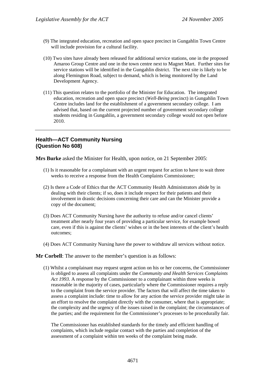- (9) The integrated education, recreation and open space precinct in Gungahlin Town Centre will include provision for a cultural facility.
- (10) Two sites have already been released for additional service stations, one in the proposed Amaroo Group Centre and one in the town centre next to Magnet Mart. Further sites for service stations will be identified in the Gungahlin district. The next site is likely to be along Flemington Road, subject to demand, which is being monitored by the Land Development Agency.
- (11) This question relates to the portfolio of the Minister for Education. The integrated education, recreation and open space precinct (*Well-Being* precinct) in Gungahlin Town Centre includes land for the establishment of a government secondary college. I am advised that, based on the current projected number of government secondary college students residing in Gungahlin, a government secondary college would not open before 2010.

# **Health—ACT Community Nursing (Question No 608)**

**Mrs Burke** asked the Minister for Health, upon notice, on 21 September 2005:

- (1) Is it reasonable for a complainant with an urgent request for action to have to wait three weeks to receive a response from the Health Complaints Commissioner;
- (2) Is there a Code of Ethics that the ACT Community Health Administrators abide by in dealing with their clients; if so, does it include respect for their patients and their involvement in drastic decisions concerning their care and can the Minister provide a copy of the document;
- (3) Does ACT Community Nursing have the authority to refuse and/or cancel clients' treatment after nearly four years of providing a particular service, for example bowel care, even if this is against the clients' wishes or in the best interests of the client's health outcomes;
- (4) Does ACT Community Nursing have the power to withdraw all services without notice.

#### **Mr Corbell**: The answer to the member's question is as follows:

(1) Whilst a complainant may request urgent action on his or her concerns, the Commissioner is obliged to assess all complaints under the *Community and Health Services Complaints Act 1993*. A response by the Commissioner to a complainant within three weeks is reasonable in the majority of cases, particularly where the Commissioner requires a reply to the complaint from the service provider. The factors that will affect the time taken to assess a complaint include: time to allow for any action the service provider might take in an effort to resolve the complaint directly with the consumer, where that is appropriate; the complexity and the urgency of the issues raised in the complaint; the circumstances of the parties; and the requirement for the Commissioner's processes to be procedurally fair.

The Commissioner has established standards for the timely and efficient handling of complaints, which include regular contact with the parties and completion of the assessment of a complaint within ten weeks of the complaint being made.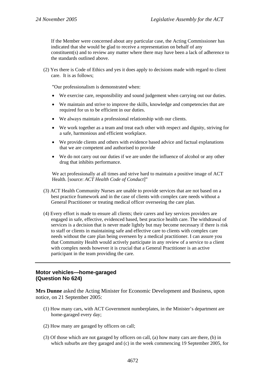If the Member were concerned about any particular case, the Acting Commissioner has indicated that she would be glad to receive a representation on behalf of any constituent(s) and to review any matter where there may have been a lack of adherence to the standards outlined above.

(2) Yes there is Code of Ethics and yes it does apply to decisions made with regard to client care. It is as follows;

"Our professionalism is demonstrated when:

- We exercise care, responsibility and sound judgement when carrying out our duties.
- We maintain and strive to improve the skills, knowledge and competencies that are required for us to be efficient in our duties.
- We always maintain a professional relationship with our clients.
- We work together as a team and treat each other with respect and dignity, striving for a safe, harmonious and efficient workplace.
- We provide clients and others with evidence based advice and factual explanations that we are competent and authorised to provide
- We do not carry out our duties if we are under the influence of alcohol or any other drug that inhibits performance.

We act professionally at all times and strive hard to maintain a positive image of ACT Health. [source: *ACT Health Code of Conduct*]"

- (3) ACT Health Community Nurses are unable to provide services that are not based on a best practice framework and in the case of clients with complex care needs without a General Practitioner or treating medical officer overseeing the care plan.
- (4) Every effort is made to ensure all clients; their carers and key services providers are engaged in safe, effective, evidenced based, best practice health care. The withdrawal of services is a decision that is never made lightly but may become necessary if there is risk to staff or clients in maintaining safe and effective care to clients with complex care needs without the care plan being overseen by a medical practitioner. I can assure you that Community Health would actively participate in any review of a service to a client with complex needs however it is crucial that a General Practitioner is an active participant in the team providing the care.

### **Motor vehicles—home-garaged (Question No 624)**

**Mrs Dunne** asked the Acting Minister for Economic Development and Business, upon notice, on 21 September 2005:

- (1) How many cars, with ACT Government numberplates, in the Minister's department are home-garaged every day;
- (2) How many are garaged by officers on call;
- (3) Of those which are not garaged by officers on call, (a) how many cars are there, (b) in which suburbs are they garaged and (c) in the week commencing 19 September 2005, for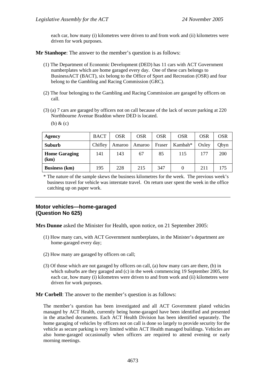each car, how many (i) kilometres were driven to and from work and (ii) kilometres were driven for work purposes.

**Mr Stanhope**: The answer to the member's question is as follows:

- (1) The Department of Economic Development (DED) has 11 cars with ACT Government numberplates which are home garaged every day. One of these cars belongs to BusinessACT (BACT), six belong to the Office of Sport and Recreation (OSR) and four belong to the Gambling and Racing Commission (GRC).
- (2) The four belonging to the Gambling and Racing Commission are garaged by officers on call.
- (3) (a) 7 cars are garaged by officers not on call because of the lack of secure parking at 220 Northbourne Avenue Braddon where DED is located.

(b) & (c)

| Agency                       | <b>BACT</b> | <b>OSR</b> | <b>OSR</b> | <b>OSR</b> | <b>OSR</b> | <b>OSR</b> | <b>OSR</b> |
|------------------------------|-------------|------------|------------|------------|------------|------------|------------|
| <b>Suburb</b>                | Chifley     | Amaroo     | Amaroo     | Fraser     | Kambah*    | Oxley      | Qbyn       |
| <b>Home Garaging</b><br>(km) | 141         | 143        | 67         | 85         | 115        | 177        | <b>200</b> |
| <b>Business</b> (km)         | 195         | 228        | 215        | 347        |            | 211        | 175        |

\* The nature of the sample skews the business kilometres for the week. The previous week's business travel for vehicle was interstate travel. On return user spent the week in the office catching up on paper work.

### **Motor vehicles—home-garaged (Question No 625)**

**Mrs Dunne** asked the Minister for Health, upon notice, on 21 September 2005:

- (1) How many cars, with ACT Government numberplates, in the Minister's department are home-garaged every day;
- (2) How many are garaged by officers on call;
- (3) Of those which are not garaged by officers on call, (a) how many cars are there, (b) in which suburbs are they garaged and (c) in the week commencing 19 September 2005, for each car, how many (i) kilometres were driven to and from work and (ii) kilometres were driven for work purposes.

**Mr Corbell**: The answer to the member's question is as follows:

The member's question has been investigated and all ACT Government plated vehicles managed by ACT Health, currently being home-garaged have been identified and presented in the attached documents. Each ACT Health Division has been identified separately. The home garaging of vehicles by officers not on call is done so largely to provide security for the vehicle as secure parking is very limited within ACT Health managed buildings. Vehicles are also home-garaged occasionally when officers are required to attend evening or early morning meetings.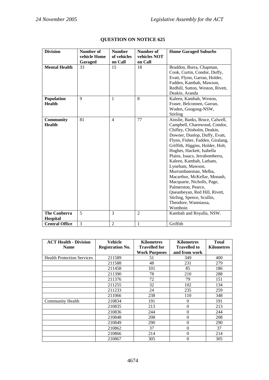| <b>Division</b>       | Number of<br>vehicle Home | <b>Number</b><br>of vehicles | Number of<br>vehicles NOT | <b>Home Garaged Suburbs</b>      |
|-----------------------|---------------------------|------------------------------|---------------------------|----------------------------------|
|                       | Garaged                   | on Call                      | on Call                   |                                  |
| <b>Mental Health</b>  | 33                        | 15                           | 18                        | Braddon, Burra, Chapman,         |
|                       |                           |                              |                           | Cook, Curtin, Condor, Duffy,     |
|                       |                           |                              |                           | Evatt, Flynn, Garran, Holder,    |
|                       |                           |                              |                           | Fadden, Kambah, Mawson,          |
|                       |                           |                              |                           | Redhill, Sutton, Weston, Rivett, |
|                       |                           |                              |                           | Deakin, Aranda                   |
| Population            | 9                         | 1                            | 8                         | Kaleen, Kambah, Weston,          |
| <b>Health</b>         |                           |                              |                           | Fraser, Belconnen, Garran,       |
|                       |                           |                              |                           | Woden, Googong-NSW,              |
|                       |                           |                              |                           | Stirling                         |
| <b>Community</b>      | 81                        | $\overline{4}$               | 77                        | Ainslie, Banks, Bruce, Calwell,  |
| <b>Health</b>         |                           |                              |                           | Campbell, Charnwood, Condor,     |
|                       |                           |                              |                           | Chifley, Chisholm, Deakin,       |
|                       |                           |                              |                           | Downer, Dunlop, Duffy, Evatt,    |
|                       |                           |                              |                           | Flynn, Fisher, Fadden, Giralang, |
|                       |                           |                              |                           | Griffith, Higgins, Holder, Holt, |
|                       |                           |                              |                           | Hughes, Hackett, Isabella        |
|                       |                           |                              |                           | Plains, Isaacs, Jerrabomberra,   |
|                       |                           |                              |                           | Kaleen, Kambah, Latham,          |
|                       |                           |                              |                           | Lyneham, Mawson,                 |
|                       |                           |                              |                           | Murrumbateman, Melba,            |
|                       |                           |                              |                           | Macarthur, McKellar, Monash,     |
|                       |                           |                              |                           | Macquarie, Nicholls, Page,       |
|                       |                           |                              |                           | Palmerston, Pearce,              |
|                       |                           |                              |                           | Queanbeyan, Red Hill, Rivett,    |
|                       |                           |                              |                           | Stirling, Spence, Scullin,       |
|                       |                           |                              |                           | Theodore, Wanniassa,             |
|                       |                           |                              |                           | Womboin                          |
| <b>The Canberra</b>   | 5                         | 3                            | $\overline{2}$            | Kambah and Royalla, NSW.         |
| Hospital              |                           |                              |                           |                                  |
| <b>Central Office</b> | 3                         | $\overline{2}$               | $\mathbf{1}$              | Griffith                         |

# **QUESTION ON NOTICE 625**

| <b>ACT Health - Division</b><br><b>Name</b> | Vehicle<br><b>Registration No.</b> | <b>Kilometres</b><br><b>Travelled for</b> | <b>Kilometres</b><br><b>Travelled to</b> | <b>Total</b><br><b>Kilometres</b> |
|---------------------------------------------|------------------------------------|-------------------------------------------|------------------------------------------|-----------------------------------|
|                                             |                                    | <b>Work Purposes</b>                      | and from work                            |                                   |
| <b>Health Protection Services</b>           | 211589                             | 51                                        | 349                                      | 400                               |
|                                             | 211588                             | 48                                        | 231                                      | 279                               |
|                                             | 211458                             | 101                                       | 85                                       | 186                               |
|                                             | 211390                             | 78                                        | 210                                      | 288                               |
|                                             | 211376                             | 72                                        | 79                                       | 151                               |
|                                             | 211255                             | 32                                        | 102                                      | 134                               |
|                                             | 211233                             | 24                                        | 235                                      | 259                               |
|                                             | 211066                             | 238                                       | 110                                      | 348                               |
| Community Health                            | 210834                             | 191                                       | 0                                        | 191                               |
|                                             | 210835                             | 213                                       | $\theta$                                 | 213                               |
|                                             | 210836                             | 244                                       | $\Omega$                                 | 244                               |
|                                             | 210848                             | 208                                       | 0                                        | 208                               |
|                                             | 210849                             | 290                                       | 0                                        | 290                               |
|                                             | 210862                             | 37                                        | 0                                        | 37                                |
|                                             | 210866                             | 214                                       | 0                                        | 214                               |
|                                             | 210867                             | 305                                       | 0                                        | 305                               |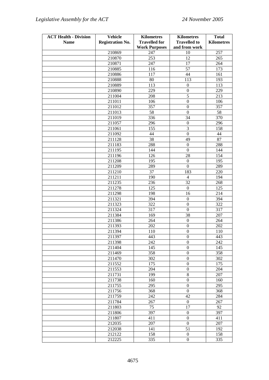| <b>ACT Health - Division</b> | <b>Vehicle</b>          | <b>Kilometres</b>    | <b>Kilometres</b>   | <b>Total</b>      |
|------------------------------|-------------------------|----------------------|---------------------|-------------------|
| <b>Name</b>                  | <b>Registration No.</b> | <b>Travelled for</b> | <b>Travelled to</b> | <b>Kilometres</b> |
|                              |                         | <b>Work Purposes</b> | and from work       |                   |
|                              | 210869                  | 247                  | 10                  | 257               |
|                              | 210870                  | 253                  | 12                  | 265               |
|                              | 210871                  | 247                  | 17                  | 264               |
|                              | 210885                  | 116                  | 57                  | 173               |
|                              | 210886                  | 117                  | 44                  | 161               |
|                              | 210888                  | 80                   | 113                 | 193               |
|                              | 210889                  | 113                  | $\boldsymbol{0}$    | 113               |
|                              | 210890                  | 229                  | $\boldsymbol{0}$    | 229               |
|                              | 211004                  | 208                  | $\overline{5}$      | 213               |
|                              | 211011                  | 106                  | $\mathbf{0}$        | 106               |
|                              | 211012                  | 357                  | $\boldsymbol{0}$    | 357               |
|                              | 211013                  | 58                   | $\boldsymbol{0}$    | 58                |
|                              | 211019                  | 336                  | 34                  | 370               |
|                              | 211057                  | 296                  | $\boldsymbol{0}$    | 296               |
|                              | 211061                  | 155                  | $\mathfrak{Z}$      | 158               |
|                              | 211092                  | 44                   | $\boldsymbol{0}$    | 44                |
|                              | 211128                  | 38                   | 49                  | 87                |
|                              | 211183                  | 288                  | $\overline{0}$      | 288               |
|                              | 211195                  | 144                  | $\boldsymbol{0}$    | 144               |
|                              | 211196                  | 126                  | 28                  | 154               |
|                              | 211208                  | 195                  | $\boldsymbol{0}$    | 195               |
|                              | 211209                  | 289                  | $\mathbf{0}$        | 289               |
|                              | 211210                  | 37                   | 183                 | 220               |
|                              | 211211                  | 190                  | $\overline{4}$      | 194               |
|                              | 211235                  | 236                  | 32                  | 268               |
|                              | 211278                  | 125                  | $\mathbf{0}$        | 125               |
|                              | 211298                  | 198                  | 16                  | 214               |
|                              | 211321                  | 394                  | $\boldsymbol{0}$    | 394               |
|                              | 211323                  | 322                  | $\boldsymbol{0}$    | 322               |
|                              | 211324                  | 317                  | $\boldsymbol{0}$    | 317               |
|                              | 211384                  | 169                  | 38                  | 207               |
|                              | 211386                  | 264                  | $\boldsymbol{0}$    | 264               |
|                              | 211393                  | 202                  | $\boldsymbol{0}$    | 202               |
|                              | 211394                  | 110                  | $\Omega$            | 110               |
|                              | 211397                  | 443                  | $\boldsymbol{0}$    | 443               |
|                              | 211398                  | 242                  | $\overline{0}$      | 242               |
|                              | 211404                  | 145                  | $\boldsymbol{0}$    | 145               |
|                              | 211469                  | 358                  | $\boldsymbol{0}$    | 358               |
|                              | 211470                  | 302                  | $\boldsymbol{0}$    | 302               |
|                              | 211552                  | 175                  | $\boldsymbol{0}$    | 175               |
|                              | 211553                  | 204                  | $\boldsymbol{0}$    | 204               |
|                              | 211731                  | 199                  | $\,$ 8 $\,$         | 207               |
|                              | 211738                  | 160                  | $\boldsymbol{0}$    | 160               |
|                              | 211755                  | 295                  | $\boldsymbol{0}$    | 295               |
|                              | 211756                  | 368                  | $\boldsymbol{0}$    | 368               |
|                              | 211759                  | 242                  | 42                  | 284               |
|                              | 211784                  | 267                  | $\boldsymbol{0}$    | 267               |
|                              | 211803                  | 75                   | 17                  | 92                |
|                              | 211806                  | 397                  | $\boldsymbol{0}$    | 397               |
|                              | 211807                  | 411                  | $\boldsymbol{0}$    | 411               |
|                              | 212035                  | 207                  | $\boldsymbol{0}$    | 207               |
|                              | 212038                  | 141                  | 51                  | 192               |
|                              | 212122                  | 158                  | $\boldsymbol{0}$    | 158               |
|                              | 212225                  | 335                  | $\mathbf{0}$        | 335               |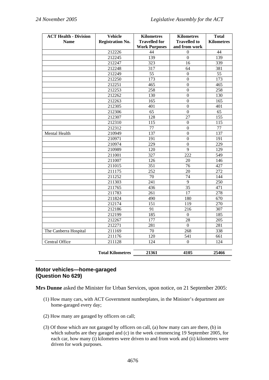| <b>ACT Health - Division</b> | Vehicle                 | <b>Kilometres</b>    | <b>Kilometres</b>   | <b>Total</b>      |
|------------------------------|-------------------------|----------------------|---------------------|-------------------|
| <b>Name</b>                  | <b>Registration No.</b> | <b>Travelled for</b> | <b>Travelled to</b> | <b>Kilometres</b> |
|                              |                         | <b>Work Purposes</b> | and from work       |                   |
|                              | 212226                  | 44                   | $\theta$            | 44                |
|                              | 212245                  | 139                  | $\boldsymbol{0}$    | 139               |
|                              | 212247                  | 323                  | 16                  | 339               |
|                              | 212248                  | 317                  | 64                  | 381               |
|                              | 212249                  | $\overline{55}$      | $\Omega$            | 55                |
|                              | 212250                  | 173                  | $\boldsymbol{0}$    | 173               |
|                              | 212251                  | 465                  | $\boldsymbol{0}$    | 465               |
|                              | 212253                  | 258                  | $\Omega$            | 258               |
|                              | 212262                  | 130                  | $\mathbf{0}$        | 130               |
|                              | 212263                  | 165                  | $\overline{0}$      | 165               |
|                              | 212305                  | 401                  | $\Omega$            | 401               |
|                              | 212306                  | 65                   | $\boldsymbol{0}$    | 65                |
|                              | 212307                  | 128                  | 27                  | 155               |
|                              | 212310                  | 115                  | $\Omega$            | 115               |
|                              | 212312                  | 77                   | $\mathbf{0}$        | 77                |
| Mental Health                | 210949                  | 137                  | $\mathbf{0}$        | 137               |
|                              | 210971                  | 191                  | $\mathbf{0}$        | 191               |
|                              | 210974                  | 229                  | $\boldsymbol{0}$    | 229               |
|                              | 210989                  | 120                  | $\overline{9}$      | 129               |
|                              | 211001                  | 327                  | 222                 | 549               |
|                              | 211007                  | 126                  | 20                  | 146               |
|                              | 211015                  | 351                  | $\overline{76}$     | 427               |
|                              | 211175                  | 252                  | 20                  | 272               |
|                              | 211252                  | 70                   | 74                  | 144               |
|                              | 211303                  | 241                  | 9                   | $\overline{250}$  |
|                              | 211765                  | 436                  | $\overline{35}$     | 471               |
|                              | 211783                  | 261                  | $\overline{17}$     | 278               |
|                              | 211824                  | 490                  | 180                 | 670               |
|                              | 212174                  | 151                  | 119                 | 270               |
|                              | 212186                  | 91                   | 216                 | 307               |
|                              | 212199                  | 185                  | $\overline{0}$      | 185               |
|                              | 212267                  | 177                  | 28                  | 205               |
|                              | 212271                  | 281                  | $\overline{0}$      | 281               |
| The Canberra Hospital        | 211169                  | 70                   | 268                 | 338               |
|                              | 211176                  | 120                  | 541                 | 661               |
| Central Office               | 211128                  | 124                  | $\Omega$            | 124               |
|                              | <b>Total Kilometres</b> | 21361                | 4105                | 25466             |

# **Motor vehicles—home-garaged (Question No 629)**

**Mrs Dunne** asked the Minister for Urban Services, upon notice, on 21 September 2005:

- (1) How many cars, with ACT Government numberplates, in the Minister's department are home-garaged every day;
- (2) How many are garaged by officers on call;
- (3) Of those which are not garaged by officers on call, (a) how many cars are there, (b) in which suburbs are they garaged and (c) in the week commencing 19 September 2005, for each car, how many (i) kilometres were driven to and from work and (ii) kilometres were driven for work purposes.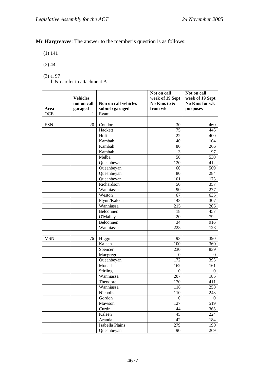**Mr Hargreaves**: The answer to the member's question is as follows:

(1) 141

- $(2)$  44
- (3) a. 97

b & c. refer to attachment A

|            | <b>Vehicles</b><br>not on call | Non on call vehicles | Not on call<br>week of 19 Sept<br>No Kms to & | Not on call<br>week of 19 Sept<br>No Kms for wk |
|------------|--------------------------------|----------------------|-----------------------------------------------|-------------------------------------------------|
| Area       | garaged                        | suburb garaged       | from wk                                       | purposes                                        |
| <b>OCE</b> | 1                              | Evatt                |                                               |                                                 |
|            |                                |                      |                                               |                                                 |
| <b>ESN</b> | 20                             | Condor               | 30                                            | 460                                             |
|            |                                | Hackett              | 75                                            | 445                                             |
|            |                                | Holt                 | 22                                            | 400                                             |
|            |                                | Kambah               | 40                                            | 104                                             |
|            |                                | Kambah               | 80                                            | 266                                             |
|            |                                | Kambah               | 3                                             | 97                                              |
|            |                                | Melba                | 50                                            | 530                                             |
|            |                                | Queanbeyan           | 120                                           | 412                                             |
|            |                                | Queanbeyan           | 60                                            | 569                                             |
|            |                                | Queanbeyan           | 80                                            | 284                                             |
|            |                                | Queanbeyan           | 101                                           | 173                                             |
|            |                                | Richardson           | 50                                            | 357                                             |
|            |                                | Wanniassa            | 90                                            | 277                                             |
|            |                                | Weston               | 67                                            | 635                                             |
|            |                                | Flynn/Kaleen         | 143                                           | 307                                             |
|            |                                | Wanniassa            | 215                                           | 205                                             |
|            |                                | Belconnen            | 18                                            | 457                                             |
|            |                                | O'Malley             | 20                                            | 792                                             |
|            |                                | Belconnen            | 34                                            | 916                                             |
|            |                                | Wanniassa            | 228                                           | 128                                             |
|            |                                |                      |                                               |                                                 |
| <b>MSN</b> | 76                             | Higgins              | 93                                            | 390                                             |
|            |                                | Kaleen               | 100                                           | 360                                             |
|            |                                | Spencer              | 230                                           | 839                                             |
|            |                                | Macgregor            | $\Omega$                                      | $\mathbf{0}$                                    |
|            |                                | Queanbeyan           | 172                                           | 395                                             |
|            |                                | Monash               | 162                                           | 161                                             |
|            |                                | Stirling             | $\Omega$                                      | $\theta$                                        |
|            |                                | Wanniassa            | 207                                           | 185                                             |
|            |                                | Theodore             | 170                                           | 411                                             |
|            |                                | Wanniassa            | 118                                           | 258                                             |
|            |                                | Nicholls             | $110\,$                                       | 243                                             |
|            |                                | Gordon               | $\boldsymbol{0}$                              | $\boldsymbol{0}$                                |
|            |                                | Mawson               | 127                                           | 519                                             |
|            |                                | Curtin               | 44                                            | 365                                             |
|            |                                | Kaleen               | 45                                            | 224                                             |
|            |                                | Aranda               | 42                                            | 184                                             |
|            |                                | Isabella Plains      | 279                                           | 190                                             |
|            |                                | Queanbeyan           | 90                                            | 269                                             |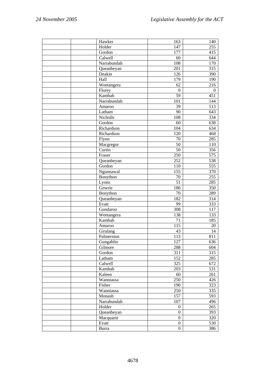| Hawker       | 163              | 140              |
|--------------|------------------|------------------|
| Holder       | 147              | 255              |
| Gordon       | 177              | 415              |
| Calwell      | 60               | 644              |
| Narrabundah  | 108              | 170              |
| Queanbeyan   | 201              | 315              |
| Deakin       | 126              | 390              |
| Hall         | 179              | 190              |
| Weetangera   | 62               | 216              |
| Florey       | $\boldsymbol{0}$ | $\boldsymbol{0}$ |
| Kambah       | 59               | 451              |
| Narrabundah  | 101              | 144              |
| Amaroo       | 39               | 513              |
| Latham       | 90               | 643              |
| Nicholls     | 108              | 334              |
| Gordon       | 60               | 638              |
| Richardson   | 104              | 634              |
| Richardson   | 120              | 468              |
| Flynn        | $70\,$           | 285              |
| Macgregor    | $\overline{50}$  | 110              |
| Curtin       | $\overline{50}$  | 356              |
| Fraser       | 250              | 575              |
| Queanbeyan   | 252              | 538              |
| Gordon       | 110              | 555              |
| Ngunnawal    | 155              | 370              |
| Bonython     | $70\,$           | 255              |
| Lyons        | 51               | 285              |
| Gowrie       | 186              | 350              |
| Bonython     | $70\,$           | 289              |
| Queanbeyan   | 182              | 314              |
| Evatt        | 99               | 333              |
| Gundaroo     | 308              | 117              |
| Weetangera   | 138              | 133              |
| Kambah       | 71               | 185              |
| Amaroo       | 115              | $20\,$           |
| Giralang     | 43               | 14               |
| Palmerston   | 113              | 811              |
| Gungahlin    | 127              | 636              |
| Gilmore      | 288              | 604              |
| Gordon       | 311              | 315              |
| Latham       | 152              | 285              |
| Calwell      | 325              | 672              |
| Kambah       | 203              | 531              |
| Kaleen       | 60               | 261              |
| Wanniassa    | 250              | 426              |
| Fisher       | 190              | 323              |
| Wanniassa    | 250              | 335              |
| Monash       | 157              | 593              |
| Narrabundah  | 107              | 496              |
| Holder       | $\boldsymbol{0}$ | 265              |
| Queanbeyan   | $\boldsymbol{0}$ | 393              |
| Macquarie    | $\boldsymbol{0}$ | 320              |
| Evatt        | $\boldsymbol{0}$ | 530              |
| <b>Burra</b> | $\boldsymbol{0}$ | 386              |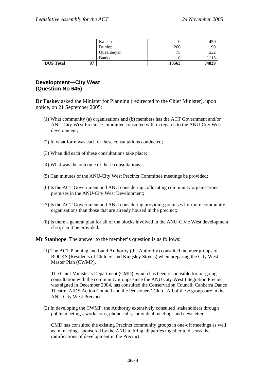|                  |    | Kaleen       |          | 459   |
|------------------|----|--------------|----------|-------|
|                  |    | Dunlop       | 266      | 90    |
|                  |    | Queanbeyan   | ח ב<br>◡ |       |
|                  |    | <b>Banks</b> |          |       |
| <b>DUS Total</b> | 07 |              | 10563    | 34829 |

### **Development—City West (Question No 645)**

**Dr Foskey** asked the Minister for Planning (redirected to the Chief Minister), upon notice, on 21 September 2005:

- (1) What community (a) organisations and (b) members has the ACT Government and/or ANU-City West Precinct Committee consulted with in regards to the ANU-City West development;
- (2) In what form was each of these consultations conducted;
- (3) When did each of these consultations take place;
- (4) What was the outcome of these consultations;
- (5) Can minutes of the ANU-City West Precinct Committee meetings be provided;
- (6) Is the ACT Government and ANU considering collocating community organisations premises in the ANU-City West Development;
- (7) Is the ACT Government and ANU considering providing premises for more community organisations than those that are already housed in the precinct;
- (8) Is there a general plan for all of the blocks involved in the ANU-Civic West development; if so, can it be provided.

**Mr Stanhope**: The answer to the member's question is as follows:

(1) The ACT Planning and Land Authority (the Authority) consulted member groups of ROCKS (Residents of Childers and Kingsley Streets) when preparing the City West Master Plan (CWMP).

The Chief Minister's Department (CMD), which has been responsible for on-going consultation with the community groups since the ANU City West Integration Precinct was signed in December 2004, has consulted the Conservation Council, Canberra Dance Theatre, AIDS Action Council and the Pensioners' Club. All of these groups are in the ANU City West Precinct.

(2) In developing the CWMP, the Authority extensively consulted stakeholders through public meetings, workshops, phone calls, individual meetings and newsletters.

CMD has consulted the existing Precinct community groups in one-off meetings as well as in meetings sponsored by the ANU to bring all parties together to discuss the ramifications of development in the Precinct.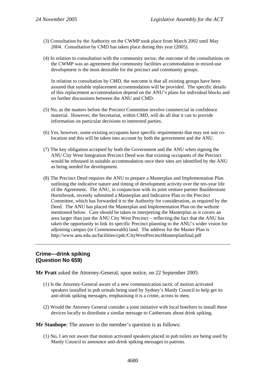- (3) Consultation by the Authority on the CWMP took place from March 2002 until May 2004. Consultation by CMD has taken place during this year (2005).
- (4) In relation to consultation with the community sector, the outcome of the consultations on the CWMP was an agreement that community facilities accommodation in mixed-use development is the most desirable for the precinct and community groups.

In relation to consultation by CMD, the outcome is that all existing groups have been assured that suitable replacement accommodation will be provided. The specific details of this replacement accommodation depend on the ANU's plans for individual blocks and on further discussions between the ANU and CMD.

- (5) No, as the matters before the Precinct Committee involve commercial in confidence material. However, the Secretariat, within CMD, will do all that it can to provide information on particular decisions to interested parties.
- (6) Yes, however, some existing occupants have specific requirements that may not suit colocation and this will be taken into account by both the government and the ANU.
- (7) The key obligation accepted by both the Government and the ANU when signing the ANU City West Integration Precinct Deed was that existing occupants of the Precinct would be rehoused in suitable accommodation once their sites are identified by the ANU as being needed for development.
- (8) The Precinct Deed requires the ANU to prepare a Masterplan and Implementation Plan outlining the indicative nature and timing of development activity over the ten-year life of the Agreement. The ANU, in conjunction with its joint venture partner Baulderstone Hornibrook, recently submitted a Masterplan and Indicative Plan to the Precinct Committee, which has forwarded it to the Authority for consideration, as required by the Deed. The ANU has placed the Masterplan and Implementation Plan on the website mentioned below. Care should be taken in interpreting the Masterplan as it covers an area larger than just the ANU City West Precinct – reflecting the fact that the ANU has taken the opportunity to link its specific Precinct planning to the ANU's wider vision for adjoining campus (or Commonwealth) land. The address for the Master Plan is http://www.anu.edu.au/facilities/cpdc/CityWestPrecinctMasterplanfinal.pdf

#### **Crime—drink spiking (Question No 659)**

**Mr Pratt** asked the Attorney-General, upon notice, on 22 September 2005:

- (1) Is the Attorney-General aware of a new communication tactic of motion activated speakers installed in pub urinals being used by Sydney's Manly Council to help get its anti-drink spiking messages, emphasising it is a crime, across to men;
- (2) Would the Attorney General consider a joint initiative with local hoteliers to install these devices locally to distribute a similar message to Canberrans about drink spiking.

**Mr Stanhope**: The answer to the member's question is as follows:

(1) No, I am not aware that motion activated speakers placed in pub toilets are being used by Manly Council to announce anti-drink spiking messages to patrons.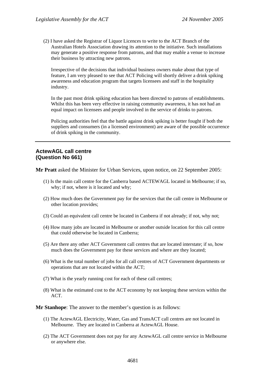(2) I have asked the Registrar of Liquor Licences to write to the ACT Branch of the Australian Hotels Association drawing its attention to the initiative. Such installations may generate a positive response from patrons, and that may enable a venue to increase their business by attracting new patrons.

Irrespective of the decisions that individual business owners make about that type of feature, I am very pleased to see that ACT Policing will shortly deliver a drink spiking awareness and education program that targets licensees and staff in the hospitality industry.

In the past most drink spiking education has been directed to patrons of establishments. Whilst this has been very effective in raising community awareness, it has not had an equal impact on licensees and people involved in the service of drinks to patrons.

Policing authorities feel that the battle against drink spiking is better fought if both the suppliers and consumers (in a licensed environment) are aware of the possible occurrence of drink spiking in the community.

#### **ActewAGL call centre (Question No 661)**

**Mr Pratt** asked the Minister for Urban Services, upon notice, on 22 September 2005:

- (1) Is the main call centre for the Canberra based ACTEWAGL located in Melbourne; if so, why; if not, where is it located and why;
- (2) How much does the Government pay for the services that the call centre in Melbourne or other location provides;
- (3) Could an equivalent call centre be located in Canberra if not already; if not, why not;
- (4) How many jobs are located in Melbourne or another outside location for this call centre that could otherwise be located in Canberra;
- (5) Are there any other ACT Government call centres that are located interstate; if so, how much does the Government pay for these services and where are they located;
- (6) What is the total number of jobs for all call centres of ACT Government departments or operations that are not located within the ACT;
- (7) What is the yearly running cost for each of these call centres;
- (8) What is the estimated cost to the ACT economy by not keeping these services within the ACT.

**Mr Stanhope**: The answer to the member's question is as follows:

- (1) The ActewAGL Electricity, Water, Gas and TransACT call centres are not located in Melbourne. They are located in Canberra at ActewAGL House.
- (2) The ACT Government does not pay for any ActewAGL call centre service in Melbourne or anywhere else.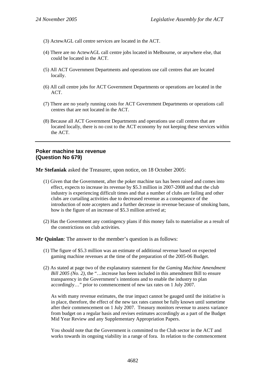- (3) ActewAGL call centre services are located in the ACT.
- (4) There are no ActewAGL call centre jobs located in Melbourne, or anywhere else, that could be located in the ACT.
- (5) All ACT Government Departments and operations use call centres that are located locally.
- (6) All call centre jobs for ACT Government Departments or operations are located in the ACT.
- (7) There are no yearly running costs for ACT Government Departments or operations call centres that are not located in the ACT.
- (8) Because all ACT Government Departments and operations use call centres that are located locally, there is no cost to the ACT economy by not keeping these services within the ACT.

#### **Poker machine tax revenue (Question No 679)**

**Mr Stefaniak** asked the Treasurer, upon notice, on 18 October 2005:

- (1) Given that the Government, after the poker machine tax has been raised and comes into effect, expects to increase its revenue by \$5.3 million in 2007-2008 and that the club industry is experiencing difficult times and that a number of clubs are failing and other clubs are curtailing activities due to decreased revenue as a consequence of the introduction of note accepters and a further decrease in revenue because of smoking bans, how is the figure of an increase of \$5.3 million arrived at;
- (2) Has the Government any contingency plans if this money fails to materialise as a result of the constrictions on club activities.

**Mr Quinlan**: The answer to the member's question is as follows:

- (1) The figure of \$5.3 million was an estimate of additional revenue based on expected gaming machine revenues at the time of the preparation of the 2005-06 Budget.
- (2) As stated at page two of the explanatory statement for the *Gaming Machine Amendment Bill 2005 (No. 2)*, the "... increase has been included in this amendment Bill to ensure transparency in the Government's intentions and to enable the industry to plan accordingly…" prior to commencement of new tax rates on 1 July 2007.

As with many revenue estimates, the true impact cannot be gauged until the initiative is in place, therefore, the effect of the new tax rates cannot be fully known until sometime after their commencement on 1 July 2007. Treasury monitors revenue to assess variance from budget on a regular basis and revises estimates accordingly as a part of the Budget Mid Year Review and any Supplementary Appropriation Papers.

You should note that the Government is committed to the Club sector in the ACT and works towards its ongoing viability in a range of fora. In relation to the commencement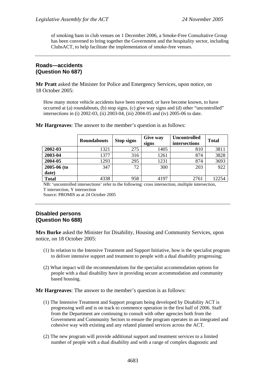of smoking bans in club venues on 1 December 2006, a Smoke-Free Consultative Group has been convened to bring together the Government and the hospitality sector, including ClubsACT, to help facilitate the implementation of smoke-free venues.

#### **Roads—accidents (Question No 687)**

**Mr Pratt** asked the Minister for Police and Emergency Services, upon notice, on 18 October 2005:

How many motor vehicle accidents have been reported, or have become known, to have occurred at (a) roundabouts, (b) stop signs, (c) give way signs and (d) other "uncontrolled" intersections in (i) 2002-03, (ii) 2003-04, (iii) 2004-05 and (iv) 2005-06 to date.

|                 | <b>Roundabouts</b> | <b>Stop signs</b> | <b>Give way</b><br>signs | <b>Uncontrolled</b><br>intersections | <b>Total</b> |
|-----------------|--------------------|-------------------|--------------------------|--------------------------------------|--------------|
| 2002-03         | 1321               | 275               | 1405                     | 810                                  | 3811         |
| 2003-04         | 1377               | 316               | 1261                     | 874                                  | 3828         |
| 2004-05         | 1293               | 295               | 1231                     | 874                                  | 3693         |
| $2005 - 06$ (to | 347                | 72                | 300                      | 203                                  | 922          |
| date)           |                    |                   |                          |                                      |              |
| <b>Total</b>    | 4338               | 958               | 4197                     | 2761                                 | 12254        |

**Mr Hargreaves**: The answer to the member's question is as follows:

NB: 'uncontrolled intersections' refer to the following: cross intersection, multiple intersection, T intersection, Y intersection

Source: PROMIS as at 24 October 2005

# **Disabled persons (Question No 688)**

**Mrs Burke** asked the Minister for Disability, Housing and Community Services, upon notice, on 18 October 2005:

- (1) In relation to the Intensive Treatment and Support Initiative, how is the specialist program to deliver intensive support and treatment to people with a dual disability progressing;
- (2) What impact will the recommendations for the specialist accommodation options for people with a dual disability have in providing secure accommodation and community based housing.

**Mr Hargreaves**: The answer to the member's question is as follows:

- (1) The Intensive Treatment and Support program being developed by Disability ACT is progressing well and is on track to commence operation in the first half of 2006. Staff from the Department are continuing to consult with other agencies both from the Government and Community Sectors to ensure the program operates in an integrated and cohesive way with existing and any related planned services across the ACT.
- (2) The new program will provide additional support and treatment services to a limited number of people with a dual disability and with a range of complex diagnostic and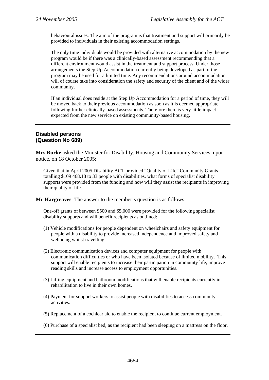behavioural issues. The aim of the program is that treatment and support will primarily be provided to individuals in their existing accommodation settings.

The only time individuals would be provided with alternative accommodation by the new program would be if there was a clinically-based assessment recommending that a different environment would assist in the treatment and support process. Under those arrangements the Step Up Accommodation currently being developed as part of the program may be used for a limited time. Any recommendations around accommodation will of course take into consideration the safety and security of the client and of the wider community.

If an individual does reside at the Step Up Accommodation for a period of time, they will be moved back to their previous accommodation as soon as it is deemed appropriate following further clinically-based assessments. Therefore there is very little impact expected from the new service on existing community-based housing.

#### **Disabled persons (Question No 689)**

**Mrs Burke** asked the Minister for Disability, Housing and Community Services, upon notice, on 18 October 2005:

Given that in April 2005 Disability ACT provided "Quality of Life" Community Grants totalling \$109 468.18 to 33 people with disabilities, what forms of specialist disability supports were provided from the funding and how will they assist the recipients in improving their quality of life.

**Mr Hargreaves**: The answer to the member's question is as follows:

One-off grants of between \$500 and \$5,000 were provided for the following specialist disability supports and will benefit recipients as outlined:

- (1) Vehicle modifications for people dependent on wheelchairs and safety equipment for people with a disability to provide increased independence and improved safety and wellbeing whilst travelling.
- (2) Electronic communication devices and computer equipment for people with communication difficulties or who have been isolated because of limited mobility. This support will enable recipients to increase their participation in community life, improve reading skills and increase access to employment opportunities.
- (3) Lifting equipment and bathroom modifications that will enable recipients currently in rehabilitation to live in their own homes.
- (4) Payment for support workers to assist people with disabilities to access community activities.
- (5) Replacement of a cochlear aid to enable the recipient to continue current employment.
- (6) Purchase of a specialist bed, as the recipient had been sleeping on a mattress on the floor.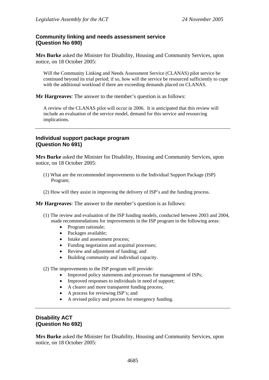### **Community linking and needs assessment service (Question No 690)**

**Mrs Burke** asked the Minister for Disability, Housing and Community Services, upon notice, on 18 October 2005:

Will the Community Linking and Needs Assessment Service (CLANAS) pilot service be continued beyond its trial period; if so, how will the service be resourced sufficiently to cope with the additional workload if there are exceeding demands placed on CLANAS.

**Mr Hargreaves**: The answer to the member's question is as follows:

A review of the CLANAS pilot will occur in 2006. It is anticipated that this review will include an evaluation of the service model, demand for this service and resourcing implications.

### **Individual support package program (Question No 691)**

**Mrs Burke** asked the Minister for Disability, Housing and Community Services, upon notice, on 18 October 2005:

- (1) What are the recommended improvements to the Individual Support Package (ISP) Program;
- (2) How will they assist in improving the delivery of ISP's and the funding process.

**Mr Hargreaves**: The answer to the member's question is as follows:

- (1) The review and evaluation of the ISP funding models, conducted between 2003 and 2004, made recommendations for improvements in the ISP program in the following areas:
	- Program rationale;
	- Packages available;
	- Intake and assessment process;
	- Funding negotiation and acquittal processes;
	- Review and adjustment of funding; and
	- Building community and individual capacity.

(2) The improvements to the ISP program will provide:

- Improved policy statements and processes for management of ISPs;
- Improved responses to individuals in need of support;
- A clearer and more transparent funding process;
- A process for reviewing ISP's; and
- A revised policy and process for emergency funding.

#### **Disability ACT (Question No 692)**

**Mrs Burke** asked the Minister for Disability, Housing and Community Services, upon notice, on 18 October 2005: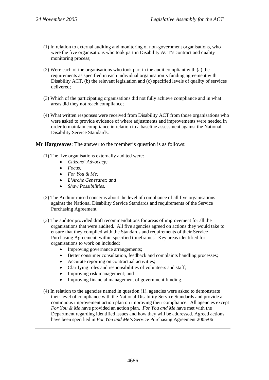- (1) In relation to external auditing and monitoring of non-government organisations, who were the five organisations who took part in Disability ACT's contract and quality monitoring process;
- (2) Were each of the organisations who took part in the audit compliant with (a) the requirements as specified in each individual organisation's funding agreement with Disability ACT, (b) the relevant legislation and (c) specified levels of quality of services delivered;
- (3) Which of the participating organisations did not fully achieve compliance and in what areas did they not reach compliance;
- (4) What written responses were received from Disability ACT from those organisations who were asked to provide evidence of where adjustments and improvements were needed in order to maintain compliance in relation to a baseline assessment against the National Disability Service Standards.

**Mr Hargreaves**: The answer to the member's question is as follows:

- (1) The five organisations externally audited were:
	- *Citizens' Advocacy;*
	- *Focus;*
	- *For You & Me;*
	- *L'Arche Genesaret; and*
	- *Shaw Possibilities.*
- (2) The Auditor raised concerns about the level of compliance of all five organisations against the National Disability Service Standards and requirements of the Service Purchasing Agreement.
- (3) The auditor provided draft recommendations for areas of improvement for all the organisations that were audited. All five agencies agreed on actions they would take to ensure that they complied with the Standards and requirements of their Service Purchasing Agreement, within specified timeframes. Key areas identified for organisations to work on included:
	- Improving governance arrangements;
	- Better consumer consultation, feedback and complaints handling processes:
	- Accurate reporting on contractual activities:
	- Clarifying roles and responsibilities of volunteers and staff;
	- Improving risk management; and
	- Improving financial management of government funding.
- (4) In relation to the agencies named in question (1), agencies were asked to demonstrate their level of compliance with the National Disability Service Standards and provide a continuous improvement action plan on improving their compliance. All agencies except *For You & Me* have provided an action plan. *For You and Me* have met with the Department regarding identified issues and how they will be addressed. Agreed actions have been specified in *For You and Me's* Service Purchasing Agreement 2005/06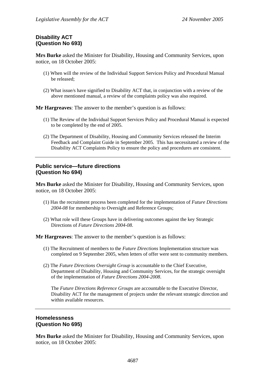# **Disability ACT (Question No 693)**

**Mrs Burke** asked the Minister for Disability, Housing and Community Services, upon notice, on 18 October 2005:

- (1) When will the review of the Individual Support Services Policy and Procedural Manual be released;
- (2) What issue/s have signified to Disability ACT that, in conjunction with a review of the above mentioned manual, a review of the complaints policy was also required.

**Mr Hargreaves**: The answer to the member's question is as follows:

- (1) The Review of the Individual Support Services Policy and Procedural Manual is expected to be completed by the end of 2005.
- (2) The Department of Disability, Housing and Community Services released the Interim Feedback and Complaint Guide in September 2005. This has necessitated a review of the Disability ACT Complaints Policy to ensure the policy and procedures are consistent.

#### **Public service—future directions (Question No 694)**

**Mrs Burke** asked the Minister for Disability, Housing and Community Services, upon notice, on 18 October 2005:

- (1) Has the recruitment process been completed for the implementation of *Future Directions 2004-08* for membership to Oversight and Reference Groups;
- (2) What role will these Groups have in delivering outcomes against the key Strategic Directions of *Future Directions 2004-08*.

**Mr Hargreaves**: The answer to the member's question is as follows:

- (1) The Recruitment of members to the *Future Directions* Implementation structure was completed on 9 September 2005, when letters of offer were sent to community members.
- (2) The *Future Directions Oversight Group* is accountable to the Chief Executive, Department of Disability, Housing and Community Services, for the strategic oversight of the implementation of *Future Directions 2004-2008*.

The *Future Directions Reference Groups* are accountable to the Executive Director, Disability ACT for the management of projects under the relevant strategic direction and within available resources.

#### **Homelessness (Question No 695)**

**Mrs Burke** asked the Minister for Disability, Housing and Community Services, upon notice, on 18 October 2005: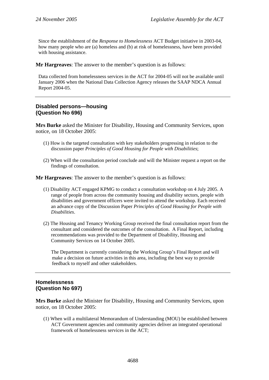Since the establishment of the *Response to Homelessness* ACT Budget initiative in 2003-04, how many people who are (a) homeless and (b) at risk of homelessness, have been provided with housing assistance.

**Mr Hargreaves**: The answer to the member's question is as follows:

Data collected from homelessness services in the ACT for 2004-05 will not be available until January 2006 when the National Data Collection Agency releases the SAAP NDCA Annual Report 2004-05.

# **Disabled persons—housing (Question No 696)**

**Mrs Burke** asked the Minister for Disability, Housing and Community Services, upon notice, on 18 October 2005:

- (1) How is the targeted consultation with key stakeholders progressing in relation to the discussion paper *Principles of Good Housing for People with Disabilities*;
- (2) When will the consultation period conclude and will the Minister request a report on the findings of consultation.

**Mr Hargreaves**: The answer to the member's question is as follows:

- (1) Disability ACT engaged KPMG to conduct a consultation workshop on 4 July 2005. A range of people from across the community housing and disability sectors, people with disabilities and government officers were invited to attend the workshop. Each received an advance copy of the Discussion Paper *Principles of Good Housing for People with Disabilities*.
- (2) The Housing and Tenancy Working Group received the final consultation report from the consultant and considered the outcomes of the consultation. A Final Report, including recommendations was provided to the Department of Disability, Housing and Community Services on 14 October 2005.

The Department is currently considering the Working Group's Final Report and will make a decision on future activities in this area, including the best way to provide feedback to myself and other stakeholders.

# **Homelessness (Question No 697)**

**Mrs Burke** asked the Minister for Disability, Housing and Community Services, upon notice, on 18 October 2005:

(1) When will a multilateral Memorandum of Understanding (MOU) be established between ACT Government agencies and community agencies deliver an integrated operational framework of homelessness services in the ACT;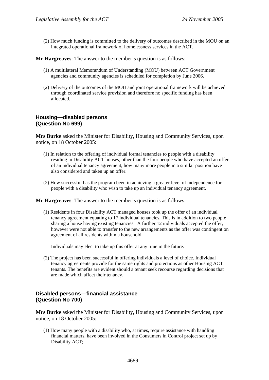(2) How much funding is committed to the delivery of outcomes described in the MOU on an integrated operational framework of homelessness services in the ACT.

**Mr Hargreaves**: The answer to the member's question is as follows:

- (1) A multilateral Memorandum of Understanding (MOU) between ACT Government agencies and community agencies is scheduled for completion by June 2006.
- (2) Delivery of the outcomes of the MOU and joint operational framework will be achieved through coordinated service provision and therefore no specific funding has been allocated.

#### **Housing—disabled persons (Question No 699)**

**Mrs Burke** asked the Minister for Disability, Housing and Community Services, upon notice, on 18 October 2005:

- (1) In relation to the offering of individual formal tenancies to people with a disability residing in Disability ACT houses, other than the four people who have accepted an offer of an individual tenancy agreement, how many more people in a similar position have also considered and taken up an offer.
- (2) How successful has the program been in achieving a greater level of independence for people with a disability who wish to take up an individual tenancy agreement.

**Mr Hargreaves**: The answer to the member's question is as follows:

(1) Residents in four Disability ACT managed houses took up the offer of an individual tenancy agreement equating to 17 individual tenancies. This is in addition to two people sharing a house having existing tenancies. A further 12 individuals accepted the offer, however were not able to transfer to the new arrangements as the offer was contingent on agreement of all residents within a household.

Individuals may elect to take up this offer at any time in the future.

(2) The project has been successful in offering individuals a level of choice. Individual tenancy agreements provide for the same rights and protections as other Housing ACT tenants. The benefits are evident should a tenant seek recourse regarding decisions that are made which affect their tenancy.

#### **Disabled persons—financial assistance (Question No 700)**

**Mrs Burke** asked the Minister for Disability, Housing and Community Services, upon notice, on 18 October 2005:

(1) How many people with a disability who, at times, require assistance with handling financial matters, have been involved in the Consumers in Control project set up by Disability ACT;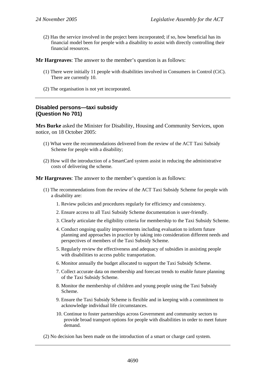(2) Has the service involved in the project been incorporated; if so, how beneficial has its financial model been for people with a disability to assist with directly controlling their financial resources.

**Mr Hargreaves**: The answer to the member's question is as follows:

- (1) There were initially 11 people with disabilities involved in Consumers in Control (CiC). There are currently 10.
- (2) The organisation is not yet incorporated.

# **Disabled persons—taxi subsidy (Question No 701)**

**Mrs Burke** asked the Minister for Disability, Housing and Community Services, upon notice, on 18 October 2005:

- (1) What were the recommendations delivered from the review of the ACT Taxi Subsidy Scheme for people with a disability;
- (2) How will the introduction of a SmartCard system assist in reducing the administrative costs of delivering the scheme.

**Mr Hargreaves**: The answer to the member's question is as follows:

- (1) The recommendations from the review of the ACT Taxi Subsidy Scheme for people with a disability are:
	- 1. Review policies and procedures regularly for efficiency and consistency.
	- 2. Ensure access to all Taxi Subsidy Scheme documentation is user-friendly.
	- 3. Clearly articulate the eligibility criteria for membership to the Taxi Subsidy Scheme.
	- 4. Conduct ongoing quality improvements including evaluation to inform future planning and approaches in practice by taking into consideration different needs and perspectives of members of the Taxi Subsidy Scheme.
	- 5. Regularly review the effectiveness and adequacy of subsidies in assisting people with disabilities to access public transportation.
	- 6. Monitor annually the budget allocated to support the Taxi Subsidy Scheme.
	- 7. Collect accurate data on membership and forecast trends to enable future planning of the Taxi Subsidy Scheme.
	- 8. Monitor the membership of children and young people using the Taxi Subsidy Scheme.
	- 9. Ensure the Taxi Subsidy Scheme is flexible and in keeping with a commitment to acknowledge individual life circumstances.
	- 10. Continue to foster partnerships across Government and community sectors to provide broad transport options for people with disabilities in order to meet future demand.
- (2) No decision has been made on the introduction of a smart or charge card system.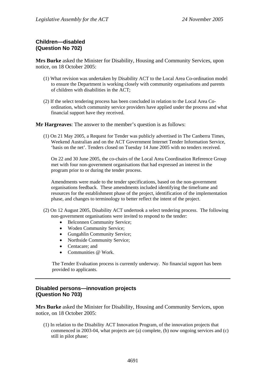# **Children—disabled (Question No 702)**

**Mrs Burke** asked the Minister for Disability, Housing and Community Services, upon notice, on 18 October 2005:

- (1) What revision was undertaken by Disability ACT to the Local Area Co-ordination model to ensure the Department is working closely with community organisations and parents of children with disabilities in the ACT;
- (2) If the select tendering process has been concluded in relation to the Local Area Coordination, which community service providers have applied under the process and what financial support have they received.

**Mr Hargreaves**: The answer to the member's question is as follows:

(1) On 21 May 2005, a Request for Tender was publicly advertised in The Canberra Times, Weekend Australian and on the ACT Government Internet Tender Information Service, 'basis on the net'. Tenders closed on Tuesday 14 June 2005 with no tenders received.

On 22 and 30 June 2005, the co-chairs of the Local Area Coordination Reference Group met with four non-government organisations that had expressed an interest in the program prior to or during the tender process.

Amendments were made to the tender specifications, based on the non-government organisations feedback. These amendments included identifying the timeframe and resources for the establishment phase of the project, identification of the implementation phase, and changes to terminology to better reflect the intent of the project.

- (2) On 12 August 2005, Disability ACT undertook a select tendering process. The following non-government organisations were invited to respond to the tender:
	- Belconnen Community Service;
	- Woden Community Service;
	- Gungahlin Community Service;
	- Northside Community Service;
	- Centacare; and
	- Communities @ Work.

The Tender Evaluation process is currently underway. No financial support has been provided to applicants.

# **Disabled persons—innovation projects (Question No 703)**

**Mrs Burke** asked the Minister for Disability, Housing and Community Services, upon notice, on 18 October 2005:

(1) In relation to the Disability ACT Innovation Program, of the innovation projects that commenced in 2003-04, what projects are (a) complete, (b) now ongoing services and (c) still in pilot phase;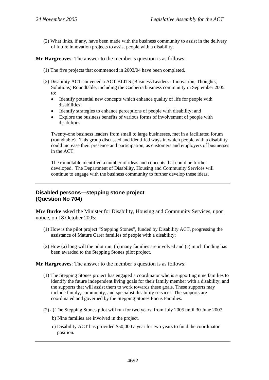(2) What links, if any, have been made with the business community to assist in the delivery of future innovation projects to assist people with a disability.

**Mr Hargreaves**: The answer to the member's question is as follows:

- (1) The five projects that commenced in 2003/04 have been completed.
- (2) Disability ACT convened a ACT BLITS (Business Leaders Innovation, Thoughts, Solutions) Roundtable, including the Canberra business community in September 2005 to:
	- Identify potential new concepts which enhance quality of life for people with disabilities;
	- Identify strategies to enhance perceptions of people with disability; and
	- Explore the business benefits of various forms of involvement of people with disabilities.

Twenty-one business leaders from small to large businesses, met in a facilitated forum (roundtable). This group discussed and identified ways in which people with a disability could increase their presence and participation, as customers and employers of businesses in the ACT.

The roundtable identified a number of ideas and concepts that could be further developed. The Department of Disability, Housing and Community Services will continue to engage with the business community to further develop these ideas.

### **Disabled persons—stepping stone project (Question No 704)**

**Mrs Burke** asked the Minister for Disability, Housing and Community Services, upon notice, on 18 October 2005:

- (1) How is the pilot project "Stepping Stones", funded by Disability ACT, progressing the assistance of Mature Carer families of people with a disability;
- (2) How (a) long will the pilot run, (b) many families are involved and (c) much funding has been awarded to the Stepping Stones pilot project.

#### **Mr Hargreaves**: The answer to the member's question is as follows:

- (1) The Stepping Stones project has engaged a coordinator who is supporting nine families to identify the future independent living goals for their family member with a disability, and the supports that will assist them to work towards these goals. These supports may include family, community, and specialist disability services. The supports are coordinated and governed by the Stepping Stones Focus Families.
- (2) a) The Stepping Stones pilot will run for two years, from July 2005 until 30 June 2007.
	- b) Nine families are involved in the project.
	- c) Disability ACT has provided \$50,000 a year for two years to fund the coordinator position.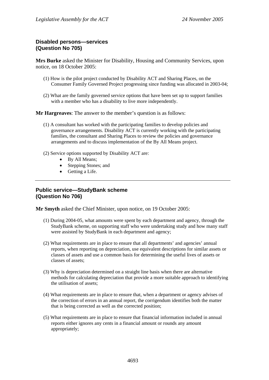# **Disabled persons—services (Question No 705)**

**Mrs Burke** asked the Minister for Disability, Housing and Community Services, upon notice, on 18 October 2005:

- (1) How is the pilot project conducted by Disability ACT and Sharing Places, on the Consumer Family Governed Project progressing since funding was allocated in 2003-04;
- (2) What are the family governed service options that have been set up to support families with a member who has a disability to live more independently.

**Mr Hargreaves**: The answer to the member's question is as follows:

- (1) A consultant has worked with the participating families to develop policies and governance arrangements. Disability ACT is currently working with the participating families, the consultant and Sharing Places to review the policies and governance arrangements and to discuss implementation of the By All Means project.
- (2) Service options supported by Disability ACT are:
	- By All Means;
	- Stepping Stones; and
	- Getting a Life.

## **Public service—StudyBank scheme (Question No 706)**

**Mr Smyth** asked the Chief Minister, upon notice, on 19 October 2005:

- (1) During 2004-05, what amounts were spent by each department and agency, through the StudyBank scheme, on supporting staff who were undertaking study and how many staff were assisted by StudyBank in each department and agency;
- (2) What requirements are in place to ensure that all departments' and agencies' annual reports, when reporting on depreciation, use equivalent descriptions for similar assets or classes of assets and use a common basis for determining the useful lives of assets or classes of assets;
- (3) Why is depreciation determined on a straight line basis when there are alternative methods for calculating depreciation that provide a more suitable approach to identifying the utilisation of assets;
- (4) What requirements are in place to ensure that, when a department or agency advises of the correction of errors in an annual report, the corrigendum identifies both the matter that is being corrected as well as the corrected position;
- (5) What requirements are in place to ensure that financial information included in annual reports either ignores any cents in a financial amount or rounds any amount appropriately;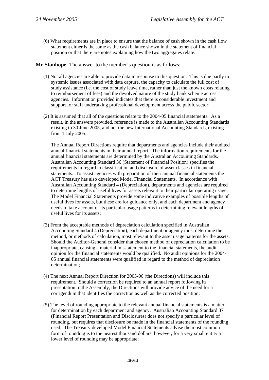(6) What requirements are in place to ensure that the balance of cash shown in the cash flow statement either is the same as the cash balance shown in the statement of financial position or that there are notes explaining how the two aggregates relate.

**Mr Stanhope**: The answer to the member's question is as follows:

- (1) Not all agencies are able to provide data in response to this question. This is due partly to systemic issues associated with data capture, the capacity to calculate the full cost of study assistance (i.e. the cost of study leave time, rather than just the known costs relating to reimbursement of fees) and the devolved nature of the study bank scheme across agencies. Information provided indicates that there is considerable investment and support for staff undertaking professional development across the public sector;
- (2) It is assumed that all of the questions relate to the 2004-05 financial statements. As a result, in the answers provided, reference is made to the Australian Accounting Standards existing to 30 June 2005, and not the new International Accounting Standards, existing from 1 July 2005.

The Annual Report Directions require that departments and agencies include their audited annual financial statements in their annual report. The information requirements for the annual financial statements are determined by the Australian Accounting Standards. Australian Accounting Standard 36 (Statement of Financial Position) specifies the requirements in regard to classification and disclosure of asset classes in financial statements. To assist agencies with preparation of their annual financial statements the ACT Treasury has also developed Model Financial Statements. In accordance with Australian Accounting Standard 4 (Depreciation), departments and agencies are required to determine lengths of useful lives for assets relevant to their particular operating usage. The Model Financial Statements provide some indicative examples of possible lengths of useful lives for assets, but these are for guidance only, and each department and agency needs to take account of its particular usage patterns in determining relevant lengths of useful lives for its assets;

- (3) From the acceptable methods of depreciation calculation specified in Australian Accounting Standard 4 (Depreciation), each department or agency must determine the method, or methods of calculation, most relevant to the asset usage patterns for the assets. Should the Auditor-General consider that chosen method of depreciation calculation to be inappropriate, causing a material misstatement to the financial statements, the audit opinion for the financial statements would be qualified. No audit opinions for the 2004- 05 annual financial statements were qualified in regard to the method of depreciation determination;
- (4) The next Annual Report Direction for 2005-06 (the Directions) will include this requirement. Should a correction be required to an annual report following its presentation to the Assembly, the Directions will provide advice of the need for a corrigendum that identifies the correction as well as the corrected position;
- (5) The level of rounding appropriate to the relevant annual financial statements is a matter for determination by each department and agency. Australian Accounting Standard 37 (Financial Report Presentation and Disclosures) does not specify a particular level of rounding, but requires that disclosure be made in the financial statements of the rounding used. The Treasury developed Model Financial Statements advise the most common form of rounding is to the nearest thousand dollars, however, for a very small entity a lower level of rounding may be appropriate;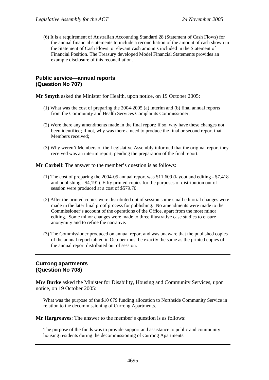(6) It is a requirement of Australian Accounting Standard 28 (Statement of Cash Flows) for the annual financial statements to include a reconciliation of the amount of cash shown in the Statement of Cash Flows to relevant cash amounts included in the Statement of Financial Position. The Treasury developed Model Financial Statements provides an example disclosure of this reconciliation.

# **Public service—annual reports (Question No 707)**

**Mr Smyth** asked the Minister for Health, upon notice, on 19 October 2005:

- (1) What was the cost of preparing the 2004-2005 (a) interim and (b) final annual reports from the Community and Health Services Complaints Commissioner;
- (2) Were there any amendments made in the final report; if so, why have these changes not been identified; if not, why was there a need to produce the final or second report that Members received;
- (3) Why weren't Members of the Legislative Assembly informed that the original report they received was an interim report, pending the preparation of the final report.

**Mr Corbell**: The answer to the member's question is as follows:

- (1) The cost of preparing the 2004-05 annual report was \$11,609 (layout and editing \$7,418 and publishing - \$4,191). Fifty printed copies for the purposes of distribution out of session were produced at a cost of \$579.70.
- (2) After the printed copies were distributed out of session some small editorial changes were made in the later final proof process for publishing. No amendments were made to the Commissioner's account of the operations of the Office, apart from the most minor editing. Some minor changes were made to three illustrative case studies to ensure anonymity and to refine the narrative.
- (3) The Commissioner produced on annual report and was unaware that the published copies of the annual report tabled in October must be exactly the same as the printed copies of the annual report distributed out of session.

# **Currong apartments (Question No 708)**

**Mrs Burke** asked the Minister for Disability, Housing and Community Services, upon notice, on 19 October 2005:

What was the purpose of the \$10 679 funding allocation to Northside Community Service in relation to the decommissioning of Currong Apartments.

**Mr Hargreaves**: The answer to the member's question is as follows:

The purpose of the funds was to provide support and assistance to public and community housing residents during the decommissioning of Currong Apartments.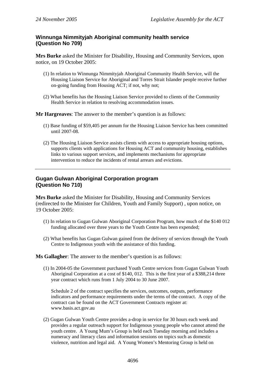# **Winnunga Nimmityjah Aboriginal community health service (Question No 709)**

**Mrs Burke** asked the Minister for Disability, Housing and Community Services, upon notice, on 19 October 2005:

- (1) In relation to Winnunga Nimmityjah Aboriginal Community Health Service, will the Housing Liaison Service for Aboriginal and Torres Strait Islander people receive further on-going funding from Housing ACT; if not, why not;
- (2) What benefits has the Housing Liaison Service provided to clients of the Community Health Service in relation to resolving accommodation issues.

**Mr Hargreaves**: The answer to the member's question is as follows:

- (1) Base funding of \$59,405 per annum for the Housing Liaison Service has been committed until 2007-08.
- (2) The Housing Liaison Service assists clients with access to appropriate housing options, supports clients with applications for Housing ACT and community housing, establishes links to various support services, and implements mechanisms for appropriate intervention to reduce the incidents of rental arrears and evictions.

# **Gugan Gulwan Aboriginal Corporation program (Question No 710)**

**Mrs Burke** asked the Minister for Disability, Housing and Community Services (redirected to the Minister for Children, Youth and Family Support) , upon notice, on 19 October 2005:

- (1) In relation to Gugan Gulwan Aboriginal Corporation Program, how much of the \$140 012 funding allocated over three years to the Youth Centre has been expended;
- (2) What benefits has Gugan Gulwan gained from the delivery of services through the Youth Centre to Indigenous youth with the assistance of this funding.

**Ms Gallagher**: The answer to the member's question is as follows:

(1) In 2004-05 the Government purchased Youth Centre services from Gugan Gulwan Youth Aboriginal Corporation at a cost of \$140, 012. This is the first year of a \$388,214 three year contract which runs from 1 July 2004 to 30 June 2007.

Schedule 2 of the contract specifies the services, outcomes, outputs, performance indicators and performance requirements under the terms of the contract. A copy of the contract can be found on the ACT Government Contracts register at: www.basis.act.gov.au

(2) Gugan Gulwan Youth Centre provides a-drop in service for 30 hours each week and provides a regular outreach support for Indigenous young people who cannot attend the youth centre. A Young Mum's Group is held each Tuesday morning and includes a numeracy and literacy class and information sessions on topics such as domestic violence, nutrition and legal aid. A Young Women's Mentoring Group is held on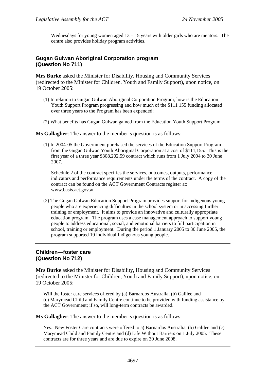Wednesdays for young women aged  $13 - 15$  years with older girls who are mentors. The centre also provides holiday program activities.

### **Gugan Gulwan Aboriginal Corporation program (Question No 711)**

**Mrs Burke** asked the Minister for Disability, Housing and Community Services (redirected to the Minister for Children, Youth and Family Support), upon notice, on 19 October 2005:

- (1) In relation to Gugan Gulwan Aboriginal Corporation Program, how is the Education Youth Support Program progressing and how much of the \$111 155 funding allocated over three years to the Program has been expended;
- (2) What benefits has Gugan Gulwan gained from the Education Youth Support Program.

**Ms Gallagher**: The answer to the member's question is as follows:

(1) In 2004-05 the Government purchased the services of the Education Support Program from the Gugan Gulwan Youth Aboriginal Corporation at a cost of \$111,155. This is the first year of a three year \$308,202.59 contract which runs from 1 July 2004 to 30 June 2007.

Schedule 2 of the contract specifies the services, outcomes, outputs, performance indicators and performance requirements under the terms of the contract. A copy of the contract can be found on the ACT Government Contracts register at: www.basis.act.gov.au

(2) The Gugan Gulwan Education Support Program provides support for Indigenous young people who are experiencing difficulties in the school system or in accessing further training or employment. It aims to provide an innovative and culturally appropriate education program. The program uses a case management approach to support young people to address educational, social, and emotional barriers to full participation in school, training or employment. During the period 1 January 2005 to 30 June 2005, the program supported 19 individual Indigenous young people.

### **Children—foster care (Question No 712)**

**Mrs Burke** asked the Minister for Disability, Housing and Community Services (redirected to the Minister for Children, Youth and Family Support), upon notice, on 19 October 2005:

Will the foster care services offered by (a) Barnardos Australia, (b) Galilee and (c) Marymead Child and Family Centre continue to be provided with funding assistance by the ACT Government; if so, will long-term contracts be awarded.

**Ms Gallagher**: The answer to the member's question is as follows:

Yes. New Foster Care contracts were offered to a) Barnardos Australia, (b) Galilee and (c) Marymead Child and Family Centre and (d) Life Without Barriers on 1 July 2005. These contracts are for three years and are due to expire on 30 June 2008.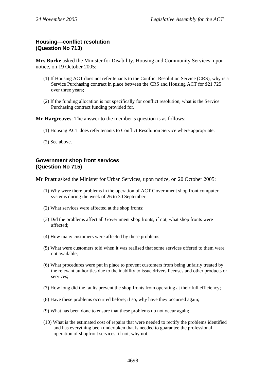### **Housing—conflict resolution (Question No 713)**

**Mrs Burke** asked the Minister for Disability, Housing and Community Services, upon notice, on 19 October 2005:

- (1) If Housing ACT does not refer tenants to the Conflict Resolution Service (CRS), why is a Service Purchasing contract in place between the CRS and Housing ACT for \$21 725 over three years;
- (2) If the funding allocation is not specifically for conflict resolution, what is the Service Purchasing contract funding provided for.

**Mr Hargreaves**: The answer to the member's question is as follows:

- (1) Housing ACT does refer tenants to Conflict Resolution Service where appropriate.
- (2) See above.

#### **Government shop front services (Question No 715)**

**Mr Pratt** asked the Minister for Urban Services, upon notice, on 20 October 2005:

- (1) Why were there problems in the operation of ACT Government shop front computer systems during the week of 26 to 30 September;
- (2) What services were affected at the shop fronts;
- (3) Did the problems affect all Government shop fronts; if not, what shop fronts were affected;
- (4) How many customers were affected by these problems;
- (5) What were customers told when it was realised that some services offered to them were not available;
- (6) What procedures were put in place to prevent customers from being unfairly treated by the relevant authorities due to the inability to issue drivers licenses and other products or services;
- (7) How long did the faults prevent the shop fronts from operating at their full efficiency;
- (8) Have these problems occurred before; if so, why have they occurred again;
- (9) What has been done to ensure that these problems do not occur again;
- (10) What is the estimated cost of repairs that were needed to rectify the problems identified and has everything been undertaken that is needed to guarantee the professional operation of shopfront services; if not, why not.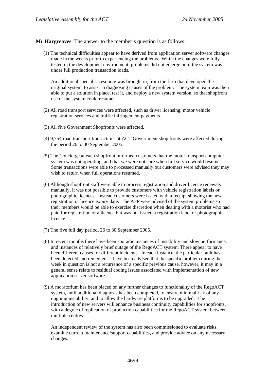**Mr Hargreaves**: The answer to the member's question is as follows:

(1) The technical difficulties appear to have derived from application server software changes made in the weeks prior to experiencing the problems. While the changes were fully tested in the development environment, problems did not emerge until the system was under full production transaction loads.

An additional specialist resource was brought in, from the firm that developed the original system, to assist in diagnosing causes of the problem. The system team was then able to put a solution in place, test it, and deploy a new system version, so that shopfront use of the system could resume.

- (2) All road transport services were affected, such as driver licensing, motor vehicle registration services and traffic infringement payments.
- (3) All five Government Shopfronts were affected.
- (4) 9,754 road transport transactions at ACT Government shop fronts were affected during the period 26 to 30 September 2005.
- (5) The Concierge at each shopfront informed customers that the motor transport computer system was not operating, and that we were not sure when full service would resume. Some transactions were able to processed manually but customers were advised they may wish to return when full operations resumed.
- (6) Although shopfront staff were able to process registration and driver licence renewals manually, it was not possible to provide customers with vehicle registration labels or photographic licences. Instead customers were issued with a receipt showing the new registration or licence expiry date. The AFP were advised of the system problems so their members would be able to exercise discretion when dealing with a motorist who had paid for registration or a licence but was not issued a registration label or photographic licence.
- (7) The five full day period, 26 to 30 September 2005.
- (8) In recent months there have been sporadic instances of instability and slow performance, and instances of relatively brief outage of the RegoACT system. There appear to have been different causes for different incidents. In each instance, the particular fault has been detected and remedied. I have been advised that the specific problem during the week in question is not a recurrence of a specific previous cause, however, it may in a general sense relate to residual coding issues associated with implementation of new application server software.
- (9) A moratorium has been placed on any further changes to functionality of the RegoACT system, until additional diagnosis has been completed, to ensure minimal risk of any ongoing instability, and to allow the hardware platforms to be upgraded. The introduction of new servers will enhance business continuity capabilities for shopfronts, with a degree of replication of production capabilities for the RegoACT system between multiple centres.

An independent review of the system has also been commissioned to evaluate risks, examine current maintenance/support capabilities, and provide advice on any necessary changes.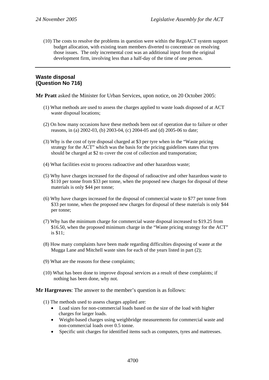(10) The costs to resolve the problems in question were within the RegoACT system support budget allocation, with existing team members diverted to concentrate on resolving those issues. The only incremental cost was an additional input from the original development firm, involving less than a half-day of the time of one person.

# **Waste disposal (Question No 716)**

**Mr Pratt** asked the Minister for Urban Services, upon notice, on 20 October 2005:

- (1) What methods are used to assess the charges applied to waste loads disposed of at ACT waste disposal locations;
- (2) On how many occasions have these methods been out of operation due to failure or other reasons, in (a) 2002-03, (b) 2003-04, (c) 2004-05 and (d) 2005-06 to date;
- (3) Why is the cost of tyre disposal charged at \$3 per tyre when in the "Waste pricing strategy for the ACT" which was the basis for the pricing guidelines states that tyres should be charged at \$2 to cover the cost of collection and transportation;
- (4) What facilities exist to process radioactive and other hazardous waste;
- (5) Why have charges increased for the disposal of radioactive and other hazardous waste to \$110 per tonne from \$33 per tonne, when the proposed new charges for disposal of these materials is only \$44 per tonne;
- (6) Why have charges increased for the disposal of commercial waste to \$77 per tonne from \$33 per tonne, when the proposed new charges for disposal of these materials is only \$44 per tonne;
- (7) Why has the minimum charge for commercial waste disposal increased to \$19.25 from \$16.50, when the proposed minimum charge in the "Waste pricing strategy for the ACT" is \$11;
- (8) How many complaints have been made regarding difficulties disposing of waste at the Mugga Lane and Mitchell waste sites for each of the years listed in part (2);
- (9) What are the reasons for these complaints;
- (10) What has been done to improve disposal services as a result of these complaints; if nothing has been done, why not.

**Mr Hargreaves**: The answer to the member's question is as follows:

- (1) The methods used to assess charges applied are:
	- Load sizes for non-commercial loads based on the size of the load with higher charges for larger loads.
	- Weight-based charges using weighbridge measurements for commercial waste and non-commercial loads over 0.5 tonne.
	- Specific unit charges for identified items such as computers, tyres and mattresses.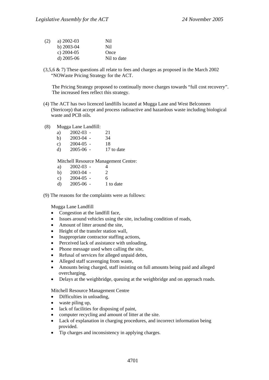| (2) | a) $2002 - 03$ | Nil         |
|-----|----------------|-------------|
|     | b) $2003-04$   | Ni1         |
|     | c) $2004-05$   | Once        |
|     | d) $2005-06$   | Nil to date |

(3,5,6 & 7) These questions all relate to fees and charges as proposed in the March 2002 "NOWaste Pricing Strategy for the ACT.

The Pricing Strategy proposed to continually move charges towards "full cost recovery". The increased fees reflect this strategy.

- (4) The ACT has two licenced landfills located at Mugga Lane and West Belconnen (Stericorp) that accept and process radioactive and hazardous waste including biological waste and PCB oils.
- (8) Mugga Lane Landfill:

| $2002 - 03$ - | 21         |
|---------------|------------|
| $2003 - 04$ - | 34         |
| $2004 - 05$ - | 18         |
| $2005 - 06$ - | 17 to date |
|               |            |

Mitchell Resource Management Centre:

| a) | $2002 - 03$ - | 4                           |
|----|---------------|-----------------------------|
| b) | $2003 - 04$ - | $\mathcal{D}_{\mathcal{L}}$ |
| c) | $2004 - 05$ - | 6                           |
| d) | $2005 - 06$ - | 1 to date                   |

(9) The reasons for the complaints were as follows:

Mugga Lane Landfill

- Congestion at the landfill face,
- Issues around vehicles using the site, including condition of roads,
- Amount of litter around the site,
- Height of the transfer station wall,
- Inappropriate contractor staffing actions,
- Perceived lack of assistance with unloading,
- Phone message used when calling the site,
- Refusal of services for alleged unpaid debts,
- Alleged staff scavenging from waste,
- Amounts being charged, staff insisting on full amounts being paid and alleged overcharging,
- Delays at the weighbridge, queuing at the weighbridge and on approach roads.

Mitchell Resource Management Centre

- Difficulties in unloading,
- waste piling up,
- lack of facilities for disposing of paint,
- computer recycling and amount of litter at the site.
- Lack of explanation in charging procedures, and incorrect information being provided.
- Tip charges and inconsistency in applying charges.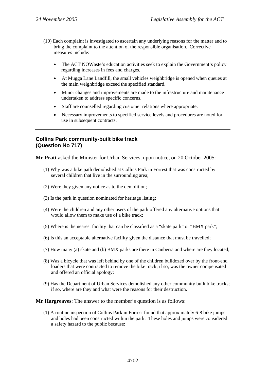- (10) Each complaint is investigated to ascertain any underlying reasons for the matter and to bring the complaint to the attention of the responsible organisation. Corrective measures include:
	- The ACT NOWaste's education activities seek to explain the Government's policy regarding increases in fees and charges.
	- At Mugga Lane Landfill, the small vehicles weighbridge is opened when queues at the main weighbridge exceed the specified standard.
	- Minor changes and improvements are made to the infrastructure and maintenance undertaken to address specific concerns.
	- Staff are counselled regarding customer relations where appropriate.
	- Necessary improvements to specified service levels and procedures are noted for use in subsequent contracts.

# **Collins Park community-built bike track (Question No 717)**

**Mr Pratt** asked the Minister for Urban Services, upon notice, on 20 October 2005:

- (1) Why was a bike path demolished at Collins Park in Forrest that was constructed by several children that live in the surrounding area;
- (2) Were they given any notice as to the demolition;
- (3) Is the park in question nominated for heritage listing;
- (4) Were the children and any other users of the park offered any alternative options that would allow them to make use of a bike track;
- (5) Where is the nearest facility that can be classified as a "skate park" or "BMX park";
- (6) Is this an acceptable alternative facility given the distance that must be travelled;
- (7) How many (a) skate and (b) BMX parks are there in Canberra and where are they located;
- (8) Was a bicycle that was left behind by one of the children bulldozed over by the front-end loaders that were contracted to remove the bike track; if so, was the owner compensated and offered an official apology;
- (9) Has the Department of Urban Services demolished any other community built bike tracks; if so, where are they and what were the reasons for their destruction.

**Mr Hargreaves**: The answer to the member's question is as follows:

(1) A routine inspection of Collins Park in Forrest found that approximately 6-8 bike jumps and holes had been constructed within the park. These holes and jumps were considered a safety hazard to the public because: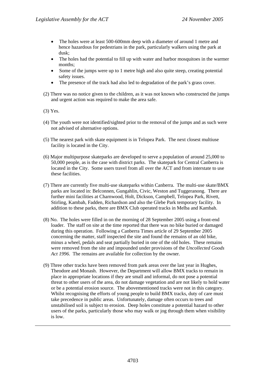- The holes were at least 500-600mm deep with a diameter of around 1 metre and hence hazardous for pedestrians in the park, particularly walkers using the park at dusk;
- The holes had the potential to fill up with water and harbor mosquitoes in the warmer months;
- Some of the jumps were up to 1 metre high and also quite steep, creating potential safety issues.
- The presence of the track had also led to degradation of the park's grass cover.
- (2) There was no notice given to the children, as it was not known who constructed the jumps and urgent action was required to make the area safe.

(3) Yes.

- (4) The youth were not identified/sighted prior to the removal of the jumps and as such were not advised of alternative options.
- (5) The nearest park with skate equipment is in Telopea Park. The next closest multiuse facility is located in the City.
- (6) Major multipurpose skateparks are developed to serve a population of around 25,000 to 50,000 people, as is the case with district parks. The skatepark for Central Canberra is located in the City. Some users travel from all over the ACT and from interstate to use these facilities.
- (7) There are currently five multi-use skateparks within Canberra. The multi-use skate/BMX parks are located in: Belconnen, Gungahlin, Civic, Weston and Tuggeranong. There are further mini facilities at Charnwood, Holt, Dickson, Campbell, Telopea Park, Rivett, Stirling, Kambah, Fadden, Richardson and also the Glebe Park temporary facility. In addition to these parks, there are BMX Club operated tracks in Melba and Kambah.
- (8) No. The holes were filled in on the morning of 28 September 2005 using a front-end loader. The staff on site at the time reported that there was no bike buried or damaged during this operation. Following a Canberra Times article of 29 September 2005 concerning the matter, staff inspected the site and found the remains of an old bike, minus a wheel, pedals and seat partially buried in one of the old holes. These remains were removed from the site and impounded under provisions of the *Uncollected Goods Act 1996*. The remains are available for collection by the owner.
- (9) Three other tracks have been removed from park areas over the last year in Hughes, Theodore and Monash. However, the Department will allow BMX tracks to remain in place in appropriate locations if they are small and informal, do not pose a potential threat to other users of the area, do not damage vegetation and are not likely to hold water or be a potential erosion source. The abovementioned tracks were not in this category. Whilst recognising the efforts of young people to build BMX tracks, duty of care must take precedence in public areas. Unfortunately, damage often occurs to trees and unstabilised soil is subject to erosion. Deep holes constitute a potential hazard to other users of the parks, particularly those who may walk or jog through them when visibility is low.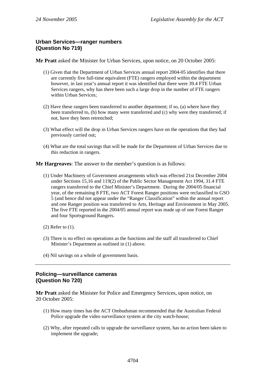# **Urban Services—ranger numbers (Question No 719)**

**Mr Pratt** asked the Minister for Urban Services, upon notice, on 20 October 2005:

- (1) Given that the Department of Urban Services annual report 2004-05 identifies that there are currently five full-time equivalent (FTE) rangers employed within the department however, in last year's annual report it was identified that there were 39.4 FTE Urban Services rangers, why has there been such a large drop in the number of FTE rangers within Urban Services;
- (2) Have these rangers been transferred to another department; if so, (a) where have they been transferred to, (b) how many were transferred and (c) why were they transferred; if not, have they been retrenched;
- (3) What effect will the drop in Urban Services rangers have on the operations that they had previously carried out;
- (4) What are the total savings that will be made for the Department of Urban Services due to this reduction in rangers.

**Mr Hargreaves**: The answer to the member's question is as follows:

- (1) Under Machinery of Government arrangements which was effected 21st December 2004 under Sections 15,16 and 119(2) of the Public Sector Management Act 1994, 31.4 FTE rangers transferred to the Chief Minister's Department. During the 2004/05 financial year, of the remaining 8 FTE, two ACT Forest Ranger positions were reclassified to GSO 5 (and hence did not appear under the "Ranger Classification" within the annual report and one Ranger position was transferred to Arts, Heritage and Environment in May 2005. The five FTE reported in the 2004/05 annual report was made up of one Forest Ranger and four Sportsground Rangers.
- (2) Refer to (1).
- (3) There is no effect on operations as the functions and the staff all transferred to Chief Minister's Department as outlined in (1) above.
- (4) Nil savings on a whole of government basis.

### **Policing—surveillance cameras (Question No 720)**

**Mr Pratt** asked the Minister for Police and Emergency Services, upon notice, on 20 October 2005:

- (1) How many times has the ACT Ombudsman recommended that the Australian Federal Police upgrade the video surveillance system at the city watch-house;
- (2) Why, after repeated calls to upgrade the surveillance system, has no action been taken to implement the upgrade;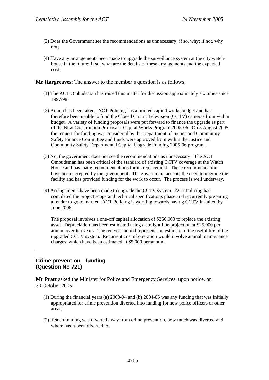- (3) Does the Government see the recommendations as unnecessary; if so, why; if not, why not;
- (4) Have any arrangements been made to upgrade the surveillance system at the city watchhouse in the future; if so, what are the details of these arrangements and the expected cost.

**Mr Hargreaves**: The answer to the member's question is as follows:

- (1) The ACT Ombudsman has raised this matter for discussion approximately six times since 1997/98.
- (2) Action has been taken. ACT Policing has a limited capital works budget and has therefore been unable to fund the Closed Circuit Television (CCTV) cameras from within budget. A variety of funding proposals were put forward to finance the upgrade as part of the New Construction Proposals, Capital Works Program 2005-06. On 5 August 2005, the request for funding was considered by the Department of Justice and Community Safety Finance Committee and funds were approved from within the Justice and Community Safety Departmental Capital Upgrade Funding 2005-06 program.
- (3) No, the government does not see the recommendations as unnecessary. The ACT Ombudsman has been critical of the standard of existing CCTV coverage at the Watch House and has made recommendations for its replacement. These recommendations have been accepted by the government. The government accepts the need to upgrade the facility and has provided funding for the work to occur. The process is well underway.
- (4) Arrangements have been made to upgrade the CCTV system. ACT Policing has completed the project scope and technical specifications phase and is currently preparing a tender to go to market. ACT Policing is working towards having CCTV installed by June 2006.

The proposal involves a one-off capital allocation of \$250,000 to replace the existing asset. Depreciation has been estimated using a straight line projection at \$25,000 per annum over ten years. The ten year period represents an estimate of the useful life of the upgraded CCTV system. Recurrent cost of operation would involve annual maintenance charges, which have been estimated at \$5,000 per annum.

### **Crime prevention—funding (Question No 721)**

**Mr Pratt** asked the Minister for Police and Emergency Services, upon notice, on 20 October 2005:

- (1) During the financial years (a) 2003-04 and (b) 2004-05 was any funding that was initially appropriated for crime prevention diverted into funding for new police officers or other areas;
- (2) If such funding was diverted away from crime prevention, how much was diverted and where has it been diverted to;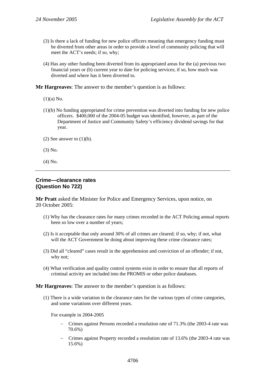- (3) Is there a lack of funding for new police officers meaning that emergency funding must be diverted from other areas in order to provide a level of community policing that will meet the ACT's needs; if so, why;
- (4) Has any other funding been diverted from its appropriated areas for the (a) previous two financial years or (b) current year to date for policing services; if so, how much was diverted and where has it been diverted to.

**Mr Hargreaves**: The answer to the member's question is as follows:

- $(1)(a)$  No.
- (1)(b) No funding appropriated for crime prevention was diverted into funding for new police officers. \$400,000 of the 2004-05 budget was identified, however, as part of the Department of Justice and Community Safety's efficiency dividend savings for that year.
- (2) See answer to  $(1)(b)$ .
- (3) No.
- (4) No.

#### **Crime—clearance rates (Question No 722)**

**Mr Pratt** asked the Minister for Police and Emergency Services, upon notice, on 20 October 2005:

- (1) Why has the clearance rates for many crimes recorded in the ACT Policing annual reports been so low over a number of years;
- (2) Is it acceptable that only around 30% of all crimes are cleared; if so, why; if not, what will the ACT Government be doing about improving these crime clearance rates;
- (3) Did all "cleared" cases result in the apprehension and conviction of an offender; if not, why not;
- (4) What verification and quality control systems exist in order to ensure that all reports of criminal activity are included into the PROMIS or other police databases.

**Mr Hargreaves**: The answer to the member's question is as follows:

(1) There is a wide variation in the clearance rates for the various types of crime categories, and some variations over different years.

For example in 2004-2005

- − Crimes against Persons recorded a resolution rate of 71.3% (the 2003-4 rate was 70.6%)
- − Crimes against Property recorded a resolution rate of 13.6% (the 2003-4 rate was 15.6%)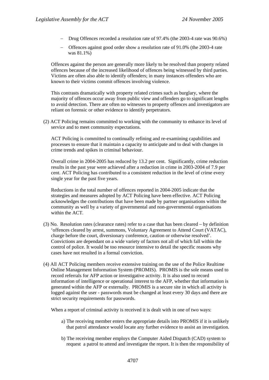- − Drug Offences recorded a resolution rate of 97.4% (the 2003-4 rate was 90.6%)
- − Offences against good order show a resolution rate of 91.0% (the 2003-4 rate was 81.1%)

Offences against the person are generally more likely to be resolved than property related offences because of the increased likelihood of offences being witnessed by third parties. Victims are often also able to identify offenders; in many instances offenders who are known to their victims commit offences involving violence.

This contrasts dramatically with property related crimes such as burglary, where the majority of offences occur away from public view and offenders go to significant lengths to avoid detection. There are often no witnesses to property offences and investigators are reliant on forensic or other evidence to identify perpetrators.

(2) ACT Policing remains committed to working with the community to enhance its level of service and to meet community expectations.

ACT Policing is committed to continually refining and re-examining capabilities and processes to ensure that it maintain a capacity to anticipate and to deal with changes in crime trends and spikes in criminal behaviour.

Overall crime in 2004-2005 has reduced by 13.2 per cent. Significantly, crime reduction results in the past year were achieved after a reduction in crime in 2003-2004 of 7.9 per cent. ACT Policing has contributed to a consistent reduction in the level of crime every single year for the past five years.

Reductions in the total number of offences reported in 2004-2005 indicate that the strategies and measures adopted by ACT Policing have been effective. ACT Policing acknowledges the contributions that have been made by partner organisations within the community as well by a variety of governmental and non-governmental organisations within the ACT.

- (3) No. Resolution rates (clearance rates) refer to a case that has been cleared by definition 'offences cleared by arrest, summons, Voluntary Agreement to Attend Court (VATAC), charge before the court, diversionary conference, caution or otherwise resolved'. Convictions are dependant on a wide variety of factors not all of which fall within the control of police. It would be too resource intensive to detail the specific reasons why cases have not resulted in a formal conviction.
- (4) All ACT Policing members receive extensive training on the use of the Police Realtime Online Management Information System (PROMIS). PROMIS is the sole means used to record referrals for AFP action or investigative activity. It is also used to record information of intelligence or operational interest to the AFP, whether that information is generated within the AFP or externally. PROMIS is a secure site in which all activity is logged against the user - passwords must be changed at least every 30 days and there are strict security requirements for passwords.

When a report of criminal activity is received it is dealt with in one of two ways:

- a) The receiving member enters the appropriate details into PROMIS if it is unlikely that patrol attendance would locate any further evidence to assist an investigation.
- b) The receiving member employs the Computer Aided Dispatch (CAD) system to request a patrol to attend and investigate the report. It is then the responsibility of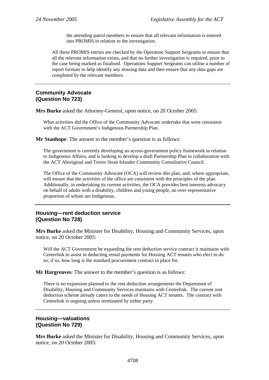the attending patrol members to ensure that all relevant information is entered into PROMIS in relation to the investigation.

All these PROMIS entries are checked by the Operation Support Sergeants to ensure that all the relevant information exists, and that no further investigation is required, prior to the case being marked as finalised. Operations Support Sergeants can utilise a number of report formats to help identify any missing data and then ensure that any data gaps are completed by the relevant members.

## **Community Advocate (Question No 723)**

**Mrs Burke** asked the Attorney-General, upon notice, on 20 October 2005:

What activities did the Office of the Community Advocate undertake that were consistent with the ACT Government's Indigenous Partnership Plan.

**Mr Stanhope**: The answer to the member's question is as follows:

The government is currently developing an across-government policy framework in relation to Indigenous Affairs, and is looking to develop a draft Partnership Plan in collaboration with the ACT Aboriginal and Torres Strait Islander Community Consultative Council.

The Office of the Community Advocate (OCA) will review this plan, and, where appropriate, will ensure that the activities of the office are consistent with the principles of the plan. Additionally, in undertaking its current activities, the OCA provides best interests advocacy on behalf of adults with a disability, children and young people, an over-representative proportion of whom are Indigenous.

# **Housing—rent deduction service (Question No 728)**

**Mrs Burke** asked the Minister for Disability, Housing and Community Services, upon notice, on 20 October 2005:

Will the ACT Government be expanding the rent deduction service contract it maintains with Centrelink to assist in deducting rental payments for Housing ACT tenants who elect to do so; if so, how long is the standard procurement contract in place for.

**Mr Hargreaves**: The answer to the member's question is as follows:

There is no expansion planned to the rent deduction arrangements the Department of Disability, Housing and Community Services maintains with Centrelink. The current rent deduction scheme already caters to the needs of Housing ACT tenants. The contract with Centrelink is ongoing unless terminated by either party.

#### **Housing—valuations (Question No 729)**

**Mrs Burke** asked the Minister for Disability, Housing and Community Services, upon notice, on 20 October 2005: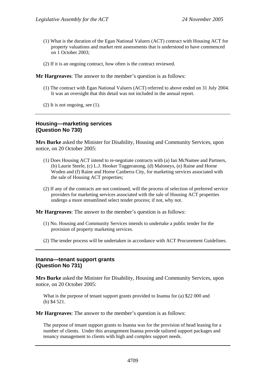- (1) What is the duration of the Egan National Valuers (ACT) contract with Housing ACT for property valuations and market rent assessments that is understood to have commenced on 1 October 2003;
- (2) If it is an ongoing contract, how often is the contract reviewed.

**Mr Hargreaves**: The answer to the member's question is as follows:

- (1) The contract with Egan National Valuers (ACT) referred to above ended on 31 July 2004. It was an oversight that this detail was not included in the annual report.
- (2) It is not ongoing, see (1).

## **Housing—marketing services (Question No 730)**

**Mrs Burke** asked the Minister for Disability, Housing and Community Services, upon notice, on 20 October 2005:

- (1) Does Housing ACT intend to re-negotiate contracts with (a) Ian McNamee and Partners, (b) Laurie Steele, (c) L.J. Hooker Tuggeranong, (d) Maloneys, (e) Raine and Horne Woden and (f) Raine and Horne Canberra City, for marketing services associated with the sale of Housing ACT properties;
- (2) If any of the contracts are not continued, will the process of selection of preferred service providers for marketing services associated with the sale of Housing ACT properties undergo a more streamlined select tender process; if not, why not.

**Mr Hargreaves**: The answer to the member's question is as follows:

- (1) No. Housing and Community Services intends to undertake a public tender for the provision of property marketing services.
- (2) The tender process will be undertaken in accordance with ACT Procurement Guidelines.

### **Inanna—tenant support grants (Question No 731)**

**Mrs Burke** asked the Minister for Disability, Housing and Community Services, upon notice, on 20 October 2005:

What is the purpose of tenant support grants provided to Inanna for (a) \$22 000 and (b) \$4 521.

**Mr Hargreaves**: The answer to the member's question is as follows:

The purpose of tenant support grants to Inanna was for the provision of head leasing for a number of clients. Under this arrangement Inanna provide tailored support packages and tenancy management to clients with high and complex support needs.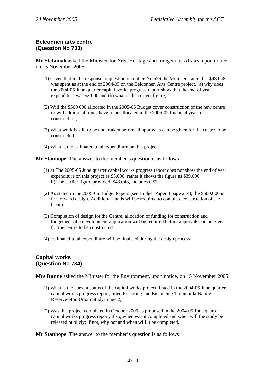## **Belconnen arts centre (Question No 733)**

**Mr Stefaniak** asked the Minister for Arts, Heritage and Indigenous Affairs, upon notice, on 15 November 2005:

- (1) Given that in the response to question on notice No 526 the Minister stated that \$43 048 was spent as at the end of 2004-05 on the Belconnen Arts Centre project, (a) why does the 2004-05 June quarter capital works progress report show that the end of year expenditure was \$3 000 and (b) what is the correct figure;
- (2) Will the \$500 000 allocated in the 2005-06 Budget cover construction of the new centre or will additional funds have to be allocated in the 2006-07 financial year for construction;
- (3) What work is still to be undertaken before all approvals can be given for the centre to be constructed;
- (4) What is the estimated total expenditure on this project.

**Mr Stanhope**: The answer to the member's question is as follows:

- (1) a) The 2005-05 June quarter capital works progress report does not show the end of year expenditure on this project as \$3,000, rather it shows the figure as \$39,000. b) The earlier figure provided, \$43,048, includes GST.
- (2) As stated in the 2005-06 Budget Papers (see Budget Paper 3 page 214), the \$500,000 is for forward design. Additional funds will be required to complete construction of the Centre.
- (3) Completion of design for the Centre, allocation of funding for construction and lodgement of a development application will be required before approvals can be given for the centre to be constructed.
- (4) Estimated total expenditure will be finalised during the design process.

## **Capital works (Question No 734)**

**Mrs Dunne** asked the Minister for the Environment, upon notice, on 15 November 2005:

- (1) What is the current status of the capital works project, listed in the 2004-05 June quarter capital works progress report, titled Restoring and Enhancing Tidbinbilla Nature Reserve-Non Urban Study-Stage 2;
- (2) Was this project completed in October 2005 as proposed in the 2004-05 June quarter capital works progress report; if so, when was it completed and when will the study be released publicly; if not, why not and when will it be completed.

**Mr Stanhope**: The answer to the member's question is as follows: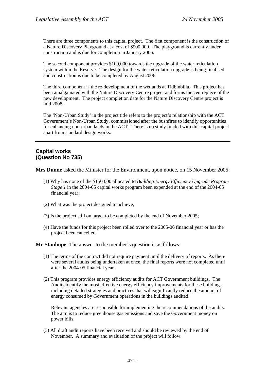There are three components to this capital project. The first component is the construction of a Nature Discovery Playground at a cost of \$900,000. The playground is currently under construction and is due for completion in January 2006.

The second component provides \$100,000 towards the upgrade of the water reticulation system within the Reserve. The design for the water reticulation upgrade is being finalised and construction is due to be completed by August 2006.

The third component is the re-development of the wetlands at Tidbinbilla. This project has been amalgamated with the Nature Discovery Centre project and forms the centrepiece of the new development. The project completion date for the Nature Discovery Centre project is mid 2008.

The 'Non-Urban Study' in the project title refers to the project's relationship with the ACT Government's Non-Urban Study, commissioned after the bushfires to identify opportunities for enhancing non-urban lands in the ACT. There is no study funded with this capital project apart from standard design works.

# **Capital works (Question No 735)**

**Mrs Dunne** asked the Minister for the Environment, upon notice, on 15 November 2005:

- (1) Why has none of the \$150 000 allocated to *Building Energy Efficiency Upgrade Program Stage 1* in the 2004-05 capital works program been expended at the end of the 2004-05 financial year;
- (2) What was the project designed to achieve;
- (3) Is the project still on target to be completed by the end of November 2005;
- (4) Have the funds for this project been rolled over to the 2005-06 financial year or has the project been cancelled.

**Mr Stanhope**: The answer to the member's question is as follows:

- (1) The terms of the contract did not require payment until the delivery of reports. As there were several audits being undertaken at once, the final reports were not completed until after the 2004-05 financial year.
- (2) This program provides energy efficiency audits for ACT Government buildings. The Audits identify the most effective energy efficiency improvements for these buildings including detailed strategies and practices that will significantly reduce the amount of energy consumed by Government operations in the buildings audited.

Relevant agencies are responsible for implementing the recommendations of the audits. The aim is to reduce greenhouse gas emissions and save the Government money on power bills.

(3) All draft audit reports have been received and should be reviewed by the end of November. A summary and evaluation of the project will follow.